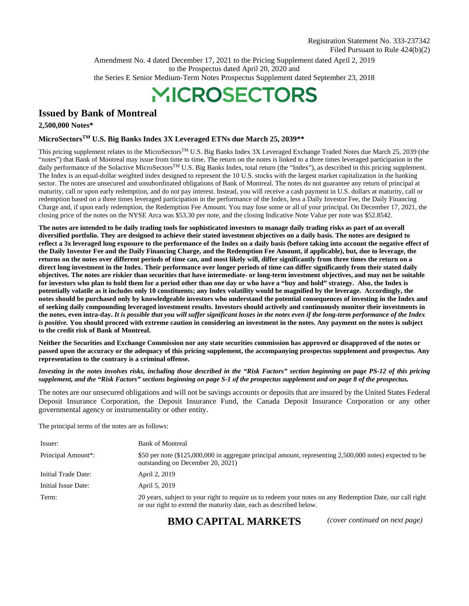Amendment No. 4 dated December 17, 2021 to the Pricing Supplement dated April 2, 2019 to the Prospectus dated April 20, 2020 and the Series E Senior Medium-Term Notes Prospectus Supplement dated September 23, 2018

# **MICROSECTORS**

# **Issued by Bank of Montreal**

**2,500,000 Notes\*** 

# **MicroSectorsTM U.S. Big Banks Index 3X Leveraged ETNs due March 25, 2039\*\***

This pricing supplement relates to the MicroSectors™ U.S. Big Banks Index 3X Leveraged Exchange Traded Notes due March 25, 2039 (the "notes") that Bank of Montreal may issue from time to time. The return on the notes is linked to a three times leveraged participation in the daily performance of the Solactive MicroSectorsTM U.S. Big Banks Index, total return (the "Index"), as described in this pricing supplement. The Index is an equal-dollar weighted index designed to represent the 10 U.S. stocks with the largest market capitalization in the banking sector. The notes are unsecured and unsubordinated obligations of Bank of Montreal. The notes do not guarantee any return of principal at maturity, call or upon early redemption, and do not pay interest. Instead, you will receive a cash payment in U.S. dollars at maturity, call or redemption based on a three times leveraged participation in the performance of the Index, less a Daily Investor Fee, the Daily Financing Charge and, if upon early redemption, the Redemption Fee Amount. You may lose some or all of your principal. On December 17, 2021, the closing price of the notes on the NYSE Arca was \$53.30 per note, and the closing Indicative Note Value per note was \$52.8542.

**The notes are intended to be daily trading tools for sophisticated investors to manage daily trading risks as part of an overall diversified portfolio. They are designed to achieve their stated investment objectives on a daily basis. The notes are designed to reflect a 3x leveraged long exposure to the performance of the Index on a daily basis (before taking into account the negative effect of the Daily Investor Fee and the Daily Financing Charge, and the Redemption Fee Amount, if applicable), but, due to leverage, the returns on the notes over different periods of time can, and most likely will, differ significantly from three times the return on a direct long investment in the Index. Their performance over longer periods of time can differ significantly from their stated daily objectives. The notes are riskier than securities that have intermediate- or long-term investment objectives, and may not be suitable for investors who plan to hold them for a period other than one day or who have a "buy and hold" strategy. Also, the Index is potentially volatile as it includes only 10 constituents; any Index volatility would be magnified by the leverage. Accordingly, the notes should be purchased only by knowledgeable investors who understand the potential consequences of investing in the Index and of seeking daily compounding leveraged investment results. Investors should actively and continuously monitor their investments in the notes, even intra-day.** *It is possible that you will suffer significant losses in the notes even if the long-term performance of the Index is positive.* **You should proceed with extreme caution in considering an investment in the notes. Any payment on the notes is subject to the credit risk of Bank of Montreal.**

**Neither the Securities and Exchange Commission nor any state securities commission has approved or disapproved of the notes or passed upon the accuracy or the adequacy of this pricing supplement, the accompanying prospectus supplement and prospectus. Any representation to the contrary is a criminal offense.** 

*Investing in the notes involves risks, including those described in the "Risk Factors" section beginning on page PS-12 of this pricing supplement, and the "Risk Factors" sections beginning on page S-1 of the prospectus supplement and on page 8 of the prospectus.* 

The notes are our unsecured obligations and will not be savings accounts or deposits that are insured by the United States Federal Deposit Insurance Corporation, the Deposit Insurance Fund, the Canada Deposit Insurance Corporation or any other governmental agency or instrumentality or other entity.

The principal terms of the notes are as follows:

| Issuer:                         | <b>Bank of Montreal</b>                                                                                                                                                         |
|---------------------------------|---------------------------------------------------------------------------------------------------------------------------------------------------------------------------------|
| Principal Amount <sup>*</sup> : | \$50 per note (\$125,000,000 in aggregate principal amount, representing 2,500,000 notes) expected to be<br>outstanding on December 20, 2021)                                   |
| Initial Trade Date:             | April 2, 2019                                                                                                                                                                   |
| Initial Issue Date:             | April 5, 2019                                                                                                                                                                   |
| Term:                           | 20 years, subject to your right to require us to redeem your notes on any Redemption Date, our call right<br>or our right to extend the maturity date, each as described below. |

**BMO CAPITAL MARKETS** *(cover continued on next page)*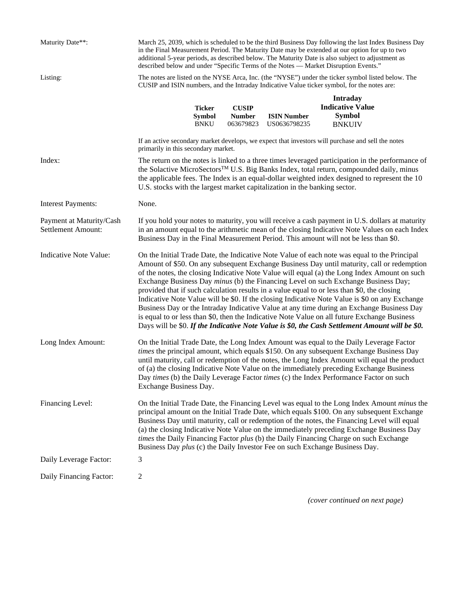| Maturity Date**:                               | March 25, 2039, which is scheduled to be the third Business Day following the last Index Business Day<br>in the Final Measurement Period. The Maturity Date may be extended at our option for up to two<br>additional 5-year periods, as described below. The Maturity Date is also subject to adjustment as<br>described below and under "Specific Terms of the Notes - Market Disruption Events." |                                               |                                            |                                                                             |                                                                                                                                                                                                                                                                                                                                                                                                                                                                                                                                                                                                                                                                                                                                                                                                                                                                                         |  |
|------------------------------------------------|-----------------------------------------------------------------------------------------------------------------------------------------------------------------------------------------------------------------------------------------------------------------------------------------------------------------------------------------------------------------------------------------------------|-----------------------------------------------|--------------------------------------------|-----------------------------------------------------------------------------|-----------------------------------------------------------------------------------------------------------------------------------------------------------------------------------------------------------------------------------------------------------------------------------------------------------------------------------------------------------------------------------------------------------------------------------------------------------------------------------------------------------------------------------------------------------------------------------------------------------------------------------------------------------------------------------------------------------------------------------------------------------------------------------------------------------------------------------------------------------------------------------------|--|
| Listing:                                       | The notes are listed on the NYSE Arca, Inc. (the "NYSE") under the ticker symbol listed below. The<br>CUSIP and ISIN numbers, and the Intraday Indicative Value ticker symbol, for the notes are:                                                                                                                                                                                                   |                                               |                                            |                                                                             |                                                                                                                                                                                                                                                                                                                                                                                                                                                                                                                                                                                                                                                                                                                                                                                                                                                                                         |  |
|                                                |                                                                                                                                                                                                                                                                                                                                                                                                     | <b>Ticker</b><br><b>Symbol</b><br><b>BNKU</b> | <b>CUSIP</b><br><b>Number</b><br>063679823 | <b>ISIN Number</b><br>US0636798235                                          | <b>Intraday</b><br><b>Indicative Value</b><br><b>Symbol</b><br><b>BNKUIV</b>                                                                                                                                                                                                                                                                                                                                                                                                                                                                                                                                                                                                                                                                                                                                                                                                            |  |
|                                                | primarily in this secondary market.                                                                                                                                                                                                                                                                                                                                                                 |                                               |                                            |                                                                             | If an active secondary market develops, we expect that investors will purchase and sell the notes                                                                                                                                                                                                                                                                                                                                                                                                                                                                                                                                                                                                                                                                                                                                                                                       |  |
| Index:                                         |                                                                                                                                                                                                                                                                                                                                                                                                     |                                               |                                            | U.S. stocks with the largest market capitalization in the banking sector.   | The return on the notes is linked to a three times leveraged participation in the performance of<br>the Solactive MicroSectors <sup>™</sup> U.S. Big Banks Index, total return, compounded daily, minus<br>the applicable fees. The Index is an equal-dollar weighted index designed to represent the 10                                                                                                                                                                                                                                                                                                                                                                                                                                                                                                                                                                                |  |
| <b>Interest Payments:</b>                      | None.                                                                                                                                                                                                                                                                                                                                                                                               |                                               |                                            |                                                                             |                                                                                                                                                                                                                                                                                                                                                                                                                                                                                                                                                                                                                                                                                                                                                                                                                                                                                         |  |
| Payment at Maturity/Cash<br>Settlement Amount: |                                                                                                                                                                                                                                                                                                                                                                                                     |                                               |                                            |                                                                             | If you hold your notes to maturity, you will receive a cash payment in U.S. dollars at maturity<br>in an amount equal to the arithmetic mean of the closing Indicative Note Values on each Index<br>Business Day in the Final Measurement Period. This amount will not be less than \$0.                                                                                                                                                                                                                                                                                                                                                                                                                                                                                                                                                                                                |  |
| <b>Indicative Note Value:</b>                  |                                                                                                                                                                                                                                                                                                                                                                                                     |                                               |                                            |                                                                             | On the Initial Trade Date, the Indicative Note Value of each note was equal to the Principal<br>Amount of \$50. On any subsequent Exchange Business Day until maturity, call or redemption<br>of the notes, the closing Indicative Note Value will equal (a) the Long Index Amount on such<br>Exchange Business Day <i>minus</i> (b) the Financing Level on such Exchange Business Day;<br>provided that if such calculation results in a value equal to or less than \$0, the closing<br>Indicative Note Value will be \$0. If the closing Indicative Note Value is \$0 on any Exchange<br>Business Day or the Intraday Indicative Value at any time during an Exchange Business Day<br>is equal to or less than \$0, then the Indicative Note Value on all future Exchange Business<br>Days will be \$0. If the Indicative Note Value is \$0, the Cash Settlement Amount will be \$0. |  |
| Long Index Amount:                             | Exchange Business Day.                                                                                                                                                                                                                                                                                                                                                                              |                                               |                                            |                                                                             | On the Initial Trade Date, the Long Index Amount was equal to the Daily Leverage Factor<br>times the principal amount, which equals \$150. On any subsequent Exchange Business Day<br>until maturity, call or redemption of the notes, the Long Index Amount will equal the product<br>of (a) the closing Indicative Note Value on the immediately preceding Exchange Business<br>Day times (b) the Daily Leverage Factor times (c) the Index Performance Factor on such                                                                                                                                                                                                                                                                                                                                                                                                                |  |
| Financing Level:                               |                                                                                                                                                                                                                                                                                                                                                                                                     |                                               |                                            | Business Day plus (c) the Daily Investor Fee on such Exchange Business Day. | On the Initial Trade Date, the Financing Level was equal to the Long Index Amount <i>minus</i> the<br>principal amount on the Initial Trade Date, which equals \$100. On any subsequent Exchange<br>Business Day until maturity, call or redemption of the notes, the Financing Level will equal<br>(a) the closing Indicative Note Value on the immediately preceding Exchange Business Day<br>times the Daily Financing Factor plus (b) the Daily Financing Charge on such Exchange                                                                                                                                                                                                                                                                                                                                                                                                   |  |
| Daily Leverage Factor:                         | 3                                                                                                                                                                                                                                                                                                                                                                                                   |                                               |                                            |                                                                             |                                                                                                                                                                                                                                                                                                                                                                                                                                                                                                                                                                                                                                                                                                                                                                                                                                                                                         |  |
| Daily Financing Factor:                        | $\overline{c}$                                                                                                                                                                                                                                                                                                                                                                                      |                                               |                                            |                                                                             |                                                                                                                                                                                                                                                                                                                                                                                                                                                                                                                                                                                                                                                                                                                                                                                                                                                                                         |  |

*(cover continued on next page)*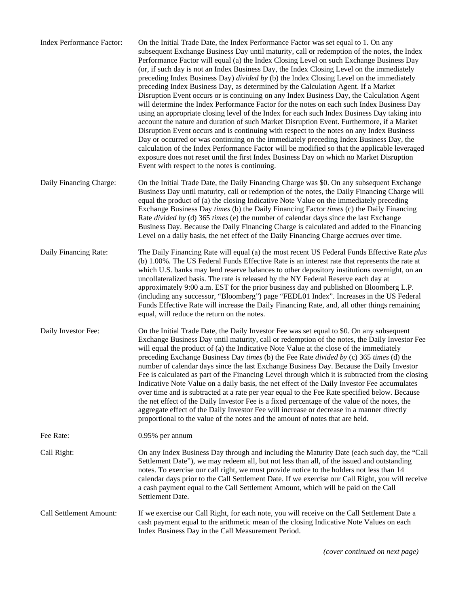| Index Performance Factor: | On the Initial Trade Date, the Index Performance Factor was set equal to 1. On any<br>subsequent Exchange Business Day until maturity, call or redemption of the notes, the Index<br>Performance Factor will equal (a) the Index Closing Level on such Exchange Business Day<br>(or, if such day is not an Index Business Day, the Index Closing Level on the immediately<br>preceding Index Business Day) divided by (b) the Index Closing Level on the immediately<br>preceding Index Business Day, as determined by the Calculation Agent. If a Market<br>Disruption Event occurs or is continuing on any Index Business Day, the Calculation Agent<br>will determine the Index Performance Factor for the notes on each such Index Business Day<br>using an appropriate closing level of the Index for each such Index Business Day taking into<br>account the nature and duration of such Market Disruption Event. Furthermore, if a Market<br>Disruption Event occurs and is continuing with respect to the notes on any Index Business<br>Day or occurred or was continuing on the immediately preceding Index Business Day, the<br>calculation of the Index Performance Factor will be modified so that the applicable leveraged<br>exposure does not reset until the first Index Business Day on which no Market Disruption<br>Event with respect to the notes is continuing. |
|---------------------------|----------------------------------------------------------------------------------------------------------------------------------------------------------------------------------------------------------------------------------------------------------------------------------------------------------------------------------------------------------------------------------------------------------------------------------------------------------------------------------------------------------------------------------------------------------------------------------------------------------------------------------------------------------------------------------------------------------------------------------------------------------------------------------------------------------------------------------------------------------------------------------------------------------------------------------------------------------------------------------------------------------------------------------------------------------------------------------------------------------------------------------------------------------------------------------------------------------------------------------------------------------------------------------------------------------------------------------------------------------------------------------------|
| Daily Financing Charge:   | On the Initial Trade Date, the Daily Financing Charge was \$0. On any subsequent Exchange<br>Business Day until maturity, call or redemption of the notes, the Daily Financing Charge will<br>equal the product of (a) the closing Indicative Note Value on the immediately preceding<br>Exchange Business Day <i>times</i> (b) the Daily Financing Factor <i>times</i> (c) the Daily Financing<br>Rate <i>divided by</i> (d) 365 <i>times</i> (e) the number of calendar days since the last Exchange<br>Business Day. Because the Daily Financing Charge is calculated and added to the Financing<br>Level on a daily basis, the net effect of the Daily Financing Charge accrues over time.                                                                                                                                                                                                                                                                                                                                                                                                                                                                                                                                                                                                                                                                                         |
| Daily Financing Rate:     | The Daily Financing Rate will equal (a) the most recent US Federal Funds Effective Rate plus<br>(b) 1.00%. The US Federal Funds Effective Rate is an interest rate that represents the rate at<br>which U.S. banks may lend reserve balances to other depository institutions overnight, on an<br>uncollateralized basis. The rate is released by the NY Federal Reserve each day at<br>approximately 9:00 a.m. EST for the prior business day and published on Bloomberg L.P.<br>(including any successor, "Bloomberg") page "FEDL01 Index". Increases in the US Federal<br>Funds Effective Rate will increase the Daily Financing Rate, and, all other things remaining<br>equal, will reduce the return on the notes.                                                                                                                                                                                                                                                                                                                                                                                                                                                                                                                                                                                                                                                               |
| Daily Investor Fee:       | On the Initial Trade Date, the Daily Investor Fee was set equal to \$0. On any subsequent<br>Exchange Business Day until maturity, call or redemption of the notes, the Daily Investor Fee<br>will equal the product of (a) the Indicative Note Value at the close of the immediately<br>preceding Exchange Business Day times (b) the Fee Rate divided by (c) 365 times (d) the<br>number of calendar days since the last Exchange Business Day. Because the Daily Investor<br>Fee is calculated as part of the Financing Level through which it is subtracted from the closing<br>Indicative Note Value on a daily basis, the net effect of the Daily Investor Fee accumulates<br>over time and is subtracted at a rate per year equal to the Fee Rate specified below. Because<br>the net effect of the Daily Investor Fee is a fixed percentage of the value of the notes, the<br>aggregate effect of the Daily Investor Fee will increase or decrease in a manner directly<br>proportional to the value of the notes and the amount of notes that are held.                                                                                                                                                                                                                                                                                                                       |
| Fee Rate:                 | $0.95\%$ per annum                                                                                                                                                                                                                                                                                                                                                                                                                                                                                                                                                                                                                                                                                                                                                                                                                                                                                                                                                                                                                                                                                                                                                                                                                                                                                                                                                                     |
| Call Right:               | On any Index Business Day through and including the Maturity Date (each such day, the "Call<br>Settlement Date"), we may redeem all, but not less than all, of the issued and outstanding<br>notes. To exercise our call right, we must provide notice to the holders not less than 14<br>calendar days prior to the Call Settlement Date. If we exercise our Call Right, you will receive<br>a cash payment equal to the Call Settlement Amount, which will be paid on the Call<br>Settlement Date.                                                                                                                                                                                                                                                                                                                                                                                                                                                                                                                                                                                                                                                                                                                                                                                                                                                                                   |
| Call Settlement Amount:   | If we exercise our Call Right, for each note, you will receive on the Call Settlement Date a<br>cash payment equal to the arithmetic mean of the closing Indicative Note Values on each<br>Index Business Day in the Call Measurement Period.                                                                                                                                                                                                                                                                                                                                                                                                                                                                                                                                                                                                                                                                                                                                                                                                                                                                                                                                                                                                                                                                                                                                          |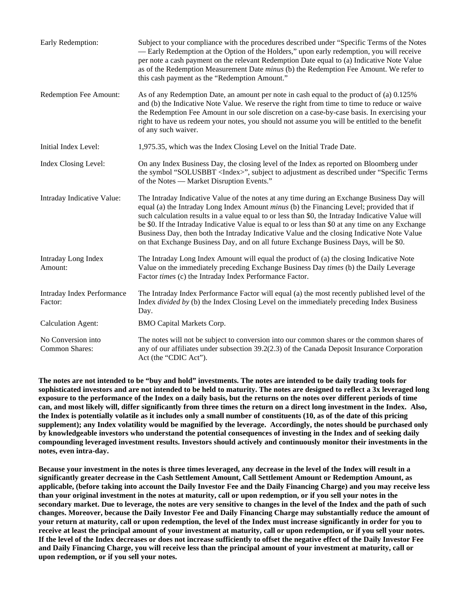| Early Redemption:                            | Subject to your compliance with the procedures described under "Specific Terms of the Notes<br>— Early Redemption at the Option of the Holders," upon early redemption, you will receive<br>per note a cash payment on the relevant Redemption Date equal to (a) Indicative Note Value<br>as of the Redemption Measurement Date <i>minus</i> (b) the Redemption Fee Amount. We refer to<br>this cash payment as the "Redemption Amount."                                                                                                                                                         |
|----------------------------------------------|--------------------------------------------------------------------------------------------------------------------------------------------------------------------------------------------------------------------------------------------------------------------------------------------------------------------------------------------------------------------------------------------------------------------------------------------------------------------------------------------------------------------------------------------------------------------------------------------------|
| Redemption Fee Amount:                       | As of any Redemption Date, an amount per note in cash equal to the product of (a) 0.125%<br>and (b) the Indicative Note Value. We reserve the right from time to time to reduce or waive<br>the Redemption Fee Amount in our sole discretion on a case-by-case basis. In exercising your<br>right to have us redeem your notes, you should not assume you will be entitled to the benefit<br>of any such waiver.                                                                                                                                                                                 |
| Initial Index Level:                         | 1,975.35, which was the Index Closing Level on the Initial Trade Date.                                                                                                                                                                                                                                                                                                                                                                                                                                                                                                                           |
| Index Closing Level:                         | On any Index Business Day, the closing level of the Index as reported on Bloomberg under<br>the symbol "SOLUSBBT <index>", subject to adjustment as described under "Specific Terms"<br/>of the Notes — Market Disruption Events."</index>                                                                                                                                                                                                                                                                                                                                                       |
| Intraday Indicative Value:                   | The Intraday Indicative Value of the notes at any time during an Exchange Business Day will<br>equal (a) the Intraday Long Index Amount <i>minus</i> (b) the Financing Level; provided that if<br>such calculation results in a value equal to or less than \$0, the Intraday Indicative Value will<br>be \$0. If the Intraday Indicative Value is equal to or less than \$0 at any time on any Exchange<br>Business Day, then both the Intraday Indicative Value and the closing Indicative Note Value<br>on that Exchange Business Day, and on all future Exchange Business Days, will be \$0. |
| Intraday Long Index<br>Amount:               | The Intraday Long Index Amount will equal the product of (a) the closing Indicative Note<br>Value on the immediately preceding Exchange Business Day times (b) the Daily Leverage<br>Factor times (c) the Intraday Index Performance Factor.                                                                                                                                                                                                                                                                                                                                                     |
| <b>Intraday Index Performance</b><br>Factor: | The Intraday Index Performance Factor will equal (a) the most recently published level of the<br>Index <i>divided by</i> (b) the Index Closing Level on the immediately preceding Index Business<br>Day.                                                                                                                                                                                                                                                                                                                                                                                         |
| <b>Calculation Agent:</b>                    | <b>BMO Capital Markets Corp.</b>                                                                                                                                                                                                                                                                                                                                                                                                                                                                                                                                                                 |
| No Conversion into<br>Common Shares:         | The notes will not be subject to conversion into our common shares or the common shares of<br>any of our affiliates under subsection 39.2(2.3) of the Canada Deposit Insurance Corporation<br>Act (the "CDIC Act").                                                                                                                                                                                                                                                                                                                                                                              |

**The notes are not intended to be "buy and hold" investments. The notes are intended to be daily trading tools for sophisticated investors and are not intended to be held to maturity. The notes are designed to reflect a 3x leveraged long exposure to the performance of the Index on a daily basis, but the returns on the notes over different periods of time can, and most likely will, differ significantly from three times the return on a direct long investment in the Index. Also, the Index is potentially volatile as it includes only a small number of constituents (10, as of the date of this pricing supplement); any Index volatility would be magnified by the leverage. Accordingly, the notes should be purchased only by knowledgeable investors who understand the potential consequences of investing in the Index and of seeking daily compounding leveraged investment results. Investors should actively and continuously monitor their investments in the notes, even intra-day.** 

**Because your investment in the notes is three times leveraged, any decrease in the level of the Index will result in a significantly greater decrease in the Cash Settlement Amount, Call Settlement Amount or Redemption Amount, as applicable, (before taking into account the Daily Investor Fee and the Daily Financing Charge) and you may receive less than your original investment in the notes at maturity, call or upon redemption, or if you sell your notes in the secondary market. Due to leverage, the notes are very sensitive to changes in the level of the Index and the path of such changes. Moreover, because the Daily Investor Fee and Daily Financing Charge may substantially reduce the amount of your return at maturity, call or upon redemption, the level of the Index must increase significantly in order for you to receive at least the principal amount of your investment at maturity, call or upon redemption, or if you sell your notes. If the level of the Index decreases or does not increase sufficiently to offset the negative effect of the Daily Investor Fee and Daily Financing Charge, you will receive less than the principal amount of your investment at maturity, call or upon redemption, or if you sell your notes.**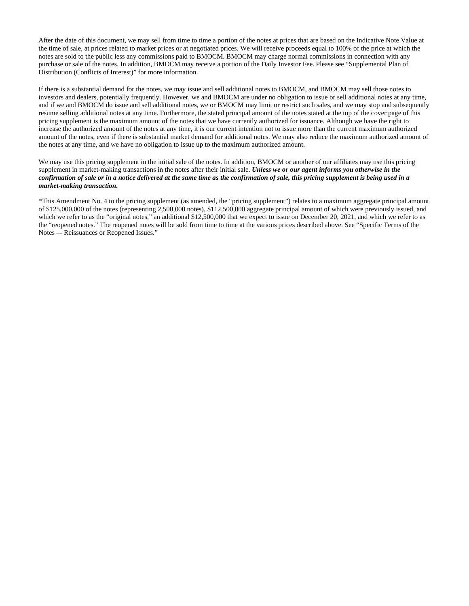After the date of this document, we may sell from time to time a portion of the notes at prices that are based on the Indicative Note Value at the time of sale, at prices related to market prices or at negotiated prices. We will receive proceeds equal to 100% of the price at which the notes are sold to the public less any commissions paid to BMOCM. BMOCM may charge normal commissions in connection with any purchase or sale of the notes. In addition, BMOCM may receive a portion of the Daily Investor Fee. Please see "Supplemental Plan of Distribution (Conflicts of Interest)" for more information.

If there is a substantial demand for the notes, we may issue and sell additional notes to BMOCM, and BMOCM may sell those notes to investors and dealers, potentially frequently. However, we and BMOCM are under no obligation to issue or sell additional notes at any time, and if we and BMOCM do issue and sell additional notes, we or BMOCM may limit or restrict such sales, and we may stop and subsequently resume selling additional notes at any time. Furthermore, the stated principal amount of the notes stated at the top of the cover page of this pricing supplement is the maximum amount of the notes that we have currently authorized for issuance. Although we have the right to increase the authorized amount of the notes at any time, it is our current intention not to issue more than the current maximum authorized amount of the notes, even if there is substantial market demand for additional notes. We may also reduce the maximum authorized amount of the notes at any time, and we have no obligation to issue up to the maximum authorized amount.

We may use this pricing supplement in the initial sale of the notes. In addition, BMOCM or another of our affiliates may use this pricing supplement in market-making transactions in the notes after their initial sale. *Unless we or our agent informs you otherwise in the confirmation of sale or in a notice delivered at the same time as the confirmation of sale, this pricing supplement is being used in a market-making transaction.* 

\*This Amendment No. 4 to the pricing supplement (as amended, the "pricing supplement") relates to a maximum aggregate principal amount of \$125,000,000 of the notes (representing 2,500,000 notes), \$112,500,000 aggregate principal amount of which were previously issued, and which we refer to as the "original notes," an additional \$12,500,000 that we expect to issue on December 20, 2021, and which we refer to as the "reopened notes." The reopened notes will be sold from time to time at the various prices described above. See "Specific Terms of the Notes –- Reissuances or Reopened Issues."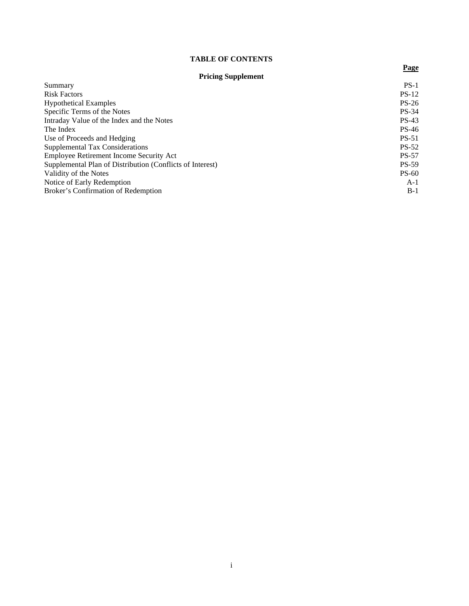# **TABLE OF CONTENTS**

# **Pricing Supplement**

**Page**

| Summary                                                   | $PS-1$       |
|-----------------------------------------------------------|--------------|
| <b>Risk Factors</b>                                       | $PS-12$      |
| <b>Hypothetical Examples</b>                              | $PS-26$      |
| Specific Terms of the Notes                               | $PS-34$      |
| Intraday Value of the Index and the Notes                 | $PS-43$      |
| The Index                                                 | PS-46        |
| Use of Proceeds and Hedging                               | $PS-51$      |
| Supplemental Tax Considerations                           | <b>PS-52</b> |
| Employee Retirement Income Security Act                   | <b>PS-57</b> |
| Supplemental Plan of Distribution (Conflicts of Interest) | <b>PS-59</b> |
| Validity of the Notes                                     | $PS-60$      |
| Notice of Early Redemption                                | $A-1$        |
| Broker's Confirmation of Redemption                       | $B-1$        |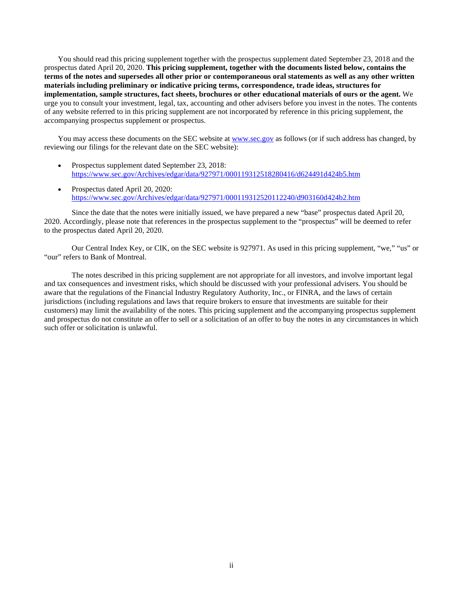You should read this pricing supplement together with the prospectus supplement dated September 23, 2018 and the prospectus dated April 20, 2020. **This pricing supplement, together with the documents listed below, contains the terms of the notes and supersedes all other prior or contemporaneous oral statements as well as any other written materials including preliminary or indicative pricing terms, correspondence, trade ideas, structures for implementation, sample structures, fact sheets, brochures or other educational materials of ours or the agent.** We urge you to consult your investment, legal, tax, accounting and other advisers before you invest in the notes. The contents of any website referred to in this pricing supplement are not incorporated by reference in this pricing supplement, the accompanying prospectus supplement or prospectus.

You may access these documents on the SEC website at [www.sec.gov](http://www.sec.gov/) as follows (or if such address has changed, by reviewing our filings for the relevant date on the SEC website):

- Prospectus supplement dated September 23, 2018: <https://www.sec.gov/Archives/edgar/data/927971/000119312518280416/d624491d424b5.htm>
- Prospectus dated April 20, 2020: <https://www.sec.gov/Archives/edgar/data/927971/000119312520112240/d903160d424b2.htm>

Since the date that the notes were initially issued, we have prepared a new "base" prospectus dated April 20, 2020. Accordingly, please note that references in the prospectus supplement to the "prospectus" will be deemed to refer to the prospectus dated April 20, 2020.

Our Central Index Key, or CIK, on the SEC website is 927971. As used in this pricing supplement, "we," "us" or "our" refers to Bank of Montreal.

The notes described in this pricing supplement are not appropriate for all investors, and involve important legal and tax consequences and investment risks, which should be discussed with your professional advisers. You should be aware that the regulations of the Financial Industry Regulatory Authority, Inc., or FINRA, and the laws of certain jurisdictions (including regulations and laws that require brokers to ensure that investments are suitable for their customers) may limit the availability of the notes. This pricing supplement and the accompanying prospectus supplement and prospectus do not constitute an offer to sell or a solicitation of an offer to buy the notes in any circumstances in which such offer or solicitation is unlawful.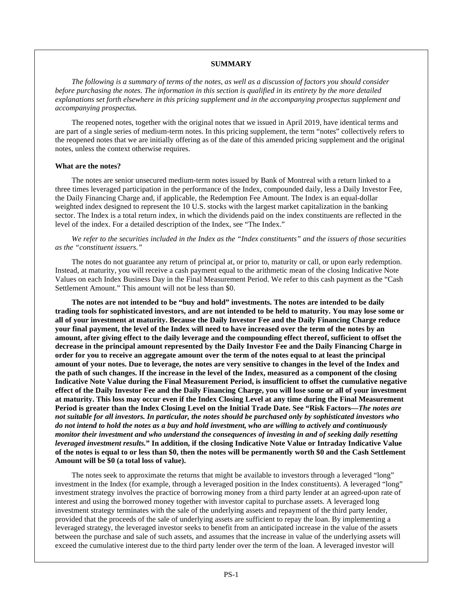#### **SUMMARY**

*The following is a summary of terms of the notes, as well as a discussion of factors you should consider before purchasing the notes. The information in this section is qualified in its entirety by the more detailed explanations set forth elsewhere in this pricing supplement and in the accompanying prospectus supplement and accompanying prospectus.* 

The reopened notes, together with the original notes that we issued in April 2019, have identical terms and are part of a single series of medium-term notes. In this pricing supplement, the term "notes" collectively refers to the reopened notes that we are initially offering as of the date of this amended pricing supplement and the original notes, unless the context otherwise requires.

## **What are the notes?**

The notes are senior unsecured medium-term notes issued by Bank of Montreal with a return linked to a three times leveraged participation in the performance of the Index, compounded daily, less a Daily Investor Fee, the Daily Financing Charge and, if applicable, the Redemption Fee Amount. The Index is an equal-dollar weighted index designed to represent the 10 U.S. stocks with the largest market capitalization in the banking sector. The Index is a total return index, in which the dividends paid on the index constituents are reflected in the level of the index. For a detailed description of the Index, see "The Index."

*We refer to the securities included in the Index as the "Index constituents" and the issuers of those securities as the "constituent issuers*.*"* 

The notes do not guarantee any return of principal at, or prior to, maturity or call, or upon early redemption. Instead, at maturity, you will receive a cash payment equal to the arithmetic mean of the closing Indicative Note Values on each Index Business Day in the Final Measurement Period. We refer to this cash payment as the "Cash Settlement Amount." This amount will not be less than \$0.

**The notes are not intended to be "buy and hold" investments. The notes are intended to be daily trading tools for sophisticated investors, and are not intended to be held to maturity. You may lose some or all of your investment at maturity. Because the Daily Investor Fee and the Daily Financing Charge reduce your final payment, the level of the Index will need to have increased over the term of the notes by an amount, after giving effect to the daily leverage and the compounding effect thereof, sufficient to offset the decrease in the principal amount represented by the Daily Investor Fee and the Daily Financing Charge in order for you to receive an aggregate amount over the term of the notes equal to at least the principal amount of your notes. Due to leverage, the notes are very sensitive to changes in the level of the Index and the path of such changes. If the increase in the level of the Index, measured as a component of the closing Indicative Note Value during the Final Measurement Period, is insufficient to offset the cumulative negative effect of the Daily Investor Fee and the Daily Financing Charge, you will lose some or all of your investment at maturity. This loss may occur even if the Index Closing Level at any time during the Final Measurement Period is greater than the Index Closing Level on the Initial Trade Date. See "Risk Factors—***The notes are not suitable for all investors. In particular, the notes should be purchased only by sophisticated investors who do not intend to hold the notes as a buy and hold investment, who are willing to actively and continuously monitor their investment and who understand the consequences of investing in and of seeking daily resetting leveraged investment results.***" In addition, if the closing Indicative Note Value or Intraday Indicative Value of the notes is equal to or less than \$0, then the notes will be permanently worth \$0 and the Cash Settlement Amount will be \$0 (a total loss of value).** 

The notes seek to approximate the returns that might be available to investors through a leveraged "long" investment in the Index (for example, through a leveraged position in the Index constituents). A leveraged "long" investment strategy involves the practice of borrowing money from a third party lender at an agreed-upon rate of interest and using the borrowed money together with investor capital to purchase assets. A leveraged long investment strategy terminates with the sale of the underlying assets and repayment of the third party lender, provided that the proceeds of the sale of underlying assets are sufficient to repay the loan. By implementing a leveraged strategy, the leveraged investor seeks to benefit from an anticipated increase in the value of the assets between the purchase and sale of such assets, and assumes that the increase in value of the underlying assets will exceed the cumulative interest due to the third party lender over the term of the loan. A leveraged investor will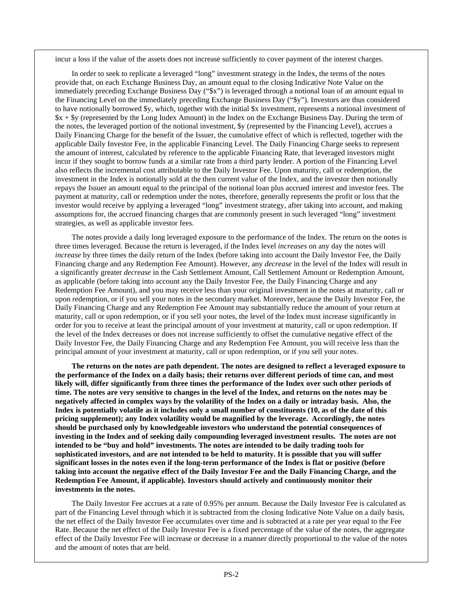incur a loss if the value of the assets does not increase sufficiently to cover payment of the interest charges.

In order to seek to replicate a leveraged "long" investment strategy in the Index, the terms of the notes provide that, on each Exchange Business Day, an amount equal to the closing Indicative Note Value on the immediately preceding Exchange Business Day ("\$x") is leveraged through a notional loan of an amount equal to the Financing Level on the immediately preceding Exchange Business Day ("\$y"). Investors are thus considered to have notionally borrowed \$y, which, together with the initial \$x investment, represents a notional investment of \$x + \$y (represented by the Long Index Amount) in the Index on the Exchange Business Day. During the term of the notes, the leveraged portion of the notional investment, \$y (represented by the Financing Level), accrues a Daily Financing Charge for the benefit of the Issuer, the cumulative effect of which is reflected, together with the applicable Daily Investor Fee, in the applicable Financing Level. The Daily Financing Charge seeks to represent the amount of interest, calculated by reference to the applicable Financing Rate, that leveraged investors might incur if they sought to borrow funds at a similar rate from a third party lender. A portion of the Financing Level also reflects the incremental cost attributable to the Daily Investor Fee. Upon maturity, call or redemption, the investment in the Index is notionally sold at the then current value of the Index, and the investor then notionally repays the Issuer an amount equal to the principal of the notional loan plus accrued interest and investor fees. The payment at maturity, call or redemption under the notes, therefore, generally represents the profit or loss that the investor would receive by applying a leveraged "long" investment strategy, after taking into account, and making assumptions for, the accrued financing charges that are commonly present in such leveraged "long" investment strategies, as well as applicable investor fees.

The notes provide a daily long leveraged exposure to the performance of the Index. The return on the notes is three times leveraged. Because the return is leveraged, if the Index level *increases* on any day the notes will *increase* by three times the daily return of the Index (before taking into account the Daily Investor Fee, the Daily Financing charge and any Redemption Fee Amount). However, any *decrease* in the level of the Index will result in a significantly greater *decrease* in the Cash Settlement Amount, Call Settlement Amount or Redemption Amount, as applicable (before taking into account any the Daily Investor Fee, the Daily Financing Charge and any Redemption Fee Amount), and you may receive less than your original investment in the notes at maturity, call or upon redemption, or if you sell your notes in the secondary market. Moreover, because the Daily Investor Fee, the Daily Financing Charge and any Redemption Fee Amount may substantially reduce the amount of your return at maturity, call or upon redemption, or if you sell your notes, the level of the Index must increase significantly in order for you to receive at least the principal amount of your investment at maturity, call or upon redemption. If the level of the Index decreases or does not increase sufficiently to offset the cumulative negative effect of the Daily Investor Fee, the Daily Financing Charge and any Redemption Fee Amount, you will receive less than the principal amount of your investment at maturity, call or upon redemption, or if you sell your notes.

**The returns on the notes are path dependent. The notes are designed to reflect a leveraged exposure to the performance of the Index on a daily basis; their returns over different periods of time can, and most likely will, differ significantly from three times the performance of the Index over such other periods of time. The notes are very sensitive to changes in the level of the Index, and returns on the notes may be negatively affected in complex ways by the volatility of the Index on a daily or intraday basis. Also, the Index is potentially volatile as it includes only a small number of constituents (10, as of the date of this pricing supplement); any Index volatility would be magnified by the leverage. Accordingly, the notes should be purchased only by knowledgeable investors who understand the potential consequences of investing in the Index and of seeking daily compounding leveraged investment results. The notes are not intended to be "buy and hold" investments. The notes are intended to be daily trading tools for sophisticated investors, and are not intended to be held to maturity. It is possible that you will suffer significant losses in the notes even if the long-term performance of the Index is flat or positive (before taking into account the negative effect of the Daily Investor Fee and the Daily Financing Charge, and the Redemption Fee Amount, if applicable)***.* **Investors should actively and continuously monitor their investments in the notes.** 

The Daily Investor Fee accrues at a rate of 0.95% per annum. Because the Daily Investor Fee is calculated as part of the Financing Level through which it is subtracted from the closing Indicative Note Value on a daily basis, the net effect of the Daily Investor Fee accumulates over time and is subtracted at a rate per year equal to the Fee Rate. Because the net effect of the Daily Investor Fee is a fixed percentage of the value of the notes, the aggregate effect of the Daily Investor Fee will increase or decrease in a manner directly proportional to the value of the notes and the amount of notes that are held.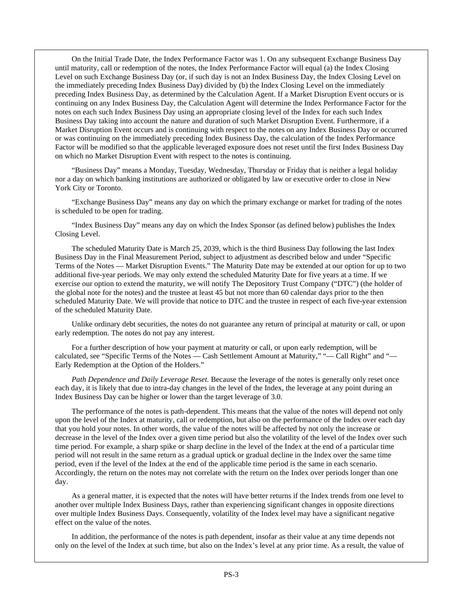On the Initial Trade Date, the Index Performance Factor was 1. On any subsequent Exchange Business Day until maturity, call or redemption of the notes, the Index Performance Factor will equal (a) the Index Closing Level on such Exchange Business Day (or, if such day is not an Index Business Day, the Index Closing Level on the immediately preceding Index Business Day) divided by (b) the Index Closing Level on the immediately preceding Index Business Day, as determined by the Calculation Agent. If a Market Disruption Event occurs or is continuing on any Index Business Day, the Calculation Agent will determine the Index Performance Factor for the notes on each such Index Business Day using an appropriate closing level of the Index for each such Index Business Day taking into account the nature and duration of such Market Disruption Event. Furthermore, if a Market Disruption Event occurs and is continuing with respect to the notes on any Index Business Day or occurred or was continuing on the immediately preceding Index Business Day, the calculation of the Index Performance Factor will be modified so that the applicable leveraged exposure does not reset until the first Index Business Day on which no Market Disruption Event with respect to the notes is continuing.

"Business Day" means a Monday, Tuesday, Wednesday, Thursday or Friday that is neither a legal holiday nor a day on which banking institutions are authorized or obligated by law or executive order to close in New York City or Toronto.

"Exchange Business Day" means any day on which the primary exchange or market for trading of the notes is scheduled to be open for trading.

"Index Business Day" means any day on which the Index Sponsor (as defined below) publishes the Index Closing Level.

The scheduled Maturity Date is March 25, 2039, which is the third Business Day following the last Index Business Day in the Final Measurement Period, subject to adjustment as described below and under "Specific Terms of the Notes — Market Disruption Events." The Maturity Date may be extended at our option for up to two additional five-year periods. We may only extend the scheduled Maturity Date for five years at a time. If we exercise our option to extend the maturity, we will notify The Depository Trust Company ("DTC") (the holder of the global note for the notes) and the trustee at least 45 but not more than 60 calendar days prior to the then scheduled Maturity Date. We will provide that notice to DTC and the trustee in respect of each five-year extension of the scheduled Maturity Date.

Unlike ordinary debt securities, the notes do not guarantee any return of principal at maturity or call, or upon early redemption. The notes do not pay any interest.

For a further description of how your payment at maturity or call, or upon early redemption, will be calculated, see "Specific Terms of the Notes — Cash Settlement Amount at Maturity," "— Call Right" and "— Early Redemption at the Option of the Holders."

*Path Dependence and Daily Leverage Reset.* Because the leverage of the notes is generally only reset once each day, it is likely that due to intra-day changes in the level of the Index, the leverage at any point during an Index Business Day can be higher or lower than the target leverage of 3.0.

The performance of the notes is path-dependent. This means that the value of the notes will depend not only upon the level of the Index at maturity, call or redemption, but also on the performance of the Index over each day that you hold your notes. In other words, the value of the notes will be affected by not only the increase or decrease in the level of the Index over a given time period but also the volatility of the level of the Index over such time period. For example, a sharp spike or sharp decline in the level of the Index at the end of a particular time period will not result in the same return as a gradual uptick or gradual decline in the Index over the same time period, even if the level of the Index at the end of the applicable time period is the same in each scenario. Accordingly, the return on the notes may not correlate with the return on the Index over periods longer than one day.

As a general matter, it is expected that the notes will have better returns if the Index trends from one level to another over multiple Index Business Days, rather than experiencing significant changes in opposite directions over multiple Index Business Days. Consequently, volatility of the Index level may have a significant negative effect on the value of the notes.

In addition, the performance of the notes is path dependent, insofar as their value at any time depends not only on the level of the Index at such time, but also on the Index's level at any prior time. As a result, the value of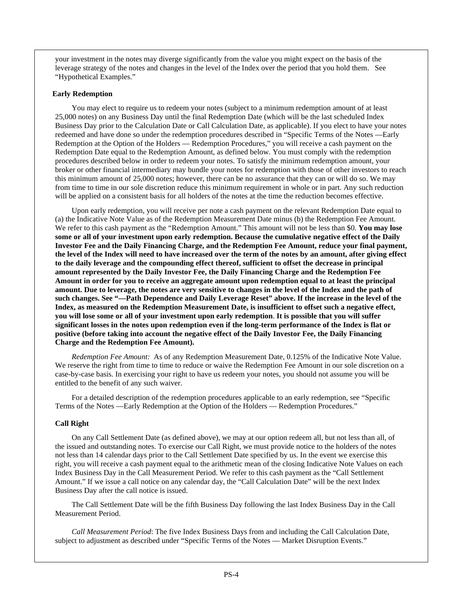your investment in the notes may diverge significantly from the value you might expect on the basis of the leverage strategy of the notes and changes in the level of the Index over the period that you hold them. See "Hypothetical Examples."

# **Early Redemption**

You may elect to require us to redeem your notes (subject to a minimum redemption amount of at least 25,000 notes) on any Business Day until the final Redemption Date (which will be the last scheduled Index Business Day prior to the Calculation Date or Call Calculation Date, as applicable). If you elect to have your notes redeemed and have done so under the redemption procedures described in "Specific Terms of the Notes —Early Redemption at the Option of the Holders — Redemption Procedures," you will receive a cash payment on the Redemption Date equal to the Redemption Amount, as defined below. You must comply with the redemption procedures described below in order to redeem your notes. To satisfy the minimum redemption amount, your broker or other financial intermediary may bundle your notes for redemption with those of other investors to reach this minimum amount of 25,000 notes; however, there can be no assurance that they can or will do so. We may from time to time in our sole discretion reduce this minimum requirement in whole or in part. Any such reduction will be applied on a consistent basis for all holders of the notes at the time the reduction becomes effective.

Upon early redemption, you will receive per note a cash payment on the relevant Redemption Date equal to (a) the Indicative Note Value as of the Redemption Measurement Date minus (b) the Redemption Fee Amount. We refer to this cash payment as the "Redemption Amount." This amount will not be less than \$0. **You may lose some or all of your investment upon early redemption. Because the cumulative negative effect of the Daily Investor Fee and the Daily Financing Charge, and the Redemption Fee Amount, reduce your final payment, the level of the Index will need to have increased over the term of the notes by an amount, after giving effect to the daily leverage and the compounding effect thereof, sufficient to offset the decrease in principal amount represented by the Daily Investor Fee, the Daily Financing Charge and the Redemption Fee Amount in order for you to receive an aggregate amount upon redemption equal to at least the principal amount. Due to leverage, the notes are very sensitive to changes in the level of the Index and the path of such changes. See "—Path Dependence and Daily Leverage Reset" above. If the increase in the level of the Index, as measured on the Redemption Measurement Date, is insufficient to offset such a negative effect, you will lose some or all of your investment upon early redemption**. **It is possible that you will suffer significant losses in the notes upon redemption even if the long-term performance of the Index is flat or positive (before taking into account the negative effect of the Daily Investor Fee, the Daily Financing Charge and the Redemption Fee Amount).** 

*Redemption Fee Amount:* As of any Redemption Measurement Date, 0.125% of the Indicative Note Value. We reserve the right from time to time to reduce or waive the Redemption Fee Amount in our sole discretion on a case-by-case basis. In exercising your right to have us redeem your notes, you should not assume you will be entitled to the benefit of any such waiver.

For a detailed description of the redemption procedures applicable to an early redemption, see "Specific Terms of the Notes —Early Redemption at the Option of the Holders — Redemption Procedures."

# **Call Right**

On any Call Settlement Date (as defined above), we may at our option redeem all, but not less than all, of the issued and outstanding notes. To exercise our Call Right, we must provide notice to the holders of the notes not less than 14 calendar days prior to the Call Settlement Date specified by us. In the event we exercise this right, you will receive a cash payment equal to the arithmetic mean of the closing Indicative Note Values on each Index Business Day in the Call Measurement Period. We refer to this cash payment as the "Call Settlement Amount." If we issue a call notice on any calendar day, the "Call Calculation Date" will be the next Index Business Day after the call notice is issued.

The Call Settlement Date will be the fifth Business Day following the last Index Business Day in the Call Measurement Period.

*Call Measurement Period*: The five Index Business Days from and including the Call Calculation Date, subject to adjustment as described under "Specific Terms of the Notes — Market Disruption Events."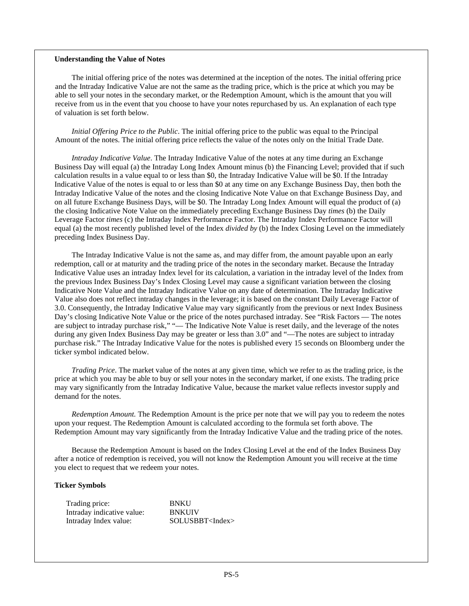# **Understanding the Value of Notes**

The initial offering price of the notes was determined at the inception of the notes. The initial offering price and the Intraday Indicative Value are not the same as the trading price, which is the price at which you may be able to sell your notes in the secondary market, or the Redemption Amount, which is the amount that you will receive from us in the event that you choose to have your notes repurchased by us. An explanation of each type of valuation is set forth below.

*Initial Offering Price to the Public*. The initial offering price to the public was equal to the Principal Amount of the notes. The initial offering price reflects the value of the notes only on the Initial Trade Date.

*Intraday Indicative Value*. The Intraday Indicative Value of the notes at any time during an Exchange Business Day will equal (a) the Intraday Long Index Amount minus (b) the Financing Level; provided that if such calculation results in a value equal to or less than \$0, the Intraday Indicative Value will be \$0. If the Intraday Indicative Value of the notes is equal to or less than \$0 at any time on any Exchange Business Day, then both the Intraday Indicative Value of the notes and the closing Indicative Note Value on that Exchange Business Day, and on all future Exchange Business Days, will be \$0. The Intraday Long Index Amount will equal the product of (a) the closing Indicative Note Value on the immediately preceding Exchange Business Day *times* (b) the Daily Leverage Factor *times* (c) the Intraday Index Performance Factor. The Intraday Index Performance Factor will equal (a) the most recently published level of the Index *divided by* (b) the Index Closing Level on the immediately preceding Index Business Day.

The Intraday Indicative Value is not the same as, and may differ from, the amount payable upon an early redemption, call or at maturity and the trading price of the notes in the secondary market. Because the Intraday Indicative Value uses an intraday Index level for its calculation, a variation in the intraday level of the Index from the previous Index Business Day's Index Closing Level may cause a significant variation between the closing Indicative Note Value and the Intraday Indicative Value on any date of determination. The Intraday Indicative Value also does not reflect intraday changes in the leverage; it is based on the constant Daily Leverage Factor of 3.0. Consequently, the Intraday Indicative Value may vary significantly from the previous or next Index Business Day's closing Indicative Note Value or the price of the notes purchased intraday. See "Risk Factors — The notes are subject to intraday purchase risk," "— The Indicative Note Value is reset daily, and the leverage of the notes during any given Index Business Day may be greater or less than 3.0" and "—The notes are subject to intraday purchase risk." The Intraday Indicative Value for the notes is published every 15 seconds on Bloomberg under the ticker symbol indicated below.

*Trading Price*. The market value of the notes at any given time, which we refer to as the trading price, is the price at which you may be able to buy or sell your notes in the secondary market, if one exists. The trading price may vary significantly from the Intraday Indicative Value, because the market value reflects investor supply and demand for the notes.

*Redemption Amount.* The Redemption Amount is the price per note that we will pay you to redeem the notes upon your request. The Redemption Amount is calculated according to the formula set forth above. The Redemption Amount may vary significantly from the Intraday Indicative Value and the trading price of the notes.

Because the Redemption Amount is based on the Index Closing Level at the end of the Index Business Day after a notice of redemption is received, you will not know the Redemption Amount you will receive at the time you elect to request that we redeem your notes.

# **Ticker Symbols**

| Trading price:             | <b>BNKU</b>              |
|----------------------------|--------------------------|
| Intraday indicative value: | <b>BNKUIV</b>            |
| Intraday Index value:      | SOLUSBBT <index></index> |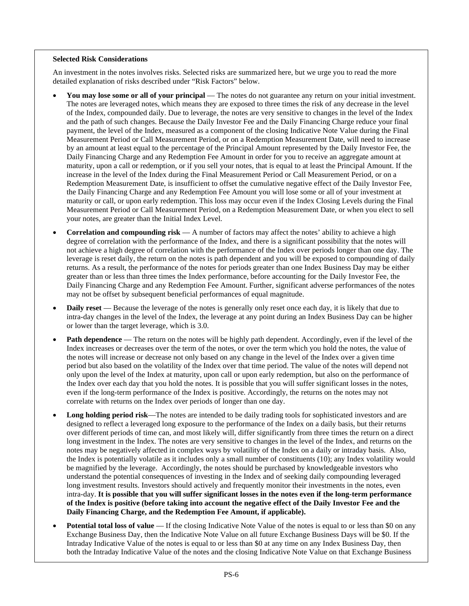# **Selected Risk Considerations**

An investment in the notes involves risks. Selected risks are summarized here, but we urge you to read the more detailed explanation of risks described under "Risk Factors" below.

- **You may lose some or all of your principal** The notes do not guarantee any return on your initial investment. The notes are leveraged notes, which means they are exposed to three times the risk of any decrease in the level of the Index, compounded daily. Due to leverage, the notes are very sensitive to changes in the level of the Index and the path of such changes. Because the Daily Investor Fee and the Daily Financing Charge reduce your final payment, the level of the Index, measured as a component of the closing Indicative Note Value during the Final Measurement Period or Call Measurement Period, or on a Redemption Measurement Date, will need to increase by an amount at least equal to the percentage of the Principal Amount represented by the Daily Investor Fee, the Daily Financing Charge and any Redemption Fee Amount in order for you to receive an aggregate amount at maturity, upon a call or redemption, or if you sell your notes, that is equal to at least the Principal Amount. If the increase in the level of the Index during the Final Measurement Period or Call Measurement Period, or on a Redemption Measurement Date, is insufficient to offset the cumulative negative effect of the Daily Investor Fee, the Daily Financing Charge and any Redemption Fee Amount you will lose some or all of your investment at maturity or call, or upon early redemption. This loss may occur even if the Index Closing Levels during the Final Measurement Period or Call Measurement Period, on a Redemption Measurement Date, or when you elect to sell your notes, are greater than the Initial Index Level.
- **Correlation and compounding risk** A number of factors may affect the notes' ability to achieve a high degree of correlation with the performance of the Index, and there is a significant possibility that the notes will not achieve a high degree of correlation with the performance of the Index over periods longer than one day. The leverage is reset daily, the return on the notes is path dependent and you will be exposed to compounding of daily returns. As a result, the performance of the notes for periods greater than one Index Business Day may be either greater than or less than three times the Index performance, before accounting for the Daily Investor Fee, the Daily Financing Charge and any Redemption Fee Amount. Further, significant adverse performances of the notes may not be offset by subsequent beneficial performances of equal magnitude.
- **Daily reset** Because the leverage of the notes is generally only reset once each day, it is likely that due to intra-day changes in the level of the Index, the leverage at any point during an Index Business Day can be higher or lower than the target leverage, which is 3.0.
- **Path dependence** The return on the notes will be highly path dependent. Accordingly, even if the level of the Index increases or decreases over the term of the notes, or over the term which you hold the notes, the value of the notes will increase or decrease not only based on any change in the level of the Index over a given time period but also based on the volatility of the Index over that time period. The value of the notes will depend not only upon the level of the Index at maturity, upon call or upon early redemption, but also on the performance of the Index over each day that you hold the notes. It is possible that you will suffer significant losses in the notes, even if the long-term performance of the Index is positive. Accordingly, the returns on the notes may not correlate with returns on the Index over periods of longer than one day.
- **Long holding period risk**—The notes are intended to be daily trading tools for sophisticated investors and are designed to reflect a leveraged long exposure to the performance of the Index on a daily basis, but their returns over different periods of time can, and most likely will, differ significantly from three times the return on a direct long investment in the Index. The notes are very sensitive to changes in the level of the Index, and returns on the notes may be negatively affected in complex ways by volatility of the Index on a daily or intraday basis. Also, the Index is potentially volatile as it includes only a small number of constituents (10); any Index volatility would be magnified by the leverage. Accordingly, the notes should be purchased by knowledgeable investors who understand the potential consequences of investing in the Index and of seeking daily compounding leveraged long investment results. Investors should actively and frequently monitor their investments in the notes, even intra-day. **It is possible that you will suffer significant losses in the notes even if the long-term performance of the Index is positive (before taking into account the negative effect of the Daily Investor Fee and the Daily Financing Charge, and the Redemption Fee Amount, if applicable).**
- **Potential total loss of value** If the closing Indicative Note Value of the notes is equal to or less than \$0 on any Exchange Business Day, then the Indicative Note Value on all future Exchange Business Days will be \$0. If the Intraday Indicative Value of the notes is equal to or less than \$0 at any time on any Index Business Day, then both the Intraday Indicative Value of the notes and the closing Indicative Note Value on that Exchange Business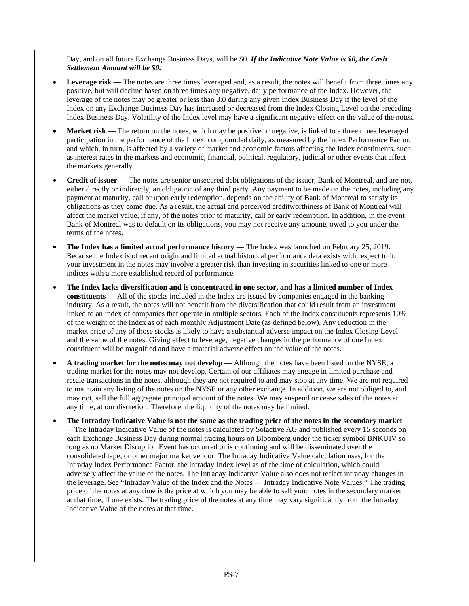Day, and on all future Exchange Business Days, will be \$0. *If the Indicative Note Value is \$0, the Cash Settlement Amount will be \$0.*

- Leverage risk The notes are three times leveraged and, as a result, the notes will benefit from three times any positive, but will decline based on three times any negative, daily performance of the Index. However, the leverage of the notes may be greater or less than 3.0 during any given Index Business Day if the level of the Index on any Exchange Business Day has increased or decreased from the Index Closing Level on the preceding Index Business Day. Volatility of the Index level may have a significant negative effect on the value of the notes.
- **Market risk** The return on the notes, which may be positive or negative, is linked to a three times leveraged participation in the performance of the Index, compounded daily, as measured by the Index Performance Factor, and which, in turn, is affected by a variety of market and economic factors affecting the Index constituents, such as interest rates in the markets and economic, financial, political, regulatory, judicial or other events that affect the markets generally.
- **Credit of issuer** The notes are senior unsecured debt obligations of the issuer, Bank of Montreal, and are not, either directly or indirectly, an obligation of any third party. Any payment to be made on the notes, including any payment at maturity, call or upon early redemption, depends on the ability of Bank of Montreal to satisfy its obligations as they come due. As a result, the actual and perceived creditworthiness of Bank of Montreal will affect the market value, if any, of the notes prior to maturity, call or early redemption. In addition, in the event Bank of Montreal was to default on its obligations, you may not receive any amounts owed to you under the terms of the notes.
- **The Index has a limited actual performance history** The Index was launched on February 25, 2019. Because the Index is of recent origin and limited actual historical performance data exists with respect to it, your investment in the notes may involve a greater risk than investing in securities linked to one or more indices with a more established record of performance.
- **The Index lacks diversification and is concentrated in one sector, and has a limited number of Index constituents** — All of the stocks included in the Index are issued by companies engaged in the banking industry. As a result, the notes will not benefit from the diversification that could result from an investment linked to an index of companies that operate in multiple sectors. Each of the Index constituents represents 10% of the weight of the Index as of each monthly Adjustment Date (as defined below). Any reduction in the market price of any of those stocks is likely to have a substantial adverse impact on the Index Closing Level and the value of the notes. Giving effect to leverage, negative changes in the performance of one Index constituent will be magnified and have a material adverse effect on the value of the notes.
- **A trading market for the notes may not develop**  Although the notes have been listed on the NYSE, a trading market for the notes may not develop. Certain of our affiliates may engage in limited purchase and resale transactions in the notes, although they are not required to and may stop at any time. We are not required to maintain any listing of the notes on the NYSE or any other exchange. In addition, we are not obliged to, and may not, sell the full aggregate principal amount of the notes. We may suspend or cease sales of the notes at any time, at our discretion. Therefore, the liquidity of the notes may be limited.
- **The Intraday Indicative Value is not the same as the trading price of the notes in the secondary market** —The Intraday Indicative Value of the notes is calculated by Solactive AG and published every 15 seconds on each Exchange Business Day during normal trading hours on Bloomberg under the ticker symbol BNKUIV so long as no Market Disruption Event has occurred or is continuing and will be disseminated over the consolidated tape, or other major market vendor. The Intraday Indicative Value calculation uses, for the Intraday Index Performance Factor, the intraday Index level as of the time of calculation, which could adversely affect the value of the notes. The Intraday Indicative Value also does not reflect intraday changes in the leverage. See "Intraday Value of the Index and the Notes — Intraday Indicative Note Values." The trading price of the notes at any time is the price at which you may be able to sell your notes in the secondary market at that time, if one exists. The trading price of the notes at any time may vary significantly from the Intraday Indicative Value of the notes at that time.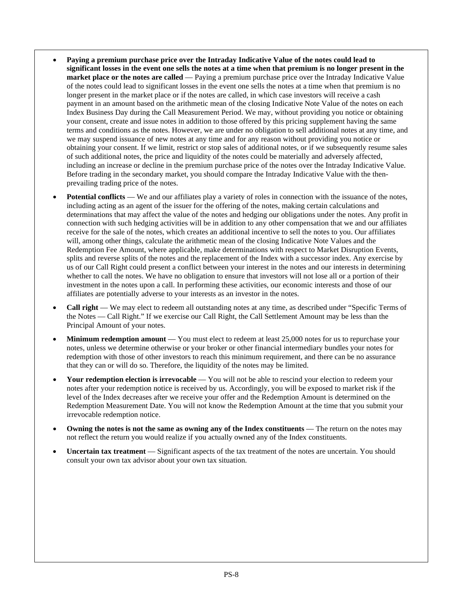- **Paying a premium purchase price over the Intraday Indicative Value of the notes could lead to significant losses in the event one sells the notes at a time when that premium is no longer present in the market place or the notes are called** — Paying a premium purchase price over the Intraday Indicative Value of the notes could lead to significant losses in the event one sells the notes at a time when that premium is no longer present in the market place or if the notes are called, in which case investors will receive a cash payment in an amount based on the arithmetic mean of the closing Indicative Note Value of the notes on each Index Business Day during the Call Measurement Period. We may, without providing you notice or obtaining your consent, create and issue notes in addition to those offered by this pricing supplement having the same terms and conditions as the notes. However, we are under no obligation to sell additional notes at any time, and we may suspend issuance of new notes at any time and for any reason without providing you notice or obtaining your consent. If we limit, restrict or stop sales of additional notes, or if we subsequently resume sales of such additional notes, the price and liquidity of the notes could be materially and adversely affected, including an increase or decline in the premium purchase price of the notes over the Intraday Indicative Value. Before trading in the secondary market, you should compare the Intraday Indicative Value with the thenprevailing trading price of the notes.
- **Potential conflicts** We and our affiliates play a variety of roles in connection with the issuance of the notes, including acting as an agent of the issuer for the offering of the notes, making certain calculations and determinations that may affect the value of the notes and hedging our obligations under the notes. Any profit in connection with such hedging activities will be in addition to any other compensation that we and our affiliates receive for the sale of the notes, which creates an additional incentive to sell the notes to you. Our affiliates will, among other things, calculate the arithmetic mean of the closing Indicative Note Values and the Redemption Fee Amount, where applicable, make determinations with respect to Market Disruption Events, splits and reverse splits of the notes and the replacement of the Index with a successor index. Any exercise by us of our Call Right could present a conflict between your interest in the notes and our interests in determining whether to call the notes. We have no obligation to ensure that investors will not lose all or a portion of their investment in the notes upon a call. In performing these activities, our economic interests and those of our affiliates are potentially adverse to your interests as an investor in the notes.
- **Call right** We may elect to redeem all outstanding notes at any time, as described under "Specific Terms of the Notes — Call Right." If we exercise our Call Right, the Call Settlement Amount may be less than the Principal Amount of your notes.
- **Minimum redemption amount** You must elect to redeem at least 25,000 notes for us to repurchase your notes, unless we determine otherwise or your broker or other financial intermediary bundles your notes for redemption with those of other investors to reach this minimum requirement, and there can be no assurance that they can or will do so. Therefore, the liquidity of the notes may be limited.
- **Your redemption election is irrevocable** You will not be able to rescind your election to redeem your notes after your redemption notice is received by us. Accordingly, you will be exposed to market risk if the level of the Index decreases after we receive your offer and the Redemption Amount is determined on the Redemption Measurement Date. You will not know the Redemption Amount at the time that you submit your irrevocable redemption notice.
- **Owning the notes is not the same as owning any of the Index constituents** The return on the notes may not reflect the return you would realize if you actually owned any of the Index constituents.
- **Uncertain tax treatment** Significant aspects of the tax treatment of the notes are uncertain. You should consult your own tax advisor about your own tax situation.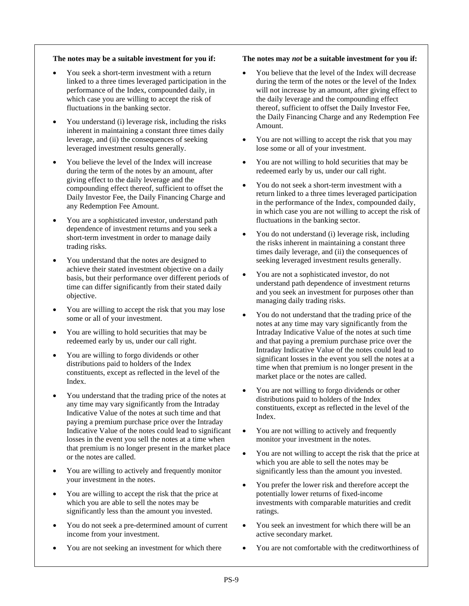# **The notes may be a suitable investment for you if:**

- You seek a short-term investment with a return linked to a three times leveraged participation in the performance of the Index, compounded daily, in which case you are willing to accept the risk of fluctuations in the banking sector.
- You understand (i) leverage risk, including the risks inherent in maintaining a constant three times daily leverage, and (ii) the consequences of seeking leveraged investment results generally.
- You believe the level of the Index will increase during the term of the notes by an amount, after giving effect to the daily leverage and the compounding effect thereof, sufficient to offset the Daily Investor Fee, the Daily Financing Charge and any Redemption Fee Amount.
- You are a sophisticated investor, understand path dependence of investment returns and you seek a short-term investment in order to manage daily trading risks.
- You understand that the notes are designed to achieve their stated investment objective on a daily basis, but their performance over different periods of time can differ significantly from their stated daily objective.
- You are willing to accept the risk that you may lose some or all of your investment.
- You are willing to hold securities that may be redeemed early by us, under our call right.
- You are willing to forgo dividends or other distributions paid to holders of the Index constituents, except as reflected in the level of the Index.
- You understand that the trading price of the notes at any time may vary significantly from the Intraday Indicative Value of the notes at such time and that paying a premium purchase price over the Intraday Indicative Value of the notes could lead to significant losses in the event you sell the notes at a time when that premium is no longer present in the market place or the notes are called.
- You are willing to actively and frequently monitor your investment in the notes.
- You are willing to accept the risk that the price at which you are able to sell the notes may be significantly less than the amount you invested.
- You do not seek a pre-determined amount of current income from your investment.
- You are not seeking an investment for which there

# **The notes may** *not* **be a suitable investment for you if:**

- You believe that the level of the Index will decrease during the term of the notes or the level of the Index will not increase by an amount, after giving effect to the daily leverage and the compounding effect thereof, sufficient to offset the Daily Investor Fee, the Daily Financing Charge and any Redemption Fee Amount.
- You are not willing to accept the risk that you may lose some or all of your investment.
- You are not willing to hold securities that may be redeemed early by us, under our call right.
- You do not seek a short-term investment with a return linked to a three times leveraged participation in the performance of the Index, compounded daily, in which case you are not willing to accept the risk of fluctuations in the banking sector.
- You do not understand (i) leverage risk, including the risks inherent in maintaining a constant three times daily leverage, and (ii) the consequences of seeking leveraged investment results generally.
- You are not a sophisticated investor, do not understand path dependence of investment returns and you seek an investment for purposes other than managing daily trading risks.
- You do not understand that the trading price of the notes at any time may vary significantly from the Intraday Indicative Value of the notes at such time and that paying a premium purchase price over the Intraday Indicative Value of the notes could lead to significant losses in the event you sell the notes at a time when that premium is no longer present in the market place or the notes are called.
- You are not willing to forgo dividends or other distributions paid to holders of the Index constituents, except as reflected in the level of the Index.
- You are not willing to actively and frequently monitor your investment in the notes.
- You are not willing to accept the risk that the price at which you are able to sell the notes may be significantly less than the amount you invested.
- You prefer the lower risk and therefore accept the potentially lower returns of fixed-income investments with comparable maturities and credit ratings.
- You seek an investment for which there will be an active secondary market.
- You are not comfortable with the creditworthiness of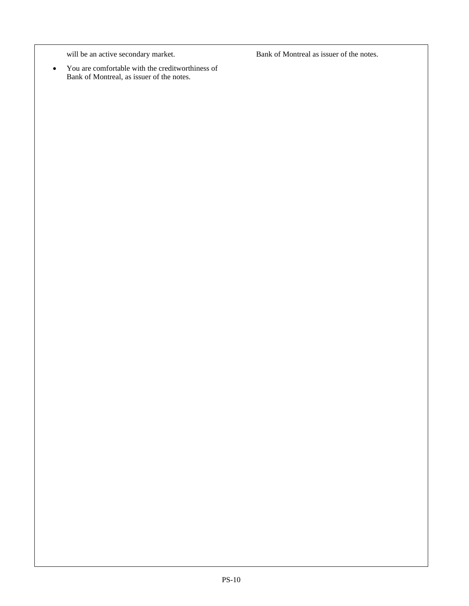will be an active secondary market.

 You are comfortable with the creditworthiness of Bank of Montreal, as issuer of the notes.

Bank of Montreal as issuer of the notes.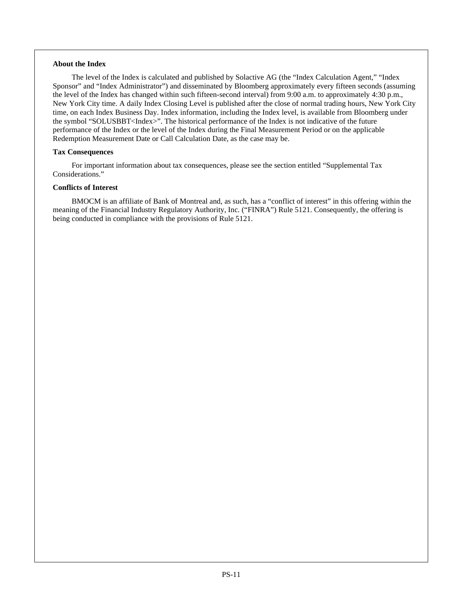# **About the Index**

The level of the Index is calculated and published by Solactive AG (the "Index Calculation Agent," "Index Sponsor" and "Index Administrator") and disseminated by Bloomberg approximately every fifteen seconds (assuming the level of the Index has changed within such fifteen-second interval) from 9:00 a.m. to approximately 4:30 p.m., New York City time. A daily Index Closing Level is published after the close of normal trading hours, New York City time, on each Index Business Day. Index information, including the Index level, is available from Bloomberg under the symbol "SOLUSBBT<Index>". The historical performance of the Index is not indicative of the future performance of the Index or the level of the Index during the Final Measurement Period or on the applicable Redemption Measurement Date or Call Calculation Date, as the case may be.

# **Tax Consequences**

For important information about tax consequences, please see the section entitled "Supplemental Tax Considerations."

# **Conflicts of Interest**

BMOCM is an affiliate of Bank of Montreal and, as such, has a "conflict of interest" in this offering within the meaning of the Financial Industry Regulatory Authority, Inc. ("FINRA") Rule 5121. Consequently, the offering is being conducted in compliance with the provisions of Rule 5121.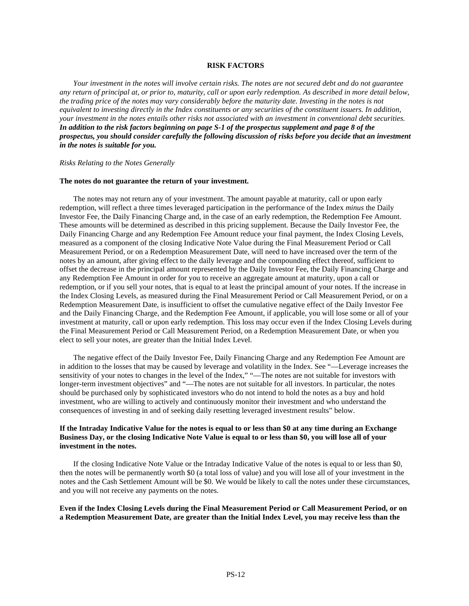#### **RISK FACTORS**

*Your investment in the notes will involve certain risks. The notes are not secured debt and do not guarantee any return of principal at, or prior to, maturity, call or upon early redemption. As described in more detail below, the trading price of the notes may vary considerably before the maturity date. Investing in the notes is not equivalent to investing directly in the Index constituents or any securities of the constituent issuers. In addition, your investment in the notes entails other risks not associated with an investment in conventional debt securities. In addition to the risk factors beginning on page S-1 of the prospectus supplement and page 8 of the prospectus, you should consider carefully the following discussion of risks before you decide that an investment in the notes is suitable for you.*

#### *Risks Relating to the Notes Generally*

#### **The notes do not guarantee the return of your investment.**

The notes may not return any of your investment. The amount payable at maturity, call or upon early redemption, will reflect a three times leveraged participation in the performance of the Index *minus* the Daily Investor Fee, the Daily Financing Charge and, in the case of an early redemption, the Redemption Fee Amount. These amounts will be determined as described in this pricing supplement. Because the Daily Investor Fee, the Daily Financing Charge and any Redemption Fee Amount reduce your final payment, the Index Closing Levels, measured as a component of the closing Indicative Note Value during the Final Measurement Period or Call Measurement Period, or on a Redemption Measurement Date, will need to have increased over the term of the notes by an amount, after giving effect to the daily leverage and the compounding effect thereof, sufficient to offset the decrease in the principal amount represented by the Daily Investor Fee, the Daily Financing Charge and any Redemption Fee Amount in order for you to receive an aggregate amount at maturity, upon a call or redemption, or if you sell your notes, that is equal to at least the principal amount of your notes. If the increase in the Index Closing Levels, as measured during the Final Measurement Period or Call Measurement Period, or on a Redemption Measurement Date, is insufficient to offset the cumulative negative effect of the Daily Investor Fee and the Daily Financing Charge, and the Redemption Fee Amount, if applicable, you will lose some or all of your investment at maturity, call or upon early redemption. This loss may occur even if the Index Closing Levels during the Final Measurement Period or Call Measurement Period, on a Redemption Measurement Date, or when you elect to sell your notes, are greater than the Initial Index Level.

The negative effect of the Daily Investor Fee, Daily Financing Charge and any Redemption Fee Amount are in addition to the losses that may be caused by leverage and volatility in the Index. See "—Leverage increases the sensitivity of your notes to changes in the level of the Index," "—The notes are not suitable for investors with longer-term investment objectives" and "—The notes are not suitable for all investors. In particular, the notes should be purchased only by sophisticated investors who do not intend to hold the notes as a buy and hold investment, who are willing to actively and continuously monitor their investment and who understand the consequences of investing in and of seeking daily resetting leveraged investment results" below.

# **If the Intraday Indicative Value for the notes is equal to or less than \$0 at any time during an Exchange Business Day, or the closing Indicative Note Value is equal to or less than \$0, you will lose all of your investment in the notes.**

If the closing Indicative Note Value or the Intraday Indicative Value of the notes is equal to or less than \$0, then the notes will be permanently worth \$0 (a total loss of value) and you will lose all of your investment in the notes and the Cash Settlement Amount will be \$0. We would be likely to call the notes under these circumstances, and you will not receive any payments on the notes.

# **Even if the Index Closing Levels during the Final Measurement Period or Call Measurement Period, or on a Redemption Measurement Date, are greater than the Initial Index Level, you may receive less than the**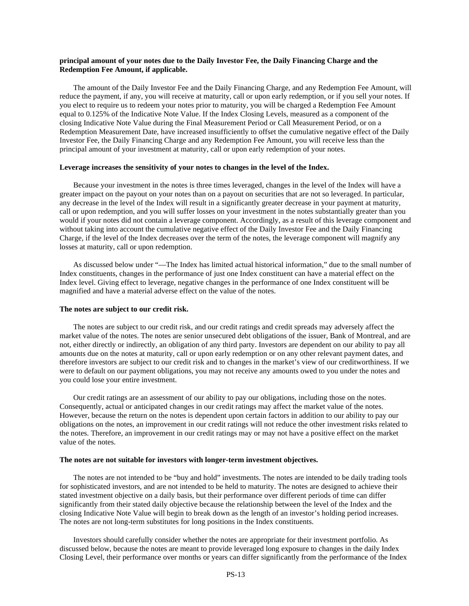# **principal amount of your notes due to the Daily Investor Fee, the Daily Financing Charge and the Redemption Fee Amount, if applicable.**

The amount of the Daily Investor Fee and the Daily Financing Charge, and any Redemption Fee Amount, will reduce the payment, if any, you will receive at maturity, call or upon early redemption, or if you sell your notes. If you elect to require us to redeem your notes prior to maturity, you will be charged a Redemption Fee Amount equal to 0.125% of the Indicative Note Value. If the Index Closing Levels, measured as a component of the closing Indicative Note Value during the Final Measurement Period or Call Measurement Period, or on a Redemption Measurement Date, have increased insufficiently to offset the cumulative negative effect of the Daily Investor Fee, the Daily Financing Charge and any Redemption Fee Amount, you will receive less than the principal amount of your investment at maturity, call or upon early redemption of your notes.

#### **Leverage increases the sensitivity of your notes to changes in the level of the Index.**

Because your investment in the notes is three times leveraged, changes in the level of the Index will have a greater impact on the payout on your notes than on a payout on securities that are not so leveraged. In particular, any decrease in the level of the Index will result in a significantly greater decrease in your payment at maturity, call or upon redemption, and you will suffer losses on your investment in the notes substantially greater than you would if your notes did not contain a leverage component. Accordingly, as a result of this leverage component and without taking into account the cumulative negative effect of the Daily Investor Fee and the Daily Financing Charge, if the level of the Index decreases over the term of the notes, the leverage component will magnify any losses at maturity, call or upon redemption.

As discussed below under "—The Index has limited actual historical information," due to the small number of Index constituents, changes in the performance of just one Index constituent can have a material effect on the Index level. Giving effect to leverage, negative changes in the performance of one Index constituent will be magnified and have a material adverse effect on the value of the notes.

#### **The notes are subject to our credit risk.**

The notes are subject to our credit risk, and our credit ratings and credit spreads may adversely affect the market value of the notes. The notes are senior unsecured debt obligations of the issuer, Bank of Montreal, and are not, either directly or indirectly, an obligation of any third party. Investors are dependent on our ability to pay all amounts due on the notes at maturity, call or upon early redemption or on any other relevant payment dates, and therefore investors are subject to our credit risk and to changes in the market's view of our creditworthiness. If we were to default on our payment obligations, you may not receive any amounts owed to you under the notes and you could lose your entire investment.

Our credit ratings are an assessment of our ability to pay our obligations, including those on the notes. Consequently, actual or anticipated changes in our credit ratings may affect the market value of the notes. However, because the return on the notes is dependent upon certain factors in addition to our ability to pay our obligations on the notes, an improvement in our credit ratings will not reduce the other investment risks related to the notes. Therefore, an improvement in our credit ratings may or may not have a positive effect on the market value of the notes.

#### **The notes are not suitable for investors with longer-term investment objectives.**

The notes are not intended to be "buy and hold" investments. The notes are intended to be daily trading tools for sophisticated investors, and are not intended to be held to maturity. The notes are designed to achieve their stated investment objective on a daily basis, but their performance over different periods of time can differ significantly from their stated daily objective because the relationship between the level of the Index and the closing Indicative Note Value will begin to break down as the length of an investor's holding period increases. The notes are not long-term substitutes for long positions in the Index constituents.

Investors should carefully consider whether the notes are appropriate for their investment portfolio. As discussed below, because the notes are meant to provide leveraged long exposure to changes in the daily Index Closing Level, their performance over months or years can differ significantly from the performance of the Index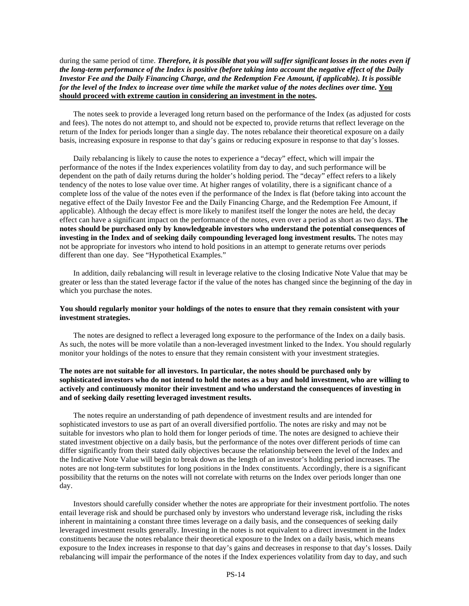during the same period of time. *Therefore, it is possible that you will suffer significant losses in the notes even if the long-term performance of the Index is positive (before taking into account the negative effect of the Daily Investor Fee and the Daily Financing Charge, and the Redemption Fee Amount, if applicable). It is possible for the level of the Index to increase over time while the market value of the notes declines over time.* **You should proceed with extreme caution in considering an investment in the notes.** 

The notes seek to provide a leveraged long return based on the performance of the Index (as adjusted for costs and fees). The notes do not attempt to, and should not be expected to, provide returns that reflect leverage on the return of the Index for periods longer than a single day. The notes rebalance their theoretical exposure on a daily basis, increasing exposure in response to that day's gains or reducing exposure in response to that day's losses.

Daily rebalancing is likely to cause the notes to experience a "decay" effect, which will impair the performance of the notes if the Index experiences volatility from day to day, and such performance will be dependent on the path of daily returns during the holder's holding period. The "decay" effect refers to a likely tendency of the notes to lose value over time. At higher ranges of volatility, there is a significant chance of a complete loss of the value of the notes even if the performance of the Index is flat (before taking into account the negative effect of the Daily Investor Fee and the Daily Financing Charge, and the Redemption Fee Amount, if applicable). Although the decay effect is more likely to manifest itself the longer the notes are held, the decay effect can have a significant impact on the performance of the notes, even over a period as short as two days. **The notes should be purchased only by knowledgeable investors who understand the potential consequences of investing in the Index and of seeking daily compounding leveraged long investment results.** The notes may not be appropriate for investors who intend to hold positions in an attempt to generate returns over periods different than one day. See "Hypothetical Examples."

In addition, daily rebalancing will result in leverage relative to the closing Indicative Note Value that may be greater or less than the stated leverage factor if the value of the notes has changed since the beginning of the day in which you purchase the notes.

# **You should regularly monitor your holdings of the notes to ensure that they remain consistent with your investment strategies.**

The notes are designed to reflect a leveraged long exposure to the performance of the Index on a daily basis. As such, the notes will be more volatile than a non-leveraged investment linked to the Index. You should regularly monitor your holdings of the notes to ensure that they remain consistent with your investment strategies.

# **The notes are not suitable for all investors. In particular, the notes should be purchased only by sophisticated investors who do not intend to hold the notes as a buy and hold investment, who are willing to actively and continuously monitor their investment and who understand the consequences of investing in and of seeking daily resetting leveraged investment results.**

The notes require an understanding of path dependence of investment results and are intended for sophisticated investors to use as part of an overall diversified portfolio. The notes are risky and may not be suitable for investors who plan to hold them for longer periods of time. The notes are designed to achieve their stated investment objective on a daily basis, but the performance of the notes over different periods of time can differ significantly from their stated daily objectives because the relationship between the level of the Index and the Indicative Note Value will begin to break down as the length of an investor's holding period increases. The notes are not long-term substitutes for long positions in the Index constituents. Accordingly, there is a significant possibility that the returns on the notes will not correlate with returns on the Index over periods longer than one day.

Investors should carefully consider whether the notes are appropriate for their investment portfolio. The notes entail leverage risk and should be purchased only by investors who understand leverage risk, including the risks inherent in maintaining a constant three times leverage on a daily basis, and the consequences of seeking daily leveraged investment results generally. Investing in the notes is not equivalent to a direct investment in the Index constituents because the notes rebalance their theoretical exposure to the Index on a daily basis, which means exposure to the Index increases in response to that day's gains and decreases in response to that day's losses. Daily rebalancing will impair the performance of the notes if the Index experiences volatility from day to day, and such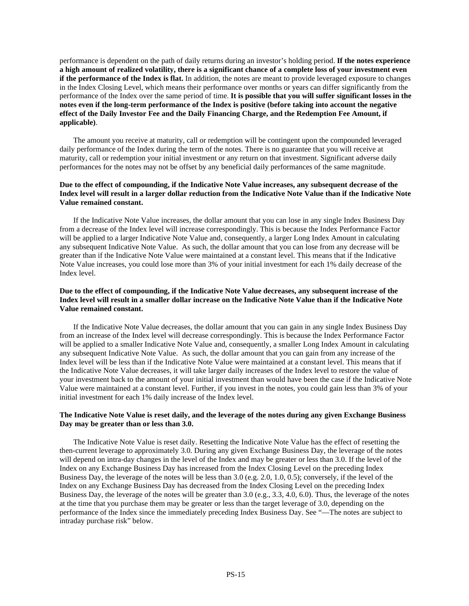performance is dependent on the path of daily returns during an investor's holding period. **If the notes experience a high amount of realized volatility, there is a significant chance of a complete loss of your investment even if the performance of the Index is flat.** In addition, the notes are meant to provide leveraged exposure to changes in the Index Closing Level, which means their performance over months or years can differ significantly from the performance of the Index over the same period of time. **It is possible that you will suffer significant losses in the notes even if the long-term performance of the Index is positive (before taking into account the negative effect of the Daily Investor Fee and the Daily Financing Charge, and the Redemption Fee Amount, if applicable)**.

The amount you receive at maturity, call or redemption will be contingent upon the compounded leveraged daily performance of the Index during the term of the notes. There is no guarantee that you will receive at maturity, call or redemption your initial investment or any return on that investment. Significant adverse daily performances for the notes may not be offset by any beneficial daily performances of the same magnitude.

# **Due to the effect of compounding, if the Indicative Note Value increases, any subsequent decrease of the Index level will result in a larger dollar reduction from the Indicative Note Value than if the Indicative Note Value remained constant.**

If the Indicative Note Value increases, the dollar amount that you can lose in any single Index Business Day from a decrease of the Index level will increase correspondingly. This is because the Index Performance Factor will be applied to a larger Indicative Note Value and, consequently, a larger Long Index Amount in calculating any subsequent Indicative Note Value. As such, the dollar amount that you can lose from any decrease will be greater than if the Indicative Note Value were maintained at a constant level. This means that if the Indicative Note Value increases, you could lose more than 3% of your initial investment for each 1% daily decrease of the Index level.

# **Due to the effect of compounding, if the Indicative Note Value decreases, any subsequent increase of the Index level will result in a smaller dollar increase on the Indicative Note Value than if the Indicative Note Value remained constant.**

If the Indicative Note Value decreases, the dollar amount that you can gain in any single Index Business Day from an increase of the Index level will decrease correspondingly. This is because the Index Performance Factor will be applied to a smaller Indicative Note Value and, consequently, a smaller Long Index Amount in calculating any subsequent Indicative Note Value. As such, the dollar amount that you can gain from any increase of the Index level will be less than if the Indicative Note Value were maintained at a constant level. This means that if the Indicative Note Value decreases, it will take larger daily increases of the Index level to restore the value of your investment back to the amount of your initial investment than would have been the case if the Indicative Note Value were maintained at a constant level. Further, if you invest in the notes, you could gain less than 3% of your initial investment for each 1% daily increase of the Index level.

# **The Indicative Note Value is reset daily, and the leverage of the notes during any given Exchange Business Day may be greater than or less than 3.0.**

The Indicative Note Value is reset daily. Resetting the Indicative Note Value has the effect of resetting the then-current leverage to approximately 3.0. During any given Exchange Business Day, the leverage of the notes will depend on intra-day changes in the level of the Index and may be greater or less than 3.0. If the level of the Index on any Exchange Business Day has increased from the Index Closing Level on the preceding Index Business Day, the leverage of the notes will be less than 3.0 (e.g. 2.0, 1.0, 0.5); conversely, if the level of the Index on any Exchange Business Day has decreased from the Index Closing Level on the preceding Index Business Day, the leverage of the notes will be greater than 3.0 (e.g., 3.3, 4.0, 6.0). Thus, the leverage of the notes at the time that you purchase them may be greater or less than the target leverage of 3.0, depending on the performance of the Index since the immediately preceding Index Business Day. See "—The notes are subject to intraday purchase risk" below.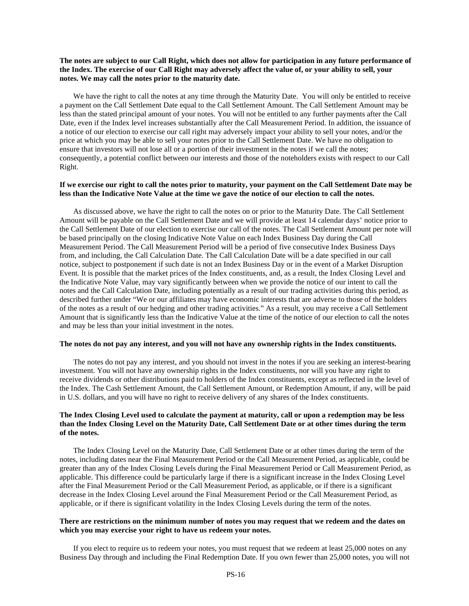# **The notes are subject to our Call Right, which does not allow for participation in any future performance of the Index. The exercise of our Call Right may adversely affect the value of, or your ability to sell, your notes. We may call the notes prior to the maturity date.**

We have the right to call the notes at any time through the Maturity Date. You will only be entitled to receive a payment on the Call Settlement Date equal to the Call Settlement Amount. The Call Settlement Amount may be less than the stated principal amount of your notes. You will not be entitled to any further payments after the Call Date, even if the Index level increases substantially after the Call Measurement Period. In addition, the issuance of a notice of our election to exercise our call right may adversely impact your ability to sell your notes, and/or the price at which you may be able to sell your notes prior to the Call Settlement Date. We have no obligation to ensure that investors will not lose all or a portion of their investment in the notes if we call the notes; consequently, a potential conflict between our interests and those of the noteholders exists with respect to our Call Right.

# **If we exercise our right to call the notes prior to maturity, your payment on the Call Settlement Date may be less than the Indicative Note Value at the time we gave the notice of our election to call the notes.**

As discussed above, we have the right to call the notes on or prior to the Maturity Date. The Call Settlement Amount will be payable on the Call Settlement Date and we will provide at least 14 calendar days' notice prior to the Call Settlement Date of our election to exercise our call of the notes. The Call Settlement Amount per note will be based principally on the closing Indicative Note Value on each Index Business Day during the Call Measurement Period. The Call Measurement Period will be a period of five consecutive Index Business Days from, and including, the Call Calculation Date. The Call Calculation Date will be a date specified in our call notice, subject to postponement if such date is not an Index Business Day or in the event of a Market Disruption Event*.* It is possible that the market prices of the Index constituents, and, as a result, the Index Closing Level and the Indicative Note Value, may vary significantly between when we provide the notice of our intent to call the notes and the Call Calculation Date, including potentially as a result of our trading activities during this period, as described further under "We or our affiliates may have economic interests that are adverse to those of the holders of the notes as a result of our hedging and other trading activities." As a result, you may receive a Call Settlement Amount that is significantly less than the Indicative Value at the time of the notice of our election to call the notes and may be less than your initial investment in the notes.

#### **The notes do not pay any interest, and you will not have any ownership rights in the Index constituents.**

The notes do not pay any interest, and you should not invest in the notes if you are seeking an interest-bearing investment. You will not have any ownership rights in the Index constituents, nor will you have any right to receive dividends or other distributions paid to holders of the Index constituents, except as reflected in the level of the Index. The Cash Settlement Amount, the Call Settlement Amount, or Redemption Amount, if any, will be paid in U.S. dollars, and you will have no right to receive delivery of any shares of the Index constituents.

# **The Index Closing Level used to calculate the payment at maturity, call or upon a redemption may be less than the Index Closing Level on the Maturity Date, Call Settlement Date or at other times during the term of the notes.**

The Index Closing Level on the Maturity Date, Call Settlement Date or at other times during the term of the notes, including dates near the Final Measurement Period or the Call Measurement Period, as applicable, could be greater than any of the Index Closing Levels during the Final Measurement Period or Call Measurement Period, as applicable. This difference could be particularly large if there is a significant increase in the Index Closing Level after the Final Measurement Period or the Call Measurement Period, as applicable, or if there is a significant decrease in the Index Closing Level around the Final Measurement Period or the Call Measurement Period, as applicable, or if there is significant volatility in the Index Closing Levels during the term of the notes.

# **There are restrictions on the minimum number of notes you may request that we redeem and the dates on which you may exercise your right to have us redeem your notes.**

If you elect to require us to redeem your notes, you must request that we redeem at least 25,000 notes on any Business Day through and including the Final Redemption Date. If you own fewer than 25,000 notes, you will not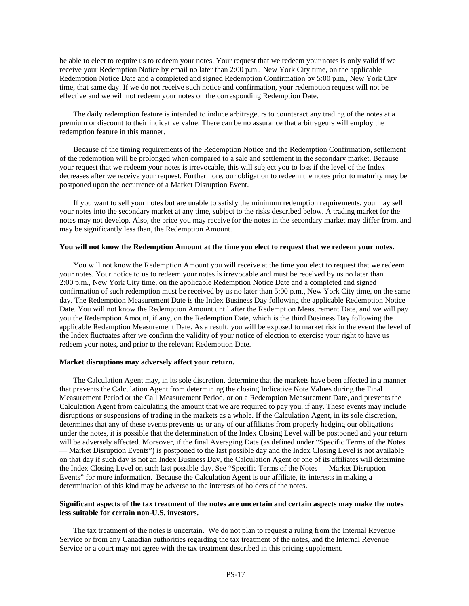be able to elect to require us to redeem your notes. Your request that we redeem your notes is only valid if we receive your Redemption Notice by email no later than 2:00 p.m., New York City time, on the applicable Redemption Notice Date and a completed and signed Redemption Confirmation by 5:00 p.m., New York City time, that same day. If we do not receive such notice and confirmation, your redemption request will not be effective and we will not redeem your notes on the corresponding Redemption Date.

The daily redemption feature is intended to induce arbitrageurs to counteract any trading of the notes at a premium or discount to their indicative value. There can be no assurance that arbitrageurs will employ the redemption feature in this manner.

Because of the timing requirements of the Redemption Notice and the Redemption Confirmation, settlement of the redemption will be prolonged when compared to a sale and settlement in the secondary market. Because your request that we redeem your notes is irrevocable, this will subject you to loss if the level of the Index decreases after we receive your request. Furthermore, our obligation to redeem the notes prior to maturity may be postponed upon the occurrence of a Market Disruption Event.

If you want to sell your notes but are unable to satisfy the minimum redemption requirements, you may sell your notes into the secondary market at any time, subject to the risks described below. A trading market for the notes may not develop. Also, the price you may receive for the notes in the secondary market may differ from, and may be significantly less than, the Redemption Amount.

#### **You will not know the Redemption Amount at the time you elect to request that we redeem your notes.**

You will not know the Redemption Amount you will receive at the time you elect to request that we redeem your notes. Your notice to us to redeem your notes is irrevocable and must be received by us no later than 2:00 p.m., New York City time, on the applicable Redemption Notice Date and a completed and signed confirmation of such redemption must be received by us no later than 5:00 p.m., New York City time, on the same day. The Redemption Measurement Date is the Index Business Day following the applicable Redemption Notice Date. You will not know the Redemption Amount until after the Redemption Measurement Date, and we will pay you the Redemption Amount, if any, on the Redemption Date, which is the third Business Day following the applicable Redemption Measurement Date. As a result, you will be exposed to market risk in the event the level of the Index fluctuates after we confirm the validity of your notice of election to exercise your right to have us redeem your notes, and prior to the relevant Redemption Date.

#### **Market disruptions may adversely affect your return.**

The Calculation Agent may, in its sole discretion, determine that the markets have been affected in a manner that prevents the Calculation Agent from determining the closing Indicative Note Values during the Final Measurement Period or the Call Measurement Period, or on a Redemption Measurement Date, and prevents the Calculation Agent from calculating the amount that we are required to pay you, if any. These events may include disruptions or suspensions of trading in the markets as a whole. If the Calculation Agent, in its sole discretion, determines that any of these events prevents us or any of our affiliates from properly hedging our obligations under the notes, it is possible that the determination of the Index Closing Level will be postponed and your return will be adversely affected. Moreover, if the final Averaging Date (as defined under "Specific Terms of the Notes — Market Disruption Events") is postponed to the last possible day and the Index Closing Level is not available on that day if such day is not an Index Business Day, the Calculation Agent or one of its affiliates will determine the Index Closing Level on such last possible day. See "Specific Terms of the Notes — Market Disruption Events" for more information. Because the Calculation Agent is our affiliate, its interests in making a determination of this kind may be adverse to the interests of holders of the notes.

# **Significant aspects of the tax treatment of the notes are uncertain and certain aspects may make the notes less suitable for certain non-U.S. investors.**

The tax treatment of the notes is uncertain. We do not plan to request a ruling from the Internal Revenue Service or from any Canadian authorities regarding the tax treatment of the notes, and the Internal Revenue Service or a court may not agree with the tax treatment described in this pricing supplement.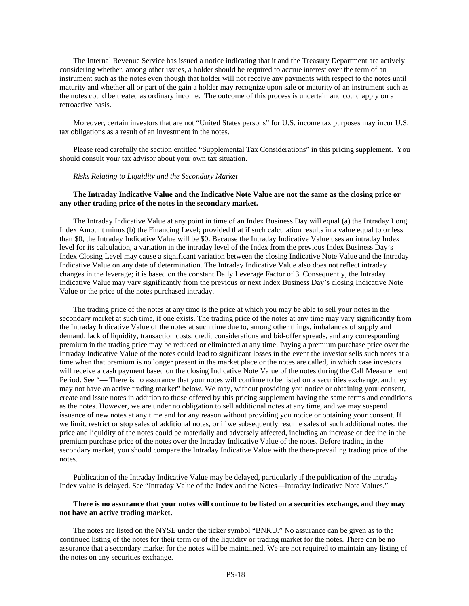The Internal Revenue Service has issued a notice indicating that it and the Treasury Department are actively considering whether, among other issues, a holder should be required to accrue interest over the term of an instrument such as the notes even though that holder will not receive any payments with respect to the notes until maturity and whether all or part of the gain a holder may recognize upon sale or maturity of an instrument such as the notes could be treated as ordinary income. The outcome of this process is uncertain and could apply on a retroactive basis.

Moreover, certain investors that are not "United States persons" for U.S. income tax purposes may incur U.S. tax obligations as a result of an investment in the notes.

Please read carefully the section entitled "Supplemental Tax Considerations" in this pricing supplement. You should consult your tax advisor about your own tax situation.

# *Risks Relating to Liquidity and the Secondary Market*

# **The Intraday Indicative Value and the Indicative Note Value are not the same as the closing price or any other trading price of the notes in the secondary market.**

The Intraday Indicative Value at any point in time of an Index Business Day will equal (a) the Intraday Long Index Amount minus (b) the Financing Level; provided that if such calculation results in a value equal to or less than \$0, the Intraday Indicative Value will be \$0. Because the Intraday Indicative Value uses an intraday Index level for its calculation, a variation in the intraday level of the Index from the previous Index Business Day's Index Closing Level may cause a significant variation between the closing Indicative Note Value and the Intraday Indicative Value on any date of determination. The Intraday Indicative Value also does not reflect intraday changes in the leverage; it is based on the constant Daily Leverage Factor of 3. Consequently, the Intraday Indicative Value may vary significantly from the previous or next Index Business Day's closing Indicative Note Value or the price of the notes purchased intraday.

The trading price of the notes at any time is the price at which you may be able to sell your notes in the secondary market at such time, if one exists. The trading price of the notes at any time may vary significantly from the Intraday Indicative Value of the notes at such time due to, among other things, imbalances of supply and demand, lack of liquidity, transaction costs, credit considerations and bid-offer spreads, and any corresponding premium in the trading price may be reduced or eliminated at any time. Paying a premium purchase price over the Intraday Indicative Value of the notes could lead to significant losses in the event the investor sells such notes at a time when that premium is no longer present in the market place or the notes are called, in which case investors will receive a cash payment based on the closing Indicative Note Value of the notes during the Call Measurement Period. See "— There is no assurance that your notes will continue to be listed on a securities exchange, and they may not have an active trading market" below. We may, without providing you notice or obtaining your consent, create and issue notes in addition to those offered by this pricing supplement having the same terms and conditions as the notes. However, we are under no obligation to sell additional notes at any time, and we may suspend issuance of new notes at any time and for any reason without providing you notice or obtaining your consent. If we limit, restrict or stop sales of additional notes, or if we subsequently resume sales of such additional notes, the price and liquidity of the notes could be materially and adversely affected, including an increase or decline in the premium purchase price of the notes over the Intraday Indicative Value of the notes. Before trading in the secondary market, you should compare the Intraday Indicative Value with the then-prevailing trading price of the notes.

Publication of the Intraday Indicative Value may be delayed, particularly if the publication of the intraday Index value is delayed. See "Intraday Value of the Index and the Notes—Intraday Indicative Note Values."

# **There is no assurance that your notes will continue to be listed on a securities exchange, and they may not have an active trading market.**

The notes are listed on the NYSE under the ticker symbol "BNKU." No assurance can be given as to the continued listing of the notes for their term or of the liquidity or trading market for the notes. There can be no assurance that a secondary market for the notes will be maintained. We are not required to maintain any listing of the notes on any securities exchange.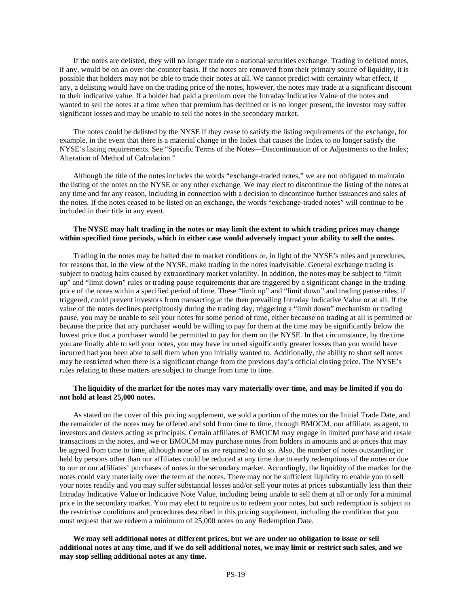If the notes are delisted, they will no longer trade on a national securities exchange. Trading in delisted notes, if any, would be on an over-the-counter basis. If the notes are removed from their primary source of liquidity, it is possible that holders may not be able to trade their notes at all. We cannot predict with certainty what effect, if any, a delisting would have on the trading price of the notes, however, the notes may trade at a significant discount to their indicative value. If a holder had paid a premium over the Intraday Indicative Value of the notes and wanted to sell the notes at a time when that premium has declined or is no longer present, the investor may suffer significant losses and may be unable to sell the notes in the secondary market.

The notes could be delisted by the NYSE if they cease to satisfy the listing requirements of the exchange, for example, in the event that there is a material change in the Index that causes the Index to no longer satisfy the NYSE's listing requirements. See "Specific Terms of the Notes—Discontinuation of or Adjustments to the Index; Alteration of Method of Calculation."

Although the title of the notes includes the words "exchange-traded notes," we are not obligated to maintain the listing of the notes on the NYSE or any other exchange. We may elect to discontinue the listing of the notes at any time and for any reason, including in connection with a decision to discontinue further issuances and sales of the notes. If the notes ceased to be listed on an exchange, the words "exchange-traded notes" will continue to be included in their title in any event.

# **The NYSE may halt trading in the notes or may limit the extent to which trading prices may change within specified time periods, which in either case would adversely impact your ability to sell the notes.**

Trading in the notes may be halted due to market conditions or, in light of the NYSE's rules and procedures, for reasons that, in the view of the NYSE, make trading in the notes inadvisable. General exchange trading is subject to trading halts caused by extraordinary market volatility. In addition, the notes may be subject to "limit up" and "limit down" rules or trading pause requirements that are triggered by a significant change in the trading price of the notes within a specified period of time. These "limit up" and "limit down" and trading pause rules, if triggered, could prevent investors from transacting at the then prevailing Intraday Indicative Value or at all. If the value of the notes declines precipitously during the trading day, triggering a "limit down" mechanism or trading pause, you may be unable to sell your notes for some period of time, either because no trading at all is permitted or because the price that any purchaser would be willing to pay for them at the time may be significantly below the lowest price that a purchaser would be permitted to pay for them on the NYSE. In that circumstance, by the time you are finally able to sell your notes, you may have incurred significantly greater losses than you would have incurred had you been able to sell them when you initially wanted to. Additionally, the ability to short sell notes may be restricted when there is a significant change from the previous day's official closing price. The NYSE's rules relating to these matters are subject to change from time to time.

### **The liquidity of the market for the notes may vary materially over time, and may be limited if you do not hold at least 25,000 notes.**

As stated on the cover of this pricing supplement, we sold a portion of the notes on the Initial Trade Date, and the remainder of the notes may be offered and sold from time to time, through BMOCM, our affiliate, as agent, to investors and dealers acting as principals. Certain affiliates of BMOCM may engage in limited purchase and resale transactions in the notes, and we or BMOCM may purchase notes from holders in amounts and at prices that may be agreed from time to time, although none of us are required to do so. Also, the number of notes outstanding or held by persons other than our affiliates could be reduced at any time due to early redemptions of the notes or due to our or our affiliates' purchases of notes in the secondary market. Accordingly, the liquidity of the market for the notes could vary materially over the term of the notes. There may not be sufficient liquidity to enable you to sell your notes readily and you may suffer substantial losses and/or sell your notes at prices substantially less than their Intraday Indicative Value or Indicative Note Value, including being unable to sell them at all or only for a minimal price in the secondary market. You may elect to require us to redeem your notes, but such redemption is subject to the restrictive conditions and procedures described in this pricing supplement, including the condition that you must request that we redeem a minimum of 25,000 notes on any Redemption Date.

**We may sell additional notes at different prices, but we are under no obligation to issue or sell additional notes at any time, and if we do sell additional notes, we may limit or restrict such sales, and we may stop selling additional notes at any time.**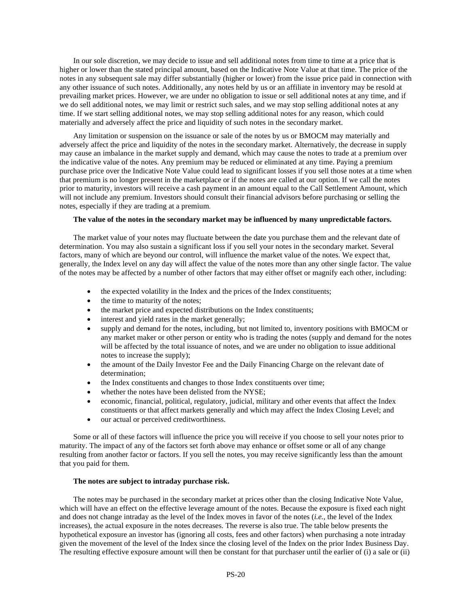In our sole discretion, we may decide to issue and sell additional notes from time to time at a price that is higher or lower than the stated principal amount, based on the Indicative Note Value at that time. The price of the notes in any subsequent sale may differ substantially (higher or lower) from the issue price paid in connection with any other issuance of such notes. Additionally, any notes held by us or an affiliate in inventory may be resold at prevailing market prices. However, we are under no obligation to issue or sell additional notes at any time, and if we do sell additional notes, we may limit or restrict such sales, and we may stop selling additional notes at any time. If we start selling additional notes, we may stop selling additional notes for any reason, which could materially and adversely affect the price and liquidity of such notes in the secondary market.

Any limitation or suspension on the issuance or sale of the notes by us or BMOCM may materially and adversely affect the price and liquidity of the notes in the secondary market. Alternatively, the decrease in supply may cause an imbalance in the market supply and demand, which may cause the notes to trade at a premium over the indicative value of the notes. Any premium may be reduced or eliminated at any time. Paying a premium purchase price over the Indicative Note Value could lead to significant losses if you sell those notes at a time when that premium is no longer present in the marketplace or if the notes are called at our option. If we call the notes prior to maturity, investors will receive a cash payment in an amount equal to the Call Settlement Amount, which will not include any premium. Investors should consult their financial advisors before purchasing or selling the notes, especially if they are trading at a premium.

#### **The value of the notes in the secondary market may be influenced by many unpredictable factors.**

The market value of your notes may fluctuate between the date you purchase them and the relevant date of determination. You may also sustain a significant loss if you sell your notes in the secondary market. Several factors, many of which are beyond our control, will influence the market value of the notes. We expect that, generally, the Index level on any day will affect the value of the notes more than any other single factor. The value of the notes may be affected by a number of other factors that may either offset or magnify each other, including:

- the expected volatility in the Index and the prices of the Index constituents;
- the time to maturity of the notes;
- the market price and expected distributions on the Index constituents;
- interest and yield rates in the market generally;
- supply and demand for the notes, including, but not limited to, inventory positions with BMOCM or any market maker or other person or entity who is trading the notes (supply and demand for the notes will be affected by the total issuance of notes, and we are under no obligation to issue additional notes to increase the supply);
- the amount of the Daily Investor Fee and the Daily Financing Charge on the relevant date of determination;
- the Index constituents and changes to those Index constituents over time;
- whether the notes have been delisted from the NYSE;
- economic, financial, political, regulatory, judicial, military and other events that affect the Index constituents or that affect markets generally and which may affect the Index Closing Level; and
- our actual or perceived creditworthiness.

Some or all of these factors will influence the price you will receive if you choose to sell your notes prior to maturity. The impact of any of the factors set forth above may enhance or offset some or all of any change resulting from another factor or factors. If you sell the notes, you may receive significantly less than the amount that you paid for them.

# **The notes are subject to intraday purchase risk.**

The notes may be purchased in the secondary market at prices other than the closing Indicative Note Value, which will have an effect on the effective leverage amount of the notes. Because the exposure is fixed each night and does not change intraday as the level of the Index moves in favor of the notes (*i.e.*, the level of the Index increases), the actual exposure in the notes decreases. The reverse is also true. The table below presents the hypothetical exposure an investor has (ignoring all costs, fees and other factors) when purchasing a note intraday given the movement of the level of the Index since the closing level of the Index on the prior Index Business Day. The resulting effective exposure amount will then be constant for that purchaser until the earlier of (i) a sale or (ii)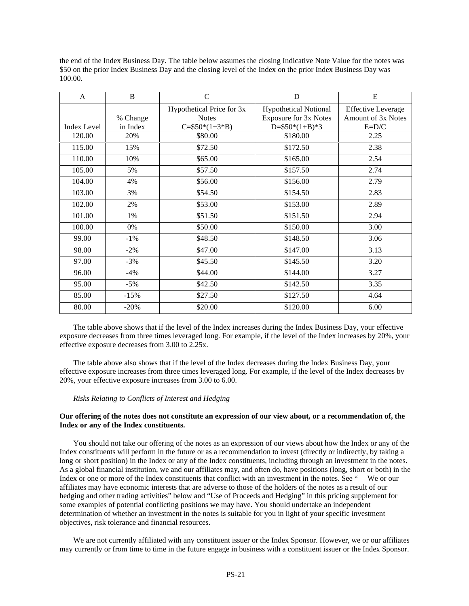the end of the Index Business Day. The table below assumes the closing Indicative Note Value for the notes was \$50 on the prior Index Business Day and the closing level of the Index on the prior Index Business Day was 100.00.

| $\mathsf{A}$       | B        | $\mathsf{C}$                              | D                                                            | E                                                      |  |
|--------------------|----------|-------------------------------------------|--------------------------------------------------------------|--------------------------------------------------------|--|
|                    | % Change | Hypothetical Price for 3x<br><b>Notes</b> | <b>Hypothetical Notional</b><br><b>Exposure for 3x Notes</b> | <b>Effective Leverage</b><br><b>Amount of 3x Notes</b> |  |
| <b>Index Level</b> | in Index | $C = $50*(1+3*B)$                         | $D = $50*(1+B)*3$                                            | $E=D/C$                                                |  |
| 120.00             | 20%      | \$80.00                                   | \$180.00                                                     | 2.25                                                   |  |
| 115.00             | 15%      | \$72.50                                   | \$172.50                                                     | 2.38                                                   |  |
| 110.00             | 10%      | \$65.00                                   | \$165.00                                                     | 2.54                                                   |  |
| 105.00             | 5%       | \$57.50                                   | \$157.50                                                     | 2.74                                                   |  |
| 104.00             | 4%       | \$56.00                                   | \$156.00                                                     | 2.79                                                   |  |
| 103.00             | 3%       | \$54.50                                   | \$154.50                                                     | 2.83                                                   |  |
| 102.00             | 2%       | \$53.00                                   | \$153.00                                                     | 2.89                                                   |  |
| 101.00             | 1%       | \$51.50                                   | \$151.50                                                     | 2.94                                                   |  |
| 100.00             | 0%       | \$50.00                                   | \$150.00                                                     | 3.00                                                   |  |
| 99.00              | $-1\%$   | \$48.50                                   | \$148.50                                                     | 3.06                                                   |  |
| 98.00              | $-2\%$   | \$47.00                                   | \$147.00                                                     | 3.13                                                   |  |
| 97.00              | $-3%$    | \$45.50                                   | \$145.50                                                     | 3.20                                                   |  |
| 96.00              | $-4%$    | \$44.00                                   | \$144.00                                                     | 3.27                                                   |  |
| 95.00              | $-5%$    | \$42.50                                   | \$142.50                                                     | 3.35                                                   |  |
| 85.00              | $-15%$   | \$27.50                                   | \$127.50                                                     | 4.64                                                   |  |
| 80.00              | $-20%$   | \$20.00                                   | \$120.00                                                     | 6.00                                                   |  |

The table above shows that if the level of the Index increases during the Index Business Day, your effective exposure decreases from three times leveraged long. For example, if the level of the Index increases by 20%, your effective exposure decreases from 3.00 to 2.25x.

The table above also shows that if the level of the Index decreases during the Index Business Day, your effective exposure increases from three times leveraged long. For example, if the level of the Index decreases by 20%, your effective exposure increases from 3.00 to 6.00.

#### *Risks Relating to Conflicts of Interest and Hedging*

# **Our offering of the notes does not constitute an expression of our view about, or a recommendation of, the Index or any of the Index constituents.**

You should not take our offering of the notes as an expression of our views about how the Index or any of the Index constituents will perform in the future or as a recommendation to invest (directly or indirectly, by taking a long or short position) in the Index or any of the Index constituents, including through an investment in the notes. As a global financial institution, we and our affiliates may, and often do, have positions (long, short or both) in the Index or one or more of the Index constituents that conflict with an investment in the notes. See "— We or our affiliates may have economic interests that are adverse to those of the holders of the notes as a result of our hedging and other trading activities" below and "Use of Proceeds and Hedging" in this pricing supplement for some examples of potential conflicting positions we may have. You should undertake an independent determination of whether an investment in the notes is suitable for you in light of your specific investment objectives, risk tolerance and financial resources.

We are not currently affiliated with any constituent issuer or the Index Sponsor. However, we or our affiliates may currently or from time to time in the future engage in business with a constituent issuer or the Index Sponsor.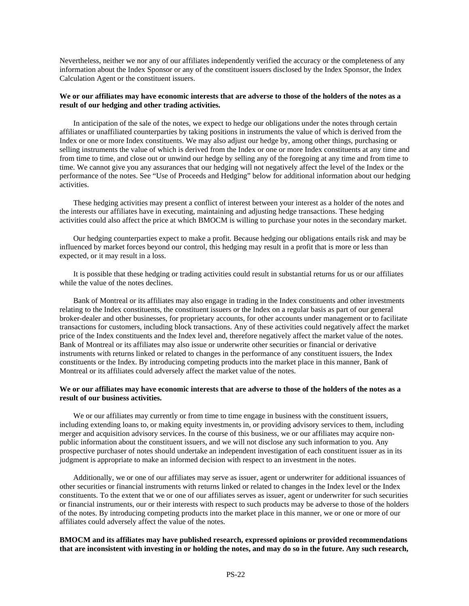Nevertheless, neither we nor any of our affiliates independently verified the accuracy or the completeness of any information about the Index Sponsor or any of the constituent issuers disclosed by the Index Sponsor, the Index Calculation Agent or the constituent issuers.

# **We or our affiliates may have economic interests that are adverse to those of the holders of the notes as a result of our hedging and other trading activities.**

In anticipation of the sale of the notes, we expect to hedge our obligations under the notes through certain affiliates or unaffiliated counterparties by taking positions in instruments the value of which is derived from the Index or one or more Index constituents. We may also adjust our hedge by, among other things, purchasing or selling instruments the value of which is derived from the Index or one or more Index constituents at any time and from time to time, and close out or unwind our hedge by selling any of the foregoing at any time and from time to time. We cannot give you any assurances that our hedging will not negatively affect the level of the Index or the performance of the notes. See "Use of Proceeds and Hedging" below for additional information about our hedging activities.

These hedging activities may present a conflict of interest between your interest as a holder of the notes and the interests our affiliates have in executing, maintaining and adjusting hedge transactions. These hedging activities could also affect the price at which BMOCM is willing to purchase your notes in the secondary market.

Our hedging counterparties expect to make a profit. Because hedging our obligations entails risk and may be influenced by market forces beyond our control, this hedging may result in a profit that is more or less than expected, or it may result in a loss.

It is possible that these hedging or trading activities could result in substantial returns for us or our affiliates while the value of the notes declines.

Bank of Montreal or its affiliates may also engage in trading in the Index constituents and other investments relating to the Index constituents, the constituent issuers or the Index on a regular basis as part of our general broker-dealer and other businesses, for proprietary accounts, for other accounts under management or to facilitate transactions for customers, including block transactions. Any of these activities could negatively affect the market price of the Index constituents and the Index level and, therefore negatively affect the market value of the notes. Bank of Montreal or its affiliates may also issue or underwrite other securities or financial or derivative instruments with returns linked or related to changes in the performance of any constituent issuers, the Index constituents or the Index. By introducing competing products into the market place in this manner, Bank of Montreal or its affiliates could adversely affect the market value of the notes.

# **We or our affiliates may have economic interests that are adverse to those of the holders of the notes as a result of our business activities.**

We or our affiliates may currently or from time to time engage in business with the constituent issuers, including extending loans to, or making equity investments in, or providing advisory services to them, including merger and acquisition advisory services. In the course of this business, we or our affiliates may acquire nonpublic information about the constituent issuers, and we will not disclose any such information to you. Any prospective purchaser of notes should undertake an independent investigation of each constituent issuer as in its judgment is appropriate to make an informed decision with respect to an investment in the notes.

Additionally, we or one of our affiliates may serve as issuer, agent or underwriter for additional issuances of other securities or financial instruments with returns linked or related to changes in the Index level or the Index constituents. To the extent that we or one of our affiliates serves as issuer, agent or underwriter for such securities or financial instruments, our or their interests with respect to such products may be adverse to those of the holders of the notes. By introducing competing products into the market place in this manner, we or one or more of our affiliates could adversely affect the value of the notes.

# **BMOCM and its affiliates may have published research, expressed opinions or provided recommendations that are inconsistent with investing in or holding the notes, and may do so in the future. Any such research,**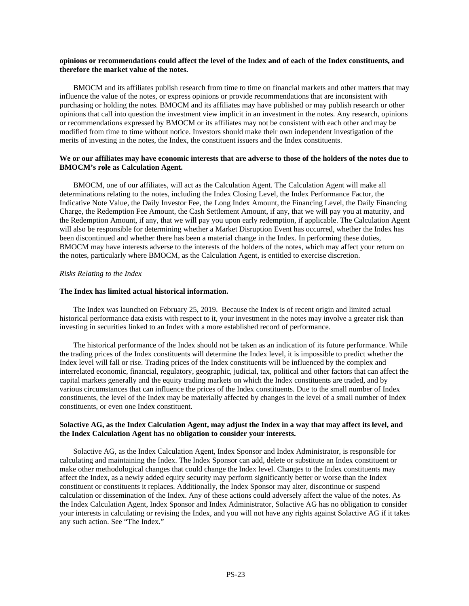# **opinions or recommendations could affect the level of the Index and of each of the Index constituents, and therefore the market value of the notes.**

BMOCM and its affiliates publish research from time to time on financial markets and other matters that may influence the value of the notes, or express opinions or provide recommendations that are inconsistent with purchasing or holding the notes. BMOCM and its affiliates may have published or may publish research or other opinions that call into question the investment view implicit in an investment in the notes. Any research, opinions or recommendations expressed by BMOCM or its affiliates may not be consistent with each other and may be modified from time to time without notice. Investors should make their own independent investigation of the merits of investing in the notes, the Index, the constituent issuers and the Index constituents.

# **We or our affiliates may have economic interests that are adverse to those of the holders of the notes due to BMOCM's role as Calculation Agent.**

BMOCM, one of our affiliates, will act as the Calculation Agent. The Calculation Agent will make all determinations relating to the notes, including the Index Closing Level, the Index Performance Factor, the Indicative Note Value, the Daily Investor Fee, the Long Index Amount, the Financing Level, the Daily Financing Charge, the Redemption Fee Amount, the Cash Settlement Amount, if any, that we will pay you at maturity, and the Redemption Amount, if any, that we will pay you upon early redemption, if applicable. The Calculation Agent will also be responsible for determining whether a Market Disruption Event has occurred, whether the Index has been discontinued and whether there has been a material change in the Index. In performing these duties, BMOCM may have interests adverse to the interests of the holders of the notes, which may affect your return on the notes, particularly where BMOCM, as the Calculation Agent, is entitled to exercise discretion.

# *Risks Relating to the Index*

# **The Index has limited actual historical information.**

The Index was launched on February 25, 2019. Because the Index is of recent origin and limited actual historical performance data exists with respect to it, your investment in the notes may involve a greater risk than investing in securities linked to an Index with a more established record of performance.

The historical performance of the Index should not be taken as an indication of its future performance. While the trading prices of the Index constituents will determine the Index level, it is impossible to predict whether the Index level will fall or rise. Trading prices of the Index constituents will be influenced by the complex and interrelated economic, financial, regulatory, geographic, judicial, tax, political and other factors that can affect the capital markets generally and the equity trading markets on which the Index constituents are traded, and by various circumstances that can influence the prices of the Index constituents. Due to the small number of Index constituents, the level of the Index may be materially affected by changes in the level of a small number of Index constituents, or even one Index constituent.

# **Solactive AG, as the Index Calculation Agent, may adjust the Index in a way that may affect its level, and the Index Calculation Agent has no obligation to consider your interests.**

Solactive AG, as the Index Calculation Agent, Index Sponsor and Index Administrator, is responsible for calculating and maintaining the Index. The Index Sponsor can add, delete or substitute an Index constituent or make other methodological changes that could change the Index level. Changes to the Index constituents may affect the Index, as a newly added equity security may perform significantly better or worse than the Index constituent or constituents it replaces. Additionally, the Index Sponsor may alter, discontinue or suspend calculation or dissemination of the Index. Any of these actions could adversely affect the value of the notes. As the Index Calculation Agent, Index Sponsor and Index Administrator, Solactive AG has no obligation to consider your interests in calculating or revising the Index, and you will not have any rights against Solactive AG if it takes any such action. See "The Index."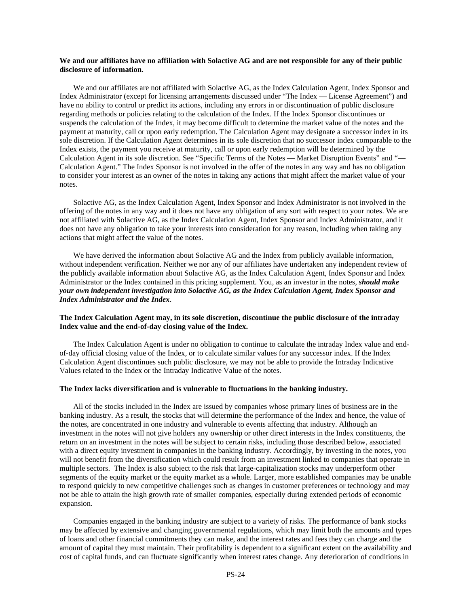# **We and our affiliates have no affiliation with Solactive AG and are not responsible for any of their public disclosure of information.**

We and our affiliates are not affiliated with Solactive AG, as the Index Calculation Agent, Index Sponsor and Index Administrator (except for licensing arrangements discussed under "The Index — License Agreement") and have no ability to control or predict its actions, including any errors in or discontinuation of public disclosure regarding methods or policies relating to the calculation of the Index. If the Index Sponsor discontinues or suspends the calculation of the Index, it may become difficult to determine the market value of the notes and the payment at maturity, call or upon early redemption. The Calculation Agent may designate a successor index in its sole discretion. If the Calculation Agent determines in its sole discretion that no successor index comparable to the Index exists, the payment you receive at maturity, call or upon early redemption will be determined by the Calculation Agent in its sole discretion. See "Specific Terms of the Notes — Market Disruption Events" and "— Calculation Agent." The Index Sponsor is not involved in the offer of the notes in any way and has no obligation to consider your interest as an owner of the notes in taking any actions that might affect the market value of your notes.

Solactive AG, as the Index Calculation Agent, Index Sponsor and Index Administrator is not involved in the offering of the notes in any way and it does not have any obligation of any sort with respect to your notes. We are not affiliated with Solactive AG, as the Index Calculation Agent, Index Sponsor and Index Administrator, and it does not have any obligation to take your interests into consideration for any reason, including when taking any actions that might affect the value of the notes.

We have derived the information about Solactive AG and the Index from publicly available information, without independent verification. Neither we nor any of our affiliates have undertaken any independent review of the publicly available information about Solactive AG, as the Index Calculation Agent, Index Sponsor and Index Administrator or the Index contained in this pricing supplement. You, as an investor in the notes, *should make your own independent investigation into Solactive AG, as the Index Calculation Agent, Index Sponsor and Index Administrator and the Index*.

## **The Index Calculation Agent may, in its sole discretion, discontinue the public disclosure of the intraday Index value and the end-of-day closing value of the Index.**

The Index Calculation Agent is under no obligation to continue to calculate the intraday Index value and endof-day official closing value of the Index, or to calculate similar values for any successor index. If the Index Calculation Agent discontinues such public disclosure, we may not be able to provide the Intraday Indicative Values related to the Index or the Intraday Indicative Value of the notes.

#### **The Index lacks diversification and is vulnerable to fluctuations in the banking industry.**

All of the stocks included in the Index are issued by companies whose primary lines of business are in the banking industry. As a result, the stocks that will determine the performance of the Index and hence, the value of the notes, are concentrated in one industry and vulnerable to events affecting that industry. Although an investment in the notes will not give holders any ownership or other direct interests in the Index constituents, the return on an investment in the notes will be subject to certain risks, including those described below, associated with a direct equity investment in companies in the banking industry. Accordingly, by investing in the notes, you will not benefit from the diversification which could result from an investment linked to companies that operate in multiple sectors. The Index is also subject to the risk that large-capitalization stocks may underperform other segments of the equity market or the equity market as a whole. Larger, more established companies may be unable to respond quickly to new competitive challenges such as changes in customer preferences or technology and may not be able to attain the high growth rate of smaller companies, especially during extended periods of economic expansion.

Companies engaged in the banking industry are subject to a variety of risks. The performance of bank stocks may be affected by extensive and changing governmental regulations, which may limit both the amounts and types of loans and other financial commitments they can make, and the interest rates and fees they can charge and the amount of capital they must maintain. Their profitability is dependent to a significant extent on the availability and cost of capital funds, and can fluctuate significantly when interest rates change. Any deterioration of conditions in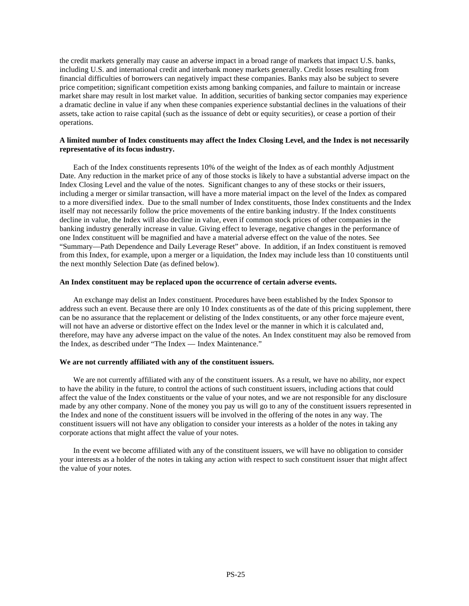the credit markets generally may cause an adverse impact in a broad range of markets that impact U.S. banks, including U.S. and international credit and interbank money markets generally. Credit losses resulting from financial difficulties of borrowers can negatively impact these companies. Banks may also be subject to severe price competition; significant competition exists among banking companies, and failure to maintain or increase market share may result in lost market value. In addition, securities of banking sector companies may experience a dramatic decline in value if any when these companies experience substantial declines in the valuations of their assets, take action to raise capital (such as the issuance of debt or equity securities), or cease a portion of their operations.

# **A limited number of Index constituents may affect the Index Closing Level, and the Index is not necessarily representative of its focus industry.**

Each of the Index constituents represents 10% of the weight of the Index as of each monthly Adjustment Date. Any reduction in the market price of any of those stocks is likely to have a substantial adverse impact on the Index Closing Level and the value of the notes. Significant changes to any of these stocks or their issuers, including a merger or similar transaction, will have a more material impact on the level of the Index as compared to a more diversified index. Due to the small number of Index constituents, those Index constituents and the Index itself may not necessarily follow the price movements of the entire banking industry. If the Index constituents decline in value, the Index will also decline in value, even if common stock prices of other companies in the banking industry generally increase in value. Giving effect to leverage, negative changes in the performance of one Index constituent will be magnified and have a material adverse effect on the value of the notes. See "Summary—Path Dependence and Daily Leverage Reset" above. In addition, if an Index constituent is removed from this Index, for example, upon a merger or a liquidation, the Index may include less than 10 constituents until the next monthly Selection Date (as defined below).

#### **An Index constituent may be replaced upon the occurrence of certain adverse events.**

An exchange may delist an Index constituent. Procedures have been established by the Index Sponsor to address such an event. Because there are only 10 Index constituents as of the date of this pricing supplement, there can be no assurance that the replacement or delisting of the Index constituents, or any other force majeure event, will not have an adverse or distortive effect on the Index level or the manner in which it is calculated and, therefore, may have any adverse impact on the value of the notes. An Index constituent may also be removed from the Index, as described under "The Index — Index Maintenance."

# **We are not currently affiliated with any of the constituent issuers.**

We are not currently affiliated with any of the constituent issuers. As a result, we have no ability, nor expect to have the ability in the future, to control the actions of such constituent issuers, including actions that could affect the value of the Index constituents or the value of your notes, and we are not responsible for any disclosure made by any other company. None of the money you pay us will go to any of the constituent issuers represented in the Index and none of the constituent issuers will be involved in the offering of the notes in any way. The constituent issuers will not have any obligation to consider your interests as a holder of the notes in taking any corporate actions that might affect the value of your notes.

In the event we become affiliated with any of the constituent issuers, we will have no obligation to consider your interests as a holder of the notes in taking any action with respect to such constituent issuer that might affect the value of your notes.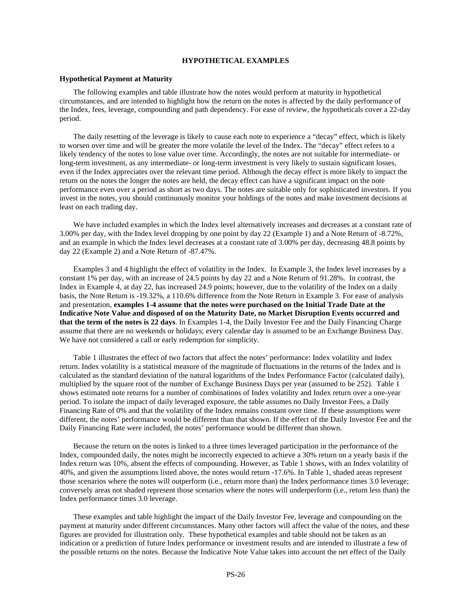#### **HYPOTHETICAL EXAMPLES**

#### **Hypothetical Payment at Maturity**

The following examples and table illustrate how the notes would perform at maturity in hypothetical circumstances, and are intended to highlight how the return on the notes is affected by the daily performance of the Index, fees, leverage, compounding and path dependency. For ease of review, the hypotheticals cover a 22-day period.

The daily resetting of the leverage is likely to cause each note to experience a "decay" effect, which is likely to worsen over time and will be greater the more volatile the level of the Index. The "decay" effect refers to a likely tendency of the notes to lose value over time. Accordingly, the notes are not suitable for intermediate- or long-term investment, as any intermediate- or long-term investment is very likely to sustain significant losses, even if the Index appreciates over the relevant time period. Although the decay effect is more likely to impact the return on the notes the longer the notes are held, the decay effect can have a significant impact on the note performance even over a period as short as two days. The notes are suitable only for sophisticated investors. If you invest in the notes, you should continuously monitor your holdings of the notes and make investment decisions at least on each trading day.

We have included examples in which the Index level alternatively increases and decreases at a constant rate of 3.00% per day, with the Index level dropping by one point by day 22 (Example 1) and a Note Return of -8.72%, and an example in which the Index level decreases at a constant rate of 3.00% per day, decreasing 48.8 points by day 22 (Example 2) and a Note Return of -87.47%.

Examples 3 and 4 highlight the effect of volatility in the Index. In Example 3, the Index level increases by a constant 1% per day, with an increase of 24.5 points by day 22 and a Note Return of 91.28%. In contrast, the Index in Example 4, at day 22, has increased 24.9 points; however, due to the volatility of the Index on a daily basis, the Note Return is -19.32%, a 110.6% difference from the Note Return in Example 3. For ease of analysis and presentation, **examples 1-4 assume that the notes were purchased on the Initial Trade Date at the Indicative Note Value and disposed of on the Maturity Date, no Market Disruption Events occurred and that the term of the notes is 22 days**. In Examples 1-4, the Daily Investor Fee and the Daily Financing Charge assume that there are no weekends or holidays; every calendar day is assumed to be an Exchange Business Day. We have not considered a call or early redemption for simplicity.

Table 1 illustrates the effect of two factors that affect the notes' performance: Index volatility and Index return. Index volatility is a statistical measure of the magnitude of fluctuations in the returns of the Index and is calculated as the standard deviation of the natural logarithms of the Index Performance Factor (calculated daily), multiplied by the square root of the number of Exchange Business Days per year (assumed to be 252). Table 1 shows estimated note returns for a number of combinations of Index volatility and Index return over a one-year period. To isolate the impact of daily leveraged exposure, the table assumes no Daily Investor Fees, a Daily Financing Rate of 0% and that the volatility of the Index remains constant over time. If these assumptions were different, the notes' performance would be different than that shown. If the effect of the Daily Investor Fee and the Daily Financing Rate were included, the notes' performance would be different than shown.

Because the return on the notes is linked to a three times leveraged participation in the performance of the Index, compounded daily, the notes might be incorrectly expected to achieve a 30% return on a yearly basis if the Index return was 10%, absent the effects of compounding. However, as Table 1 shows, with an Index volatility of 40%, and given the assumptions listed above, the notes would return -17.6%. In Table 1, shaded areas represent those scenarios where the notes will outperform (i.e., return more than) the Index performance times 3.0 leverage; conversely areas not shaded represent those scenarios where the notes will underperform (i.e., return less than) the Index performance times 3.0 leverage.

These examples and table highlight the impact of the Daily Investor Fee, leverage and compounding on the payment at maturity under different circumstances. Many other factors will affect the value of the notes, and these figures are provided for illustration only. These hypothetical examples and table should not be taken as an indication or a prediction of future Index performance or investment results and are intended to illustrate a few of the possible returns on the notes. Because the Indicative Note Value takes into account the net effect of the Daily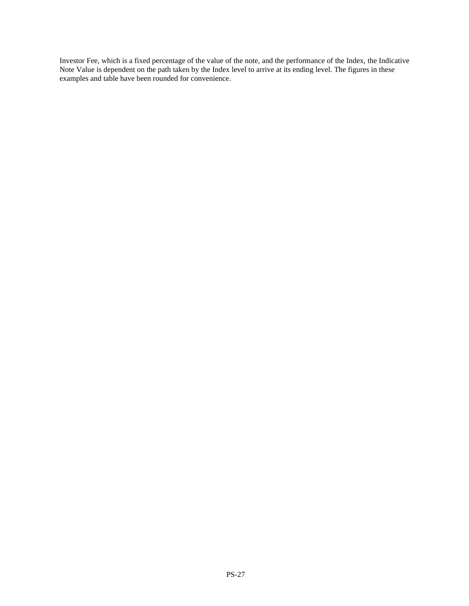Investor Fee, which is a fixed percentage of the value of the note, and the performance of the Index, the Indicative Note Value is dependent on the path taken by the Index level to arrive at its ending level. The figures in these examples and table have been rounded for convenience.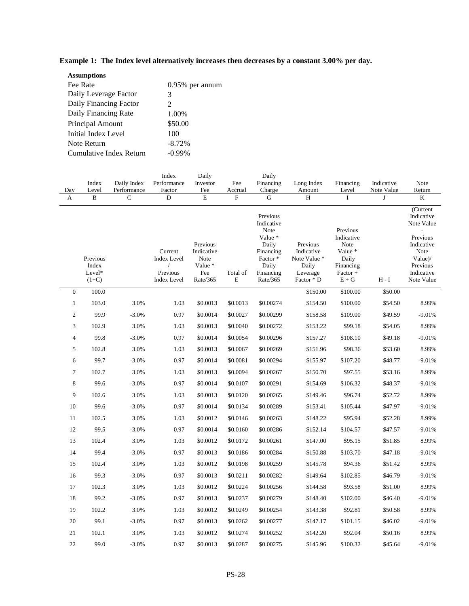| <b>Assumptions</b>      |                    |
|-------------------------|--------------------|
| Fee Rate                | $0.95\%$ per annum |
| Daily Leverage Factor   | 3                  |
| Daily Financing Factor  | $\mathcal{L}$      |
| Daily Financing Rate    | 1.00%              |
| Principal Amount        | \$50.00            |
| Initial Index Level     | 100                |
| Note Return             | $-8.72%$           |
| Cumulative Index Return | -0.99%             |

**Example 1: The Index level alternatively increases then decreases by a constant 3.00% per day.** 

| Day<br>A         | Index<br>Level<br>$\, {\bf B}$         | Daily Index<br>Performance<br>$\mathsf{C}$ | Index<br>Performance<br>Factor<br>$\mathbf D$                   | Daily<br>Investor<br>Fee<br>$\mathbf E$                      | Fee<br>Accrual<br>$\mathbf F$ | Daily<br>Financing<br>Charge<br>G                                                                            | Long Index<br>Amount<br>H                                                 | Financing<br>Level<br>$\mathbf{I}$                                                     | Indicative<br>Note Value<br>J | Note<br>Return<br>K                                                                                                                          |
|------------------|----------------------------------------|--------------------------------------------|-----------------------------------------------------------------|--------------------------------------------------------------|-------------------------------|--------------------------------------------------------------------------------------------------------------|---------------------------------------------------------------------------|----------------------------------------------------------------------------------------|-------------------------------|----------------------------------------------------------------------------------------------------------------------------------------------|
|                  | Previous<br>Index<br>Level*<br>$(1+C)$ |                                            | Current<br><b>Index Level</b><br>Previous<br><b>Index Level</b> | Previous<br>Indicative<br>Note<br>Value *<br>Fee<br>Rate/365 | Total of<br>Е                 | Previous<br>Indicative<br>Note<br>Value *<br>Daily<br>Financing<br>Factor*<br>Daily<br>Financing<br>Rate/365 | Previous<br>Indicative<br>Note Value *<br>Daily<br>Leverage<br>Factor * D | Previous<br>Indicative<br>Note<br>Value *<br>Daily<br>Financing<br>Factor +<br>$E + G$ | $H - I$                       | $\overline{\text{Current}}$<br>Indicative<br>Note Value<br>Previous<br>Indicative<br>Note<br>Value)/<br>Previous<br>Indicative<br>Note Value |
| $\boldsymbol{0}$ | 100.0                                  |                                            |                                                                 |                                                              |                               |                                                                                                              | \$150.00                                                                  | \$100.00                                                                               | \$50.00                       |                                                                                                                                              |
| $\mathbf{1}$     | 103.0                                  | 3.0%                                       | 1.03                                                            | \$0.0013                                                     | \$0.0013                      | \$0.00274                                                                                                    | \$154.50                                                                  | \$100.00                                                                               | \$54.50                       | 8.99%                                                                                                                                        |
| $\overline{c}$   | 99.9                                   | $-3.0%$                                    | 0.97                                                            | \$0.0014                                                     | \$0.0027                      | \$0.00299                                                                                                    | \$158.58                                                                  | \$109.00                                                                               | \$49.59                       | $-9.01%$                                                                                                                                     |
| 3                | 102.9                                  | 3.0%                                       | 1.03                                                            | \$0.0013                                                     | \$0.0040                      | \$0.00272                                                                                                    | \$153.22                                                                  | \$99.18                                                                                | \$54.05                       | 8.99%                                                                                                                                        |
| 4                | 99.8                                   | $-3.0%$                                    | 0.97                                                            | \$0.0014                                                     | \$0.0054                      | \$0.00296                                                                                                    | \$157.27                                                                  | \$108.10                                                                               | \$49.18                       | $-9.01%$                                                                                                                                     |
| 5                | 102.8                                  | 3.0%                                       | 1.03                                                            | \$0.0013                                                     | \$0.0067                      | \$0.00269                                                                                                    | \$151.96                                                                  | \$98.36                                                                                | \$53.60                       | 8.99%                                                                                                                                        |
| 6                | 99.7                                   | $-3.0%$                                    | 0.97                                                            | \$0.0014                                                     | \$0.0081                      | \$0.00294                                                                                                    | \$155.97                                                                  | \$107.20                                                                               | \$48.77                       | $-9.01%$                                                                                                                                     |
| 7                | 102.7                                  | 3.0%                                       | 1.03                                                            | \$0.0013                                                     | \$0.0094                      | \$0.00267                                                                                                    | \$150.70                                                                  | \$97.55                                                                                | \$53.16                       | 8.99%                                                                                                                                        |
| 8                | 99.6                                   | $-3.0%$                                    | 0.97                                                            | \$0.0014                                                     | \$0.0107                      | \$0.00291                                                                                                    | \$154.69                                                                  | \$106.32                                                                               | \$48.37                       | $-9.01%$                                                                                                                                     |
| 9                | 102.6                                  | 3.0%                                       | 1.03                                                            | \$0.0013                                                     | \$0.0120                      | \$0.00265                                                                                                    | \$149.46                                                                  | \$96.74                                                                                | \$52.72                       | 8.99%                                                                                                                                        |
| 10               | 99.6                                   | $-3.0%$                                    | 0.97                                                            | \$0.0014                                                     | \$0.0134                      | \$0.00289                                                                                                    | \$153.41                                                                  | \$105.44                                                                               | \$47.97                       | $-9.01%$                                                                                                                                     |
| 11               | 102.5                                  | 3.0%                                       | 1.03                                                            | \$0.0012                                                     | \$0.0146                      | \$0.00263                                                                                                    | \$148.22                                                                  | \$95.94                                                                                | \$52.28                       | 8.99%                                                                                                                                        |
| 12               | 99.5                                   | $-3.0%$                                    | 0.97                                                            | \$0.0014                                                     | \$0.0160                      | \$0.00286                                                                                                    | \$152.14                                                                  | \$104.57                                                                               | \$47.57                       | $-9.01%$                                                                                                                                     |
| 13               | 102.4                                  | 3.0%                                       | 1.03                                                            | \$0.0012                                                     | \$0.0172                      | \$0.00261                                                                                                    | \$147.00                                                                  | \$95.15                                                                                | \$51.85                       | 8.99%                                                                                                                                        |
| 14               | 99.4                                   | $-3.0%$                                    | 0.97                                                            | \$0.0013                                                     | \$0.0186                      | \$0.00284                                                                                                    | \$150.88                                                                  | \$103.70                                                                               | \$47.18                       | $-9.01%$                                                                                                                                     |
| 15               | 102.4                                  | 3.0%                                       | 1.03                                                            | \$0.0012                                                     | \$0.0198                      | \$0.00259                                                                                                    | \$145.78                                                                  | \$94.36                                                                                | \$51.42                       | 8.99%                                                                                                                                        |
| 16               | 99.3                                   | $-3.0%$                                    | 0.97                                                            | \$0.0013                                                     | \$0.0211                      | \$0.00282                                                                                                    | \$149.64                                                                  | \$102.85                                                                               | \$46.79                       | $-9.01%$                                                                                                                                     |
| 17               | 102.3                                  | 3.0%                                       | 1.03                                                            | \$0.0012                                                     | \$0.0224                      | \$0.00256                                                                                                    | \$144.58                                                                  | \$93.58                                                                                | \$51.00                       | 8.99%                                                                                                                                        |
| 18               | 99.2                                   | $-3.0%$                                    | 0.97                                                            | \$0.0013                                                     | \$0.0237                      | \$0.00279                                                                                                    | \$148.40                                                                  | \$102.00                                                                               | \$46.40                       | $-9.01%$                                                                                                                                     |
| 19               | 102.2                                  | 3.0%                                       | 1.03                                                            | \$0.0012                                                     | \$0.0249                      | \$0.00254                                                                                                    | \$143.38                                                                  | \$92.81                                                                                | \$50.58                       | 8.99%                                                                                                                                        |
| 20               | 99.1                                   | $-3.0%$                                    | 0.97                                                            | \$0.0013                                                     | \$0.0262                      | \$0.00277                                                                                                    | \$147.17                                                                  | \$101.15                                                                               | \$46.02                       | $-9.01%$                                                                                                                                     |
| 21               | 102.1                                  | 3.0%                                       | 1.03                                                            | \$0.0012                                                     | \$0.0274                      | \$0.00252                                                                                                    | \$142.20                                                                  | \$92.04                                                                                | \$50.16                       | 8.99%                                                                                                                                        |
| 22               | 99.0                                   | $-3.0%$                                    | 0.97                                                            | \$0.0013                                                     | \$0.0287                      | \$0.00275                                                                                                    | \$145.96                                                                  | \$100.32                                                                               | \$45.64                       | $-9.01%$                                                                                                                                     |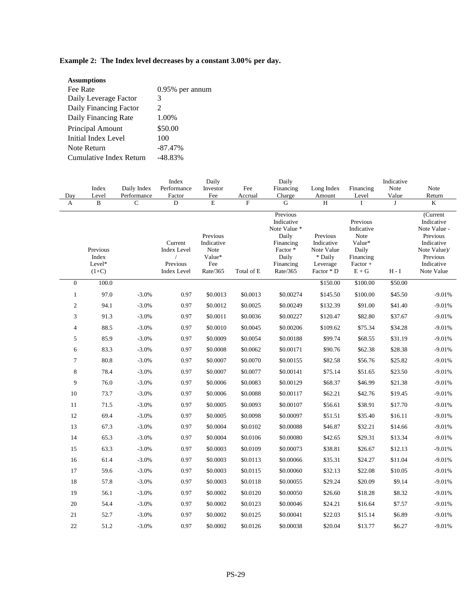# **Example 2: The Index level decreases by a constant 3.00% per day.**

| <b>Assumptions</b>      |                             |
|-------------------------|-----------------------------|
| Fee Rate                | 0.95% per annum             |
| Daily Leverage Factor   | 3                           |
| Daily Financing Factor  | $\mathcal{D}_{\mathcal{L}}$ |
| Daily Financing Rate    | 1.00%                       |
| Principal Amount        | \$50.00                     |
| Initial Index Level     | 100                         |
| Note Return             | $-87.47\%$                  |
| Cumulative Index Return | -48.83%                     |

|                |                                        |                             | Index                                                                         | Daily                                                       | Daily                     |                                                                                                           |                                                                           | Indicative                                                                          |                             |                                                                                                                          |
|----------------|----------------------------------------|-----------------------------|-------------------------------------------------------------------------------|-------------------------------------------------------------|---------------------------|-----------------------------------------------------------------------------------------------------------|---------------------------------------------------------------------------|-------------------------------------------------------------------------------------|-----------------------------|--------------------------------------------------------------------------------------------------------------------------|
|                | Index                                  | Daily Index                 | Performance                                                                   | Investor                                                    | Fee                       | Financing                                                                                                 | Long Index                                                                | Financing                                                                           | Note                        | Note                                                                                                                     |
| Day            | Level<br>B                             | Performance<br>$\mathsf{C}$ | Factor<br>D                                                                   | Fee<br>$\mathbf E$                                          | Accrual<br>$\overline{F}$ | Charge<br>G                                                                                               | Amount<br>H                                                               | Level<br>$\mathbf{I}$                                                               | Value<br>J                  | Return<br>K                                                                                                              |
| A              |                                        |                             |                                                                               |                                                             |                           |                                                                                                           |                                                                           |                                                                                     |                             |                                                                                                                          |
|                | Previous<br>Index<br>Level*<br>$(1+C)$ |                             | Current<br><b>Index Level</b><br>$\sqrt{2}$<br>Previous<br><b>Index Level</b> | Previous<br>Indicative<br>Note<br>Value*<br>Fee<br>Rate/365 | Total of E                | Previous<br>Indicative<br>Note Value *<br>Daily<br>Financing<br>Factor*<br>Daily<br>Financing<br>Rate/365 | Previous<br>Indicative<br>Note Value<br>* Daily<br>Leverage<br>Factor * D | Previous<br>Indicative<br>Note<br>Value*<br>Daily<br>Financing<br>Factor +<br>$E+G$ | $\mathbf{H}$ - $\mathbf{I}$ | (Current<br>Indicative<br>Note Value -<br>Previous<br>Indicative<br>Note Value)/<br>Previous<br>Indicative<br>Note Value |
| $\mathbf{0}$   | 100.0                                  |                             |                                                                               |                                                             |                           |                                                                                                           | \$150.00                                                                  | \$100.00                                                                            | \$50.00                     |                                                                                                                          |
| $\mathbf{1}$   | 97.0                                   | $-3.0%$                     | 0.97                                                                          | \$0.0013                                                    | \$0.0013                  | \$0.00274                                                                                                 | \$145.50                                                                  | \$100.00                                                                            | \$45.50                     | $-9.01%$                                                                                                                 |
| $\mathfrak{2}$ | 94.1                                   | $-3.0%$                     | 0.97                                                                          | \$0.0012                                                    | \$0.0025                  | \$0.00249                                                                                                 | \$132.39                                                                  | \$91.00                                                                             | \$41.40                     | $-9.01%$                                                                                                                 |
| 3              | 91.3                                   | $-3.0%$                     | 0.97                                                                          | \$0.0011                                                    | \$0.0036                  | \$0.00227                                                                                                 | \$120.47                                                                  | \$82.80                                                                             | \$37.67                     | $-9.01%$                                                                                                                 |
| $\overline{4}$ | 88.5                                   | $-3.0%$                     | 0.97                                                                          | \$0.0010                                                    | \$0.0045                  | \$0.00206                                                                                                 | \$109.62                                                                  | \$75.34                                                                             | \$34.28                     | $-9.01%$                                                                                                                 |
| 5              | 85.9                                   | $-3.0%$                     | 0.97                                                                          | \$0.0009                                                    | \$0.0054                  | \$0.00188                                                                                                 | \$99.74                                                                   | \$68.55                                                                             | \$31.19                     | $-9.01%$                                                                                                                 |
| 6              | 83.3                                   | $-3.0%$                     | 0.97                                                                          | \$0.0008                                                    | \$0.0062                  | \$0.00171                                                                                                 | \$90.76                                                                   | \$62.38                                                                             | \$28.38                     | $-9.01%$                                                                                                                 |
| $\tau$         | 80.8                                   | $-3.0%$                     | 0.97                                                                          | \$0.0007                                                    | \$0.0070                  | \$0.00155                                                                                                 | \$82.58                                                                   | \$56.76                                                                             | \$25.82                     | $-9.01%$                                                                                                                 |
| $\,8\,$        | 78.4                                   | $-3.0%$                     | 0.97                                                                          | \$0.0007                                                    | \$0.0077                  | \$0.00141                                                                                                 | \$75.14                                                                   | \$51.65                                                                             | \$23.50                     | $-9.01%$                                                                                                                 |
| 9              | 76.0                                   | $-3.0%$                     | 0.97                                                                          | \$0.0006                                                    | \$0.0083                  | \$0.00129                                                                                                 | \$68.37                                                                   | \$46.99                                                                             | \$21.38                     | $-9.01%$                                                                                                                 |
| 10             | 73.7                                   | $-3.0%$                     | 0.97                                                                          | \$0.0006                                                    | \$0.0088                  | \$0.00117                                                                                                 | \$62.21                                                                   | \$42.76                                                                             | \$19.45                     | $-9.01%$                                                                                                                 |
| 11             | 71.5                                   | $-3.0%$                     | 0.97                                                                          | \$0.0005                                                    | \$0.0093                  | \$0.00107                                                                                                 | \$56.61                                                                   | \$38.91                                                                             | \$17.70                     | $-9.01%$                                                                                                                 |
| 12             | 69.4                                   | $-3.0%$                     | 0.97                                                                          | \$0.0005                                                    | \$0.0098                  | \$0.00097                                                                                                 | \$51.51                                                                   | \$35.40                                                                             | \$16.11                     | $-9.01%$                                                                                                                 |
| 13             | 67.3                                   | $-3.0%$                     | 0.97                                                                          | \$0.0004                                                    | \$0.0102                  | \$0.00088                                                                                                 | \$46.87                                                                   | \$32.21                                                                             | \$14.66                     | $-9.01%$                                                                                                                 |
| 14             | 65.3                                   | $-3.0%$                     | 0.97                                                                          | \$0.0004                                                    | \$0.0106                  | \$0.00080                                                                                                 | \$42.65                                                                   | \$29.31                                                                             | \$13.34                     | $-9.01%$                                                                                                                 |
| 15             | 63.3                                   | $-3.0%$                     | 0.97                                                                          | \$0.0003                                                    | \$0.0109                  | \$0.00073                                                                                                 | \$38.81                                                                   | \$26.67                                                                             | \$12.13                     | $-9.01%$                                                                                                                 |
| 16             | 61.4                                   | $-3.0%$                     | 0.97                                                                          | \$0.0003                                                    | \$0.0113                  | \$0.00066                                                                                                 | \$35.31                                                                   | \$24.27                                                                             | \$11.04                     | $-9.01%$                                                                                                                 |
| 17             | 59.6                                   | $-3.0%$                     | 0.97                                                                          | \$0.0003                                                    | \$0.0115                  | \$0.00060                                                                                                 | \$32.13                                                                   | \$22.08                                                                             | \$10.05                     | $-9.01%$                                                                                                                 |
| 18             | 57.8                                   | $-3.0%$                     | 0.97                                                                          | \$0.0003                                                    | \$0.0118                  | \$0.00055                                                                                                 | \$29.24                                                                   | \$20.09                                                                             | \$9.14                      | $-9.01%$                                                                                                                 |
| 19             | 56.1                                   | $-3.0%$                     | 0.97                                                                          | \$0.0002                                                    | \$0.0120                  | \$0.00050                                                                                                 | \$26.60                                                                   | \$18.28                                                                             | \$8.32                      | $-9.01%$                                                                                                                 |
| $20\,$         | 54.4                                   | $-3.0%$                     | 0.97                                                                          | \$0.0002                                                    | \$0.0123                  | \$0.00046                                                                                                 | \$24.21                                                                   | \$16.64                                                                             | \$7.57                      | $-9.01%$                                                                                                                 |
| 21             | 52.7                                   | $-3.0%$                     | 0.97                                                                          | \$0.0002                                                    | \$0.0125                  | \$0.00041                                                                                                 | \$22.03                                                                   | \$15.14                                                                             | \$6.89                      | $-9.01%$                                                                                                                 |
| 22             | 51.2                                   | $-3.0%$                     | 0.97                                                                          | \$0.0002                                                    | \$0.0126                  | \$0.00038                                                                                                 | \$20.04                                                                   | \$13.77                                                                             | \$6.27                      | $-9.01%$                                                                                                                 |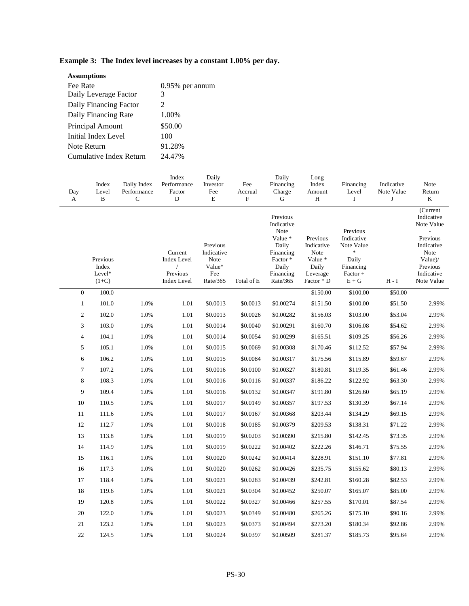| $0.95\%$ per annum |
|--------------------|
|                    |
|                    |
|                    |
|                    |
|                    |
| 91.28%             |
| 24.47%             |
|                    |

# **Example 3: The Index level increases by a constant 1.00% per day.**

| Day<br>A                 | Index<br>Level<br>B                    | Daily Index<br>Performance<br>C | Index<br>Performance<br>Factor<br>D                                           | Daily<br>Investor<br>Fee<br>E                               | Fee<br>Accrual<br>$\boldsymbol{\mathrm{F}}$ | Daily<br>Financing<br>Charge<br>G                                                                            | Long<br>Index<br>Amount<br>H                                                 | Financing<br>Level<br>I                                                                   | Indicative<br>Note Value<br>J | Note<br>Return<br>$\bf K$                                                                                                 |  |
|--------------------------|----------------------------------------|---------------------------------|-------------------------------------------------------------------------------|-------------------------------------------------------------|---------------------------------------------|--------------------------------------------------------------------------------------------------------------|------------------------------------------------------------------------------|-------------------------------------------------------------------------------------------|-------------------------------|---------------------------------------------------------------------------------------------------------------------------|--|
|                          | Previous<br>Index<br>Level*<br>$(1+C)$ |                                 | Current<br><b>Index Level</b><br>$\sqrt{2}$<br>Previous<br><b>Index Level</b> | Previous<br>Indicative<br>Note<br>Value*<br>Fee<br>Rate/365 | Total of E                                  | Previous<br>Indicative<br>Note<br>Value *<br>Daily<br>Financing<br>Factor*<br>Daily<br>Financing<br>Rate/365 | Previous<br>Indicative<br>Note<br>Value *<br>Daily<br>Leverage<br>Factor * D | Previous<br>Indicative<br>Note Value<br>$\ast$<br>Daily<br>Financing<br>Factor +<br>$E+G$ | H - I                         | (Current<br>Indicative<br>Note Value<br>Previous<br>Indicative<br>Note<br>Value)/<br>Previous<br>Indicative<br>Note Value |  |
| $\boldsymbol{0}$         | 100.0                                  |                                 |                                                                               |                                                             |                                             |                                                                                                              | \$150.00                                                                     | \$100.00                                                                                  | \$50.00                       |                                                                                                                           |  |
| $\mathbf{1}$             | 101.0                                  | 1.0%                            | 1.01                                                                          | \$0.0013                                                    | \$0.0013                                    | \$0.00274                                                                                                    | \$151.50                                                                     | \$100.00                                                                                  | \$51.50                       | 2.99%                                                                                                                     |  |
| $\overline{c}$           | 102.0                                  | 1.0%                            | 1.01                                                                          | \$0.0013                                                    | \$0.0026                                    | \$0.00282                                                                                                    | \$156.03                                                                     | \$103.00                                                                                  | \$53.04                       | 2.99%                                                                                                                     |  |
| 3                        | 103.0                                  | 1.0%                            | 1.01                                                                          | \$0.0014                                                    | \$0.0040                                    | \$0.00291                                                                                                    | \$160.70                                                                     | \$106.08                                                                                  | \$54.62                       | 2.99%                                                                                                                     |  |
| $\overline{\mathcal{A}}$ | 104.1                                  | 1.0%                            | 1.01                                                                          | \$0.0014                                                    | \$0.0054                                    | \$0.00299                                                                                                    | \$165.51                                                                     | \$109.25                                                                                  | \$56.26                       | 2.99%                                                                                                                     |  |
| 5                        | 105.1                                  | 1.0%                            | 1.01                                                                          | \$0.0015                                                    | \$0.0069                                    | \$0.00308                                                                                                    | \$170.46                                                                     | \$112.52                                                                                  | \$57.94                       | 2.99%                                                                                                                     |  |
| 6                        | 106.2                                  | 1.0%                            | 1.01                                                                          | \$0.0015                                                    | \$0.0084                                    | \$0.00317                                                                                                    | \$175.56                                                                     | \$115.89                                                                                  | \$59.67                       | 2.99%                                                                                                                     |  |
| 7                        | 107.2                                  | 1.0%                            | 1.01                                                                          | \$0.0016                                                    | \$0.0100                                    | \$0.00327                                                                                                    | \$180.81                                                                     | \$119.35                                                                                  | \$61.46                       | 2.99%                                                                                                                     |  |
| 8                        | 108.3                                  | 1.0%                            | 1.01                                                                          | \$0.0016                                                    | \$0.0116                                    | \$0.00337                                                                                                    | \$186.22                                                                     | \$122.92                                                                                  | \$63.30                       | 2.99%                                                                                                                     |  |
| 9                        | 109.4                                  | 1.0%                            | 1.01                                                                          | \$0.0016                                                    | \$0.0132                                    | \$0.00347                                                                                                    | \$191.80                                                                     | \$126.60                                                                                  | \$65.19                       | 2.99%                                                                                                                     |  |
| 10                       | 110.5                                  | 1.0%                            | 1.01                                                                          | \$0.0017                                                    | \$0.0149                                    | \$0.00357                                                                                                    | \$197.53                                                                     | \$130.39                                                                                  | \$67.14                       | 2.99%                                                                                                                     |  |
| 11                       | 111.6                                  | 1.0%                            | 1.01                                                                          | \$0.0017                                                    | \$0.0167                                    | \$0.00368                                                                                                    | \$203.44                                                                     | \$134.29                                                                                  | \$69.15                       | 2.99%                                                                                                                     |  |
| 12                       | 112.7                                  | 1.0%                            | 1.01                                                                          | \$0.0018                                                    | \$0.0185                                    | \$0.00379                                                                                                    | \$209.53                                                                     | \$138.31                                                                                  | \$71.22                       | 2.99%                                                                                                                     |  |
| 13                       | 113.8                                  | 1.0%                            | 1.01                                                                          | \$0.0019                                                    | \$0.0203                                    | \$0.00390                                                                                                    | \$215.80                                                                     | \$142.45                                                                                  | \$73.35                       | 2.99%                                                                                                                     |  |
| 14                       | 114.9                                  | 1.0%                            | 1.01                                                                          | \$0.0019                                                    | \$0.0222                                    | \$0.00402                                                                                                    | \$222.26                                                                     | \$146.71                                                                                  | \$75.55                       | 2.99%                                                                                                                     |  |
| 15                       | 116.1                                  | 1.0%                            | 1.01                                                                          | \$0.0020                                                    | \$0.0242                                    | \$0.00414                                                                                                    | \$228.91                                                                     | \$151.10                                                                                  | \$77.81                       | 2.99%                                                                                                                     |  |
| 16                       | 117.3                                  | 1.0%                            | 1.01                                                                          | \$0.0020                                                    | \$0.0262                                    | \$0.00426                                                                                                    | \$235.75                                                                     | \$155.62                                                                                  | \$80.13                       | 2.99%                                                                                                                     |  |
| 17                       | 118.4                                  | 1.0%                            | 1.01                                                                          | \$0.0021                                                    | \$0.0283                                    | \$0.00439                                                                                                    | \$242.81                                                                     | \$160.28                                                                                  | \$82.53                       | 2.99%                                                                                                                     |  |
| 18                       | 119.6                                  | 1.0%                            | 1.01                                                                          | \$0.0021                                                    | \$0.0304                                    | \$0.00452                                                                                                    | \$250.07                                                                     | \$165.07                                                                                  | \$85.00                       | 2.99%                                                                                                                     |  |
| 19                       | 120.8                                  | 1.0%                            | 1.01                                                                          | \$0.0022                                                    | \$0.0327                                    | \$0.00466                                                                                                    | \$257.55                                                                     | \$170.01                                                                                  | \$87.54                       | 2.99%                                                                                                                     |  |
| 20                       | 122.0                                  | 1.0%                            | 1.01                                                                          | \$0.0023                                                    | \$0.0349                                    | \$0.00480                                                                                                    | \$265.26                                                                     | \$175.10                                                                                  | \$90.16                       | 2.99%                                                                                                                     |  |
| 21                       | 123.2                                  | 1.0%                            | 1.01                                                                          | \$0.0023                                                    | \$0.0373                                    | \$0.00494                                                                                                    | \$273.20                                                                     | \$180.34                                                                                  | \$92.86                       | 2.99%                                                                                                                     |  |
| 22                       | 124.5                                  | 1.0%                            | 1.01                                                                          | \$0.0024                                                    | \$0.0397                                    | \$0.00509                                                                                                    | \$281.37                                                                     | \$185.73                                                                                  | \$95.64                       | 2.99%                                                                                                                     |  |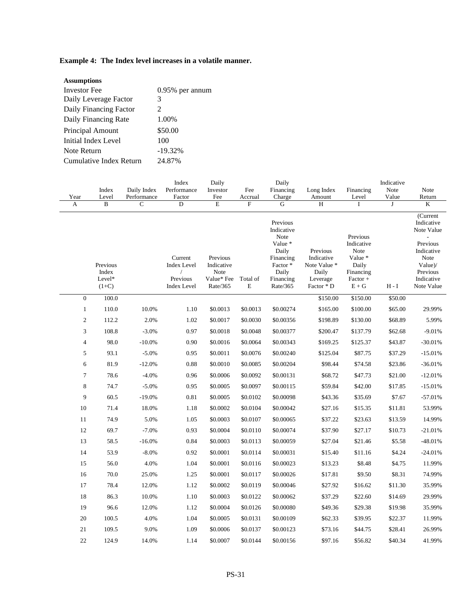# **Example 4: The Index level increases in a volatile manner.**

| <b>Assumptions</b>      |                    |
|-------------------------|--------------------|
| <b>Investor</b> Fee     | $0.95\%$ per annum |
| Daily Leverage Factor   | 3                  |
| Daily Financing Factor  | 2                  |
| Daily Financing Rate    | 1.00%              |
| Principal Amount        | \$50.00            |
| Initial Index Level     | 100                |
| Note Return             | $-19.32%$          |
| Cumulative Index Return | 24.87%             |
|                         |                    |

|                  | Index                                  | Daily Index | Index<br>Performance                                            | Daily<br>Daily<br>Investor<br>Fee<br>Financing           |                         |                                                                                                              | Long Index                                                                | Financing                                                                            | Indicative<br>Note | Note                                                                                                                                                  |
|------------------|----------------------------------------|-------------|-----------------------------------------------------------------|----------------------------------------------------------|-------------------------|--------------------------------------------------------------------------------------------------------------|---------------------------------------------------------------------------|--------------------------------------------------------------------------------------|--------------------|-------------------------------------------------------------------------------------------------------------------------------------------------------|
| Year             | Level                                  | Performance | Factor                                                          | Fee                                                      | Accrual                 | Charge                                                                                                       | Amount                                                                    | Level                                                                                | Value              | Return                                                                                                                                                |
| A                | $\overline{\mathbf{B}}$                | $\mathbf C$ | $\overline{D}$                                                  | $\overline{\text{E}}$                                    | $\overline{F}$          | G                                                                                                            | $\overline{\rm H}$                                                        | $\mathbf I$                                                                          | $\mathbf{J}$       | $\rm K$                                                                                                                                               |
|                  | Previous<br>Index<br>Level*<br>$(1+C)$ |             | Current<br><b>Index Level</b><br>Previous<br><b>Index Level</b> | Previous<br>Indicative<br>Note<br>Value* Fee<br>Rate/365 | Total of<br>$\mathbf E$ | Previous<br>Indicative<br>Note<br>Value *<br>Daily<br>Financing<br>Factor*<br>Daily<br>Financing<br>Rate/365 | Previous<br>Indicative<br>Note Value *<br>Daily<br>Leverage<br>Factor * D | Previous<br>Indicative<br>Note<br>Value *<br>Daily<br>Financing<br>Factor +<br>$E+G$ | $H - I$            | (Current<br>Indicative<br>Note Value<br>$\overline{\phantom{a}}$<br>Previous<br>Indicative<br>Note<br>Value)/<br>Previous<br>Indicative<br>Note Value |
| $\boldsymbol{0}$ | 100.0                                  |             |                                                                 |                                                          |                         |                                                                                                              | \$150.00                                                                  | \$150.00                                                                             | \$50.00            |                                                                                                                                                       |
| $\mathbf{1}$     | 110.0                                  | 10.0%       | 1.10                                                            | \$0.0013                                                 | \$0.0013                | \$0.00274                                                                                                    | \$165.00                                                                  | \$100.00                                                                             | \$65.00            | 29.99%                                                                                                                                                |
| 2                | 112.2                                  | 2.0%        | 1.02                                                            | \$0.0017                                                 | \$0.0030                | \$0.00356                                                                                                    | \$198.89                                                                  | \$130.00                                                                             | \$68.89            | 5.99%                                                                                                                                                 |
| 3                | 108.8                                  | $-3.0%$     | 0.97                                                            | \$0.0018                                                 | \$0.0048                | \$0.00377                                                                                                    | \$200.47                                                                  | \$137.79                                                                             | \$62.68            | $-9.01%$                                                                                                                                              |
| $\overline{4}$   | 98.0                                   | $-10.0\%$   | 0.90                                                            | \$0.0016                                                 | \$0.0064                | \$0.00343                                                                                                    | \$169.25                                                                  | \$125.37                                                                             | \$43.87            | $-30.01%$                                                                                                                                             |
| 5                | 93.1                                   | $-5.0%$     | 0.95                                                            | \$0.0011                                                 | \$0.0076                | \$0.00240                                                                                                    | \$125.04                                                                  | \$87.75                                                                              | \$37.29            | $-15.01%$                                                                                                                                             |
| 6                | 81.9                                   | $-12.0%$    | 0.88                                                            | \$0.0010                                                 | \$0.0085                | \$0.00204                                                                                                    | \$98.44                                                                   | \$74.58                                                                              | \$23.86            | $-36.01%$                                                                                                                                             |
| 7                | 78.6                                   | $-4.0%$     | 0.96                                                            | \$0.0006                                                 | \$0.0092                | \$0.00131                                                                                                    | \$68.72                                                                   | \$47.73                                                                              | \$21.00            | $-12.01%$                                                                                                                                             |
| 8                | 74.7                                   | $-5.0%$     | 0.95                                                            | \$0.0005                                                 | \$0.0097                | \$0.00115                                                                                                    | \$59.84                                                                   | \$42.00                                                                              | \$17.85            | $-15.01%$                                                                                                                                             |
| 9                | 60.5                                   | $-19.0%$    | $0.81\,$                                                        | \$0.0005                                                 | \$0.0102                | \$0.00098                                                                                                    | \$43.36                                                                   | \$35.69                                                                              | \$7.67             | $-57.01%$                                                                                                                                             |
| 10               | 71.4                                   | 18.0%       | 1.18                                                            | \$0.0002                                                 | \$0.0104                | \$0.00042                                                                                                    | \$27.16                                                                   | \$15.35                                                                              | \$11.81            | 53.99%                                                                                                                                                |
| 11               | 74.9                                   | 5.0%        | 1.05                                                            | \$0.0003                                                 | \$0.0107                | \$0.00065                                                                                                    | \$37.22                                                                   | \$23.63                                                                              | \$13.59            | 14.99%                                                                                                                                                |
| 12               | 69.7                                   | $-7.0%$     | 0.93                                                            | \$0.0004                                                 | \$0.0110                | \$0.00074                                                                                                    | \$37.90                                                                   | \$27.17                                                                              | \$10.73            | $-21.01%$                                                                                                                                             |
| 13               | 58.5                                   | $-16.0%$    | 0.84                                                            | \$0.0003                                                 | \$0.0113                | \$0.00059                                                                                                    | \$27.04                                                                   | \$21.46                                                                              | \$5.58             | $-48.01%$                                                                                                                                             |
| 14               | 53.9                                   | $-8.0\%$    | 0.92                                                            | \$0.0001                                                 | \$0.0114                | \$0.00031                                                                                                    | \$15.40                                                                   | \$11.16                                                                              | \$4.24             | $-24.01%$                                                                                                                                             |
| 15               | 56.0                                   | 4.0%        | 1.04                                                            | \$0.0001                                                 | \$0.0116                | \$0.00023                                                                                                    | \$13.23                                                                   | \$8.48                                                                               | \$4.75             | 11.99%                                                                                                                                                |
| 16               | 70.0                                   | 25.0%       | 1.25                                                            | \$0.0001                                                 | \$0.0117                | \$0.00026                                                                                                    | \$17.81                                                                   | \$9.50                                                                               | \$8.31             | 74.99%                                                                                                                                                |
| 17               | 78.4                                   | 12.0%       | 1.12                                                            | \$0.0002                                                 | \$0.0119                | \$0.00046                                                                                                    | \$27.92                                                                   | \$16.62                                                                              | \$11.30            | 35.99%                                                                                                                                                |
| 18               | 86.3                                   | 10.0%       | 1.10                                                            | \$0.0003                                                 | \$0.0122                | \$0.00062                                                                                                    | \$37.29                                                                   | \$22.60                                                                              | \$14.69            | 29.99%                                                                                                                                                |
| 19               | 96.6                                   | 12.0%       | 1.12                                                            | \$0.0004                                                 | \$0.0126                | \$0.00080                                                                                                    | \$49.36                                                                   | \$29.38                                                                              | \$19.98            | 35.99%                                                                                                                                                |
| $20\,$           | 100.5                                  | 4.0%        | 1.04                                                            | \$0.0005                                                 | \$0.0131                | \$0.00109                                                                                                    | \$62.33                                                                   | \$39.95                                                                              | \$22.37            | 11.99%                                                                                                                                                |
| $21\,$           | 109.5                                  | 9.0%        | 1.09                                                            | \$0.0006                                                 | \$0.0137                | \$0.00123                                                                                                    | \$73.16                                                                   | \$44.75                                                                              | \$28.41            | 26.99%                                                                                                                                                |
| 22               | 124.9                                  | 14.0%       | 1.14                                                            | \$0.0007                                                 | \$0.0144                | \$0.00156                                                                                                    | \$97.16                                                                   | \$56.82                                                                              | \$40.34            | 41.99%                                                                                                                                                |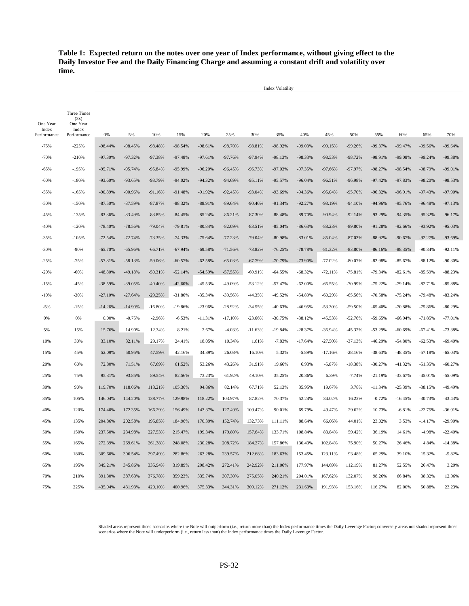# **Table 1: Expected return on the notes over one year of Index performance, without giving effect to the Daily Investor Fee and the Daily Financing Charge and assuming a constant drift and volatility over time.**

Index Volatility

| One Year             | Three Times<br>(3x)<br>One Year |           |           |           |           |           |           |           |           |           |           |           |           |           |           |           |
|----------------------|---------------------------------|-----------|-----------|-----------|-----------|-----------|-----------|-----------|-----------|-----------|-----------|-----------|-----------|-----------|-----------|-----------|
| Index<br>Performance | Index<br>Performance            | 0%        | 5%        | 10%       | 15%       | 20%       | 25%       | 30%       | 35%       | 40%       | 45%       | 50%       | 55%       | 60%       | 65%       | 70%       |
| $-75%$               | $-225%$                         | $-98.44%$ | $-98.45%$ | $-98.48%$ | $-98.54%$ | $-98.61%$ | -98.70%   | $-98.81%$ | -98.92%   | -99.03%   | $-99.15%$ | $-99.26%$ | -99.37%   | $-99.47%$ | -99.56%   | $-99.64%$ |
| $-70%$               | $-210%$                         | -97.30%   | $-97.32%$ | -97.38%   | $-97.48%$ | $-97.61%$ | $-97.76%$ | $-97.94%$ | $-98.13%$ | -98.33%   | -98.53%   | $-98.72%$ | -98.91%   | -99.08%   | $-99.24%$ | -99.38%   |
| $-65%$               | $-195%$                         | $-95.71%$ | $-95.74%$ | $-95.84%$ | $-95.99%$ | $-96.20%$ | $-96.45%$ | $-96.73%$ | -97.03%   | $-97.35%$ | $-97.66%$ | -97.97%   | $-98.27%$ | $-98.54%$ | $-98.79%$ | $-99.01%$ |
| -60%                 | $-180%$                         | $-93.60%$ | $-93.65%$ | $-93.79%$ | $-94.02%$ | $-94.32%$ | $-94.69%$ | $-95.11%$ | $-95.57%$ | $-96.04%$ | $-96.51%$ | -96.98%   | $-97.42%$ | $-97.83%$ | $-98.20%$ | -98.53%   |
| -55%                 | $-165%$                         | -90.89%   | -90.96%   | $-91.16%$ | $-91.48%$ | $-91.92%$ | $-92.45%$ | $-93.04%$ | -93.69%   | $-94.36%$ | $-95.04%$ | $-95.70%$ | $-96.32%$ | $-96.91%$ | $-97.43%$ | -97.90%   |
| $-50%$               | $-150%$                         | $-87.50%$ | $-87.59%$ | $-87.87%$ | $-88.32%$ | $-88.91%$ | $-89.64%$ | $-90.46%$ | $-91.34%$ | $-92.27%$ | $-93.19%$ | $-94.10%$ | -94.96%   | $-95.76%$ | $-96.48%$ | $-97.13%$ |
| $-45%$               | $-135%$                         | $-83.36%$ | $-83.49%$ | $-83.85%$ | $-84.45%$ | $-85.24%$ | $-86.21%$ | $-87.30%$ | $-88.48%$ | $-89.70%$ | $-90.94%$ | $-92.14%$ | -93.29%   | $-94.35%$ | $-95.32%$ | $-96.17%$ |
| $-40%$               | $-120%$                         | $-78.40%$ | $-78.56%$ | $-79.04%$ | $-79.81%$ | $-80.84%$ | $-82.09%$ | $-83.51%$ | $-85.04%$ | $-86.63%$ | $-88.23%$ | $-89.80%$ | $-91.28%$ | $-92.66%$ | -93.92%   | -95.03%   |
| $-35%$               | $-105%$                         | $-72.54%$ | $-72.74%$ | $-73.35%$ | $-74.33%$ | $-75.64%$ | $-77.23%$ | $-79.04%$ | $-80.98%$ | $-83.01%$ | $-85.04%$ | $-87.03%$ | $-88.92%$ | $-90.67%$ | $-92.27%$ | -93.69%   |
| $-30%$               | $-90%$                          | $-65.70%$ | $-65.96%$ | $-66.71%$ | $-67.94%$ | $-69.58%$ | $-71.56%$ | $-73.82%$ | $-76.25%$ | $-78.78%$ | $-81.32%$ | $-83.80%$ | $-86.16%$ | $-88.35%$ | $-90.34%$ | $-92.11%$ |
| $-25%$               | $-75%$                          | $-57.81%$ | $-58.13%$ | $-59.06%$ | $-60.57%$ | $-62.58%$ | $-65.03%$ | $-67.79%$ | $-70.79%$ | -73.90%   | $-77.02%$ | $-80.07%$ | $-82.98%$ | $-85.67%$ | $-88.12%$ | $-90.30%$ |
| $-20%$               | $-60%$                          | -48.80%   | -49.18%   | $-50.31%$ | $-52.14%$ | $-54.59%$ | $-57.55%$ | $-60.91%$ | $-64.55%$ | $-68.32%$ | $-72.11%$ | $-75.81%$ | $-79.34%$ | $-82.61%$ | $-85.59%$ | $-88.23%$ |
| $-15%$               | $-45%$                          | $-38.59%$ | $-39.05%$ | $-40.40%$ | $-42.60%$ | $-45.53%$ | -49.09%   | $-53.12%$ | $-57.47%$ | $-62.00%$ | $-66.55%$ | -70.99%   | $-75.22%$ | $-79.14%$ | $-82.71%$ | $-85.88%$ |
| $-10%$               | $-30%$                          | $-27.10%$ | $-27.64%$ | $-29.25%$ | $-31.86%$ | $-35.34%$ | $-39.56%$ | $-44.35%$ | $-49.52%$ | $-54.89%$ | $-60.29%$ | $-65.56%$ | $-70.58%$ | $-75.24%$ | $-79.48%$ | $-83.24%$ |
| $-5%$                | $-15%$                          | $-14.26%$ | $-14.90%$ | $-16.80%$ | $-19.86%$ | $-23.96%$ | $-28.92%$ | $-34.55%$ | $-40.63%$ | -46.95%   | $-53.30%$ | $-59.50%$ | $-65.40%$ | $-70.88%$ | $-75.86%$ | $-80.29%$ |
| 0%                   | 0%                              | 0.00%     | $-0.75%$  | $-2.96%$  | $-6.53%$  | $-11.31%$ | $-17.10%$ | $-23.66%$ | $-30.75%$ | $-38.12%$ | $-45.53%$ | $-52.76%$ | $-59.65%$ | $-66.04%$ | $-71.85%$ | $-77.01%$ |
| 5%                   | 15%                             | 15.76%    | 14.90%    | 12.34%    | 8.21%     | 2.67%     | $-4.03%$  | $-11.63%$ | $-19.84%$ | $-28.37%$ | $-36.94%$ | -45.32%   | $-53.29%$ | $-60.69%$ | $-67.41%$ | -73.38%   |
| 10%                  | 30%                             | 33.10%    | 32.11%    | 29.17%    | 24.41%    | 18.05%    | 10.34%    | 1.61%     | $-7.83%$  | $-17.64%$ | $-27.50%$ | $-37.13%$ | $-46.29%$ | $-54.80%$ | $-62.53%$ | $-69.40%$ |
| 15%                  | 45%                             | 52.09%    | 50.95%    | 47.59%    | 42.16%    | 34.89%    | 26.08%    | 16.10%    | 5.32%     | $-5.89%$  | $-17.16%$ | $-28.16%$ | $-38.63%$ | $-48.35%$ | $-57.18%$ | $-65.03%$ |
| 20%                  | 60%                             | 72.80%    | 71.51%    | 67.69%    | 61.52%    | 53.26%    | 43.26%    | 31.91%    | 19.66%    | 6.93%     | $-5.87%$  | $-18.38%$ | $-30.27%$ | $-41.32%$ | $-51.35%$ | $-60.27%$ |
| 25%                  | 75%                             | 95.31%    | 93.85%    | 89.54%    | 82.56%    | 73.23%    | 61.92%    | 49.10%    | 35.25%    | 20.86%    | 6.39%     | $-7.74%$  | $-21.19%$ | $-33.67%$ | $-45.01%$ | $-55.09%$ |
| 30%                  | 90%                             | 119.70%   | 118.06%   | 113.21%   | 105.36%   | 94.86%    | 82.14%    | 67.71%    | 52.13%    | 35.95%    | 19.67%    | 3.78%     | $-11.34%$ | $-25.39%$ | $-38.15%$ | -49.49%   |
| 35%                  | 105%                            | 146.04%   | 144.20%   | 138.77%   | 129.98%   | 118.22%   | 103.97%   | 87.82%    | 70.37%    | 52.24%    | 34.02%    | 16.22%    | $-0.72%$  | $-16.45%$ | $-30.73%$ | $-43.43%$ |
| 40%                  | 120%                            | 174.40%   | 172.35%   | 166.29%   | 156.49%   | 143.37%   | 127.49%   | 109.47%   | 90.01%    | 69.79%    | 49.47%    | 29.62%    | 10.73%    | $-6.81%$  | $-22.75%$ | $-36.91%$ |
| 45%                  | 135%                            | 204.86%   | 202.58%   | 195.85%   | 184.96%   | 170.39%   | 152.74%   | 132.73%   | 111.11%   | 88.64%    | 66.06%    | 44.01%    | 23.02%    | 3.53%     | $-14.17%$ | $-29.90%$ |
| 50%                  | 150%                            | 237.50%   | 234.98%   | 227.53%   | 215.47%   | 199.34%   | 179.80%   | 157.64%   | 133.71%   | 108.84%   | 83.84%    | 59.42%    | 36.19%    | 14.61%    | -4.98%    | $-22.40%$ |
| 55%                  | 165%                            | 272.39%   | 269.61%   | 261.38%   | 248.08%   | 230.28%   | 208,72%   | 184.27%   | 157.86%   | 130.43%   | 102.84%   | 75.90%    | 50.27%    | 26.46%    | 4.84%     | $-14.38%$ |
| 60%                  | 180%                            | 309.60%   | 306.54%   | 297.49%   | 282.86%   | 263.28%   | 239.57%   | 212.68%   | 183.63%   | 153.45%   | 123.11%   | 93.48%    | 65.29%    | 39.10%    | 15.32%    | $-5.82%$  |
| 65%                  | 195%                            | 349.21%   | 345.86%   | 335.94%   | 319.89%   | 298.42%   | 272.41%   | 242.92%   | 211.06%   | 177.97%   | 144.69%   | 112.19%   | 81.27%    | 52.55%    | 26.47%    | 3.29%     |
| 70%                  | 210%                            | 391.30%   | 387.63%   | 376.78%   | 359.23%   | 335.74%   | 307.30%   | 275.05%   | 240.21%   | 204.01%   | 167.62%   | 132.07%   | 98.26%    | 66.84%    | 38.32%    | 12.96%    |
| 75%                  | 225%                            | 435.94%   | 431.93%   | 420.10%   | 400.96%   | 375.33%   | 344.31%   | 309.12%   | 271.12%   | 231.63%   | 191.93%   | 153.16%   | 116.27%   | 82.00%    | 50.88%    | 23.23%    |

Shaded areas represent those scenarios where the Note will outperform (i.e., return more than) the Index performance times the Daily Leverage Factor; conversely areas not shaded represent those<br>scenarios where the Note wil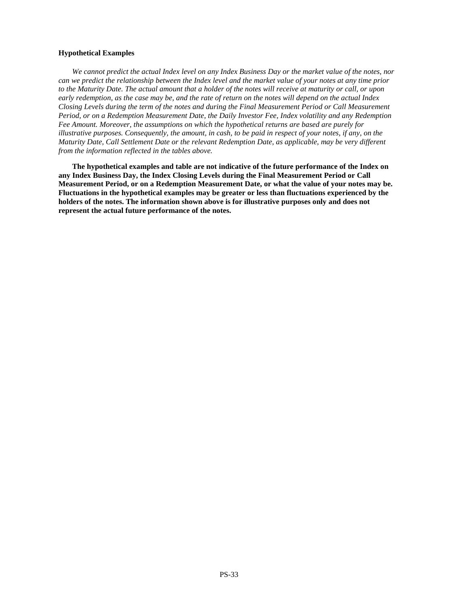# **Hypothetical Examples**

*We cannot predict the actual Index level on any Index Business Day or the market value of the notes, nor can we predict the relationship between the Index level and the market value of your notes at any time prior to the Maturity Date. The actual amount that a holder of the notes will receive at maturity or call, or upon early redemption, as the case may be, and the rate of return on the notes will depend on the actual Index Closing Levels during the term of the notes and during the Final Measurement Period or Call Measurement Period, or on a Redemption Measurement Date, the Daily Investor Fee, Index volatility and any Redemption Fee Amount. Moreover, the assumptions on which the hypothetical returns are based are purely for illustrative purposes. Consequently, the amount, in cash, to be paid in respect of your notes, if any, on the Maturity Date, Call Settlement Date or the relevant Redemption Date, as applicable, may be very different from the information reflected in the tables above.* 

**The hypothetical examples and table are not indicative of the future performance of the Index on any Index Business Day, the Index Closing Levels during the Final Measurement Period or Call Measurement Period, or on a Redemption Measurement Date, or what the value of your notes may be. Fluctuations in the hypothetical examples may be greater or less than fluctuations experienced by the holders of the notes. The information shown above is for illustrative purposes only and does not represent the actual future performance of the notes.**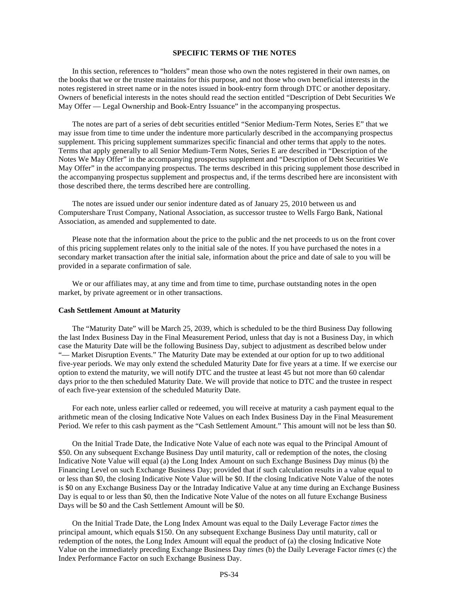#### **SPECIFIC TERMS OF THE NOTES**

In this section, references to "holders" mean those who own the notes registered in their own names, on the books that we or the trustee maintains for this purpose, and not those who own beneficial interests in the notes registered in street name or in the notes issued in book-entry form through DTC or another depositary. Owners of beneficial interests in the notes should read the section entitled "Description of Debt Securities We May Offer — Legal Ownership and Book-Entry Issuance" in the accompanying prospectus.

The notes are part of a series of debt securities entitled "Senior Medium-Term Notes, Series E" that we may issue from time to time under the indenture more particularly described in the accompanying prospectus supplement. This pricing supplement summarizes specific financial and other terms that apply to the notes. Terms that apply generally to all Senior Medium-Term Notes, Series E are described in "Description of the Notes We May Offer" in the accompanying prospectus supplement and "Description of Debt Securities We May Offer" in the accompanying prospectus. The terms described in this pricing supplement those described in the accompanying prospectus supplement and prospectus and, if the terms described here are inconsistent with those described there, the terms described here are controlling.

The notes are issued under our senior indenture dated as of January 25, 2010 between us and Computershare Trust Company, National Association, as successor trustee to Wells Fargo Bank, National Association, as amended and supplemented to date.

Please note that the information about the price to the public and the net proceeds to us on the front cover of this pricing supplement relates only to the initial sale of the notes. If you have purchased the notes in a secondary market transaction after the initial sale, information about the price and date of sale to you will be provided in a separate confirmation of sale.

We or our affiliates may, at any time and from time to time, purchase outstanding notes in the open market, by private agreement or in other transactions.

#### **Cash Settlement Amount at Maturity**

The "Maturity Date" will be March 25, 2039, which is scheduled to be the third Business Day following the last Index Business Day in the Final Measurement Period, unless that day is not a Business Day, in which case the Maturity Date will be the following Business Day, subject to adjustment as described below under "— Market Disruption Events." The Maturity Date may be extended at our option for up to two additional five-year periods. We may only extend the scheduled Maturity Date for five years at a time. If we exercise our option to extend the maturity, we will notify DTC and the trustee at least 45 but not more than 60 calendar days prior to the then scheduled Maturity Date. We will provide that notice to DTC and the trustee in respect of each five-year extension of the scheduled Maturity Date.

For each note, unless earlier called or redeemed, you will receive at maturity a cash payment equal to the arithmetic mean of the closing Indicative Note Values on each Index Business Day in the Final Measurement Period. We refer to this cash payment as the "Cash Settlement Amount." This amount will not be less than \$0.

On the Initial Trade Date, the Indicative Note Value of each note was equal to the Principal Amount of \$50. On any subsequent Exchange Business Day until maturity, call or redemption of the notes, the closing Indicative Note Value will equal (a) the Long Index Amount on such Exchange Business Day minus (b) the Financing Level on such Exchange Business Day; provided that if such calculation results in a value equal to or less than \$0, the closing Indicative Note Value will be \$0. If the closing Indicative Note Value of the notes is \$0 on any Exchange Business Day or the Intraday Indicative Value at any time during an Exchange Business Day is equal to or less than \$0, then the Indicative Note Value of the notes on all future Exchange Business Days will be \$0 and the Cash Settlement Amount will be \$0.

On the Initial Trade Date, the Long Index Amount was equal to the Daily Leverage Factor *times* the principal amount, which equals \$150. On any subsequent Exchange Business Day until maturity, call or redemption of the notes, the Long Index Amount will equal the product of (a) the closing Indicative Note Value on the immediately preceding Exchange Business Day *times* (b) the Daily Leverage Factor *times* (c) the Index Performance Factor on such Exchange Business Day.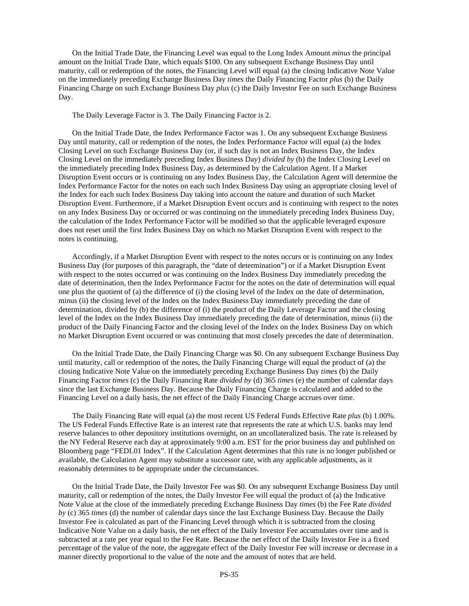On the Initial Trade Date, the Financing Level was equal to the Long Index Amount *minus* the principal amount on the Initial Trade Date, which equals \$100. On any subsequent Exchange Business Day until maturity, call or redemption of the notes, the Financing Level will equal (a) the closing Indicative Note Value on the immediately preceding Exchange Business Day *times* the Daily Financing Factor *plus* (b) the Daily Financing Charge on such Exchange Business Day *plus* (c) the Daily Investor Fee on such Exchange Business Day.

The Daily Leverage Factor is 3. The Daily Financing Factor is 2.

On the Initial Trade Date, the Index Performance Factor was 1. On any subsequent Exchange Business Day until maturity, call or redemption of the notes, the Index Performance Factor will equal (a) the Index Closing Level on such Exchange Business Day (or, if such day is not an Index Business Day, the Index Closing Level on the immediately preceding Index Business Day) *divided by* (b) the Index Closing Level on the immediately preceding Index Business Day, as determined by the Calculation Agent. If a Market Disruption Event occurs or is continuing on any Index Business Day, the Calculation Agent will determine the Index Performance Factor for the notes on each such Index Business Day using an appropriate closing level of the Index for each such Index Business Day taking into account the nature and duration of such Market Disruption Event. Furthermore, if a Market Disruption Event occurs and is continuing with respect to the notes on any Index Business Day or occurred or was continuing on the immediately preceding Index Business Day, the calculation of the Index Performance Factor will be modified so that the applicable leveraged exposure does not reset until the first Index Business Day on which no Market Disruption Event with respect to the notes is continuing.

Accordingly, if a Market Disruption Event with respect to the notes occurs or is continuing on any Index Business Day (for purposes of this paragraph, the "date of determination") or if a Market Disruption Event with respect to the notes occurred or was continuing on the Index Business Day immediately preceding the date of determination, then the Index Performance Factor for the notes on the date of determination will equal one plus the quotient of (a) the difference of (i) the closing level of the Index on the date of determination, minus (ii) the closing level of the Index on the Index Business Day immediately preceding the date of determination, divided by (b) the difference of (i) the product of the Daily Leverage Factor and the closing level of the Index on the Index Business Day immediately preceding the date of determination, minus (ii) the product of the Daily Financing Factor and the closing level of the Index on the Index Business Day on which no Market Disruption Event occurred or was continuing that most closely precedes the date of determination.

On the Initial Trade Date, the Daily Financing Charge was \$0. On any subsequent Exchange Business Day until maturity, call or redemption of the notes, the Daily Financing Charge will equal the product of (a) the closing Indicative Note Value on the immediately preceding Exchange Business Day *times* (b) the Daily Financing Factor *times* (c) the Daily Financing Rate *divided by* (d) 365 *times* (e) the number of calendar days since the last Exchange Business Day. Because the Daily Financing Charge is calculated and added to the Financing Level on a daily basis, the net effect of the Daily Financing Charge accrues over time.

The Daily Financing Rate will equal (a) the most recent US Federal Funds Effective Rate *plus* (b) 1.00%. The US Federal Funds Effective Rate is an interest rate that represents the rate at which U.S. banks may lend reserve balances to other depository institutions overnight, on an uncollateralized basis. The rate is released by the NY Federal Reserve each day at approximately 9:00 a.m. EST for the prior business day and published on Bloomberg page "FEDL01 Index". If the Calculation Agent determines that this rate is no longer published or available, the Calculation Agent may substitute a successor rate, with any applicable adjustments, as it reasonably determines to be appropriate under the circumstances.

On the Initial Trade Date, the Daily Investor Fee was \$0. On any subsequent Exchange Business Day until maturity, call or redemption of the notes, the Daily Investor Fee will equal the product of (a) the Indicative Note Value at the close of the immediately preceding Exchange Business Day *times* (b) the Fee Rate *divided by* (c) 365 *times* (d) the number of calendar days since the last Exchange Business Day. Because the Daily Investor Fee is calculated as part of the Financing Level through which it is subtracted from the closing Indicative Note Value on a daily basis, the net effect of the Daily Investor Fee accumulates over time and is subtracted at a rate per year equal to the Fee Rate. Because the net effect of the Daily Investor Fee is a fixed percentage of the value of the note, the aggregate effect of the Daily Investor Fee will increase or decrease in a manner directly proportional to the value of the note and the amount of notes that are held.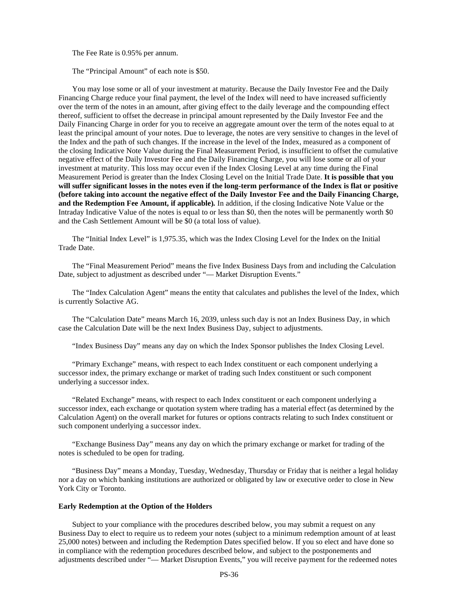The Fee Rate is 0.95% per annum.

The "Principal Amount" of each note is \$50.

You may lose some or all of your investment at maturity. Because the Daily Investor Fee and the Daily Financing Charge reduce your final payment, the level of the Index will need to have increased sufficiently over the term of the notes in an amount, after giving effect to the daily leverage and the compounding effect thereof, sufficient to offset the decrease in principal amount represented by the Daily Investor Fee and the Daily Financing Charge in order for you to receive an aggregate amount over the term of the notes equal to at least the principal amount of your notes. Due to leverage, the notes are very sensitive to changes in the level of the Index and the path of such changes. If the increase in the level of the Index, measured as a component of the closing Indicative Note Value during the Final Measurement Period, is insufficient to offset the cumulative negative effect of the Daily Investor Fee and the Daily Financing Charge, you will lose some or all of your investment at maturity. This loss may occur even if the Index Closing Level at any time during the Final Measurement Period is greater than the Index Closing Level on the Initial Trade Date. **It is possible that you will suffer significant losses in the notes even if the long-term performance of the Index is flat or positive (before taking into account the negative effect of the Daily Investor Fee and the Daily Financing Charge, and the Redemption Fee Amount, if applicable)***.* In addition, if the closing Indicative Note Value or the Intraday Indicative Value of the notes is equal to or less than \$0, then the notes will be permanently worth \$0 and the Cash Settlement Amount will be \$0 (a total loss of value).

The "Initial Index Level" is 1,975.35, which was the Index Closing Level for the Index on the Initial Trade Date.

The "Final Measurement Period" means the five Index Business Days from and including the Calculation Date, subject to adjustment as described under "— Market Disruption Events."

The "Index Calculation Agent" means the entity that calculates and publishes the level of the Index, which is currently Solactive AG.

The "Calculation Date" means March 16, 2039, unless such day is not an Index Business Day, in which case the Calculation Date will be the next Index Business Day, subject to adjustments.

"Index Business Day" means any day on which the Index Sponsor publishes the Index Closing Level.

"Primary Exchange" means, with respect to each Index constituent or each component underlying a successor index, the primary exchange or market of trading such Index constituent or such component underlying a successor index.

"Related Exchange" means, with respect to each Index constituent or each component underlying a successor index, each exchange or quotation system where trading has a material effect (as determined by the Calculation Agent) on the overall market for futures or options contracts relating to such Index constituent or such component underlying a successor index.

"Exchange Business Day" means any day on which the primary exchange or market for trading of the notes is scheduled to be open for trading.

"Business Day" means a Monday, Tuesday, Wednesday, Thursday or Friday that is neither a legal holiday nor a day on which banking institutions are authorized or obligated by law or executive order to close in New York City or Toronto.

#### **Early Redemption at the Option of the Holders**

Subject to your compliance with the procedures described below, you may submit a request on any Business Day to elect to require us to redeem your notes (subject to a minimum redemption amount of at least 25,000 notes) between and including the Redemption Dates specified below. If you so elect and have done so in compliance with the redemption procedures described below, and subject to the postponements and adjustments described under "— Market Disruption Events," you will receive payment for the redeemed notes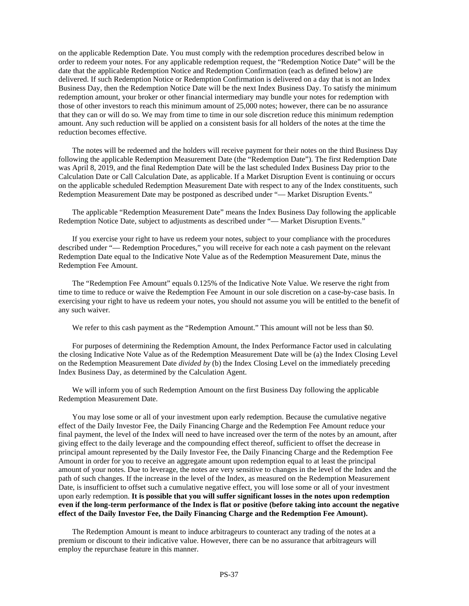on the applicable Redemption Date. You must comply with the redemption procedures described below in order to redeem your notes. For any applicable redemption request, the "Redemption Notice Date" will be the date that the applicable Redemption Notice and Redemption Confirmation (each as defined below) are delivered. If such Redemption Notice or Redemption Confirmation is delivered on a day that is not an Index Business Day, then the Redemption Notice Date will be the next Index Business Day. To satisfy the minimum redemption amount, your broker or other financial intermediary may bundle your notes for redemption with those of other investors to reach this minimum amount of 25,000 notes; however, there can be no assurance that they can or will do so. We may from time to time in our sole discretion reduce this minimum redemption amount. Any such reduction will be applied on a consistent basis for all holders of the notes at the time the reduction becomes effective.

The notes will be redeemed and the holders will receive payment for their notes on the third Business Day following the applicable Redemption Measurement Date (the "Redemption Date"). The first Redemption Date was April 8, 2019, and the final Redemption Date will be the last scheduled Index Business Day prior to the Calculation Date or Call Calculation Date, as applicable. If a Market Disruption Event is continuing or occurs on the applicable scheduled Redemption Measurement Date with respect to any of the Index constituents, such Redemption Measurement Date may be postponed as described under "— Market Disruption Events."

The applicable "Redemption Measurement Date" means the Index Business Day following the applicable Redemption Notice Date, subject to adjustments as described under "— Market Disruption Events."

If you exercise your right to have us redeem your notes, subject to your compliance with the procedures described under "— Redemption Procedures," you will receive for each note a cash payment on the relevant Redemption Date equal to the Indicative Note Value as of the Redemption Measurement Date, minus the Redemption Fee Amount.

The "Redemption Fee Amount" equals 0.125% of the Indicative Note Value. We reserve the right from time to time to reduce or waive the Redemption Fee Amount in our sole discretion on a case-by-case basis. In exercising your right to have us redeem your notes, you should not assume you will be entitled to the benefit of any such waiver.

We refer to this cash payment as the "Redemption Amount." This amount will not be less than \$0.

For purposes of determining the Redemption Amount, the Index Performance Factor used in calculating the closing Indicative Note Value as of the Redemption Measurement Date will be (a) the Index Closing Level on the Redemption Measurement Date *divided by* (b) the Index Closing Level on the immediately preceding Index Business Day, as determined by the Calculation Agent.

We will inform you of such Redemption Amount on the first Business Day following the applicable Redemption Measurement Date.

You may lose some or all of your investment upon early redemption. Because the cumulative negative effect of the Daily Investor Fee, the Daily Financing Charge and the Redemption Fee Amount reduce your final payment, the level of the Index will need to have increased over the term of the notes by an amount, after giving effect to the daily leverage and the compounding effect thereof, sufficient to offset the decrease in principal amount represented by the Daily Investor Fee, the Daily Financing Charge and the Redemption Fee Amount in order for you to receive an aggregate amount upon redemption equal to at least the principal amount of your notes. Due to leverage, the notes are very sensitive to changes in the level of the Index and the path of such changes. If the increase in the level of the Index, as measured on the Redemption Measurement Date, is insufficient to offset such a cumulative negative effect, you will lose some or all of your investment upon early redemption. **It is possible that you will suffer significant losses in the notes upon redemption even if the long-term performance of the Index is flat or positive (before taking into account the negative effect of the Daily Investor Fee, the Daily Financing Charge and the Redemption Fee Amount).**

The Redemption Amount is meant to induce arbitrageurs to counteract any trading of the notes at a premium or discount to their indicative value. However, there can be no assurance that arbitrageurs will employ the repurchase feature in this manner.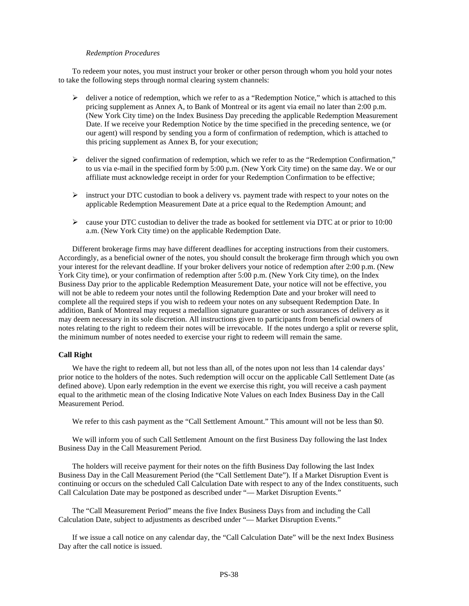#### *Redemption Procedures*

To redeem your notes, you must instruct your broker or other person through whom you hold your notes to take the following steps through normal clearing system channels:

- $\triangleright$  deliver a notice of redemption, which we refer to as a "Redemption Notice," which is attached to this pricing supplement as Annex A, to Bank of Montreal or its agent via email no later than 2:00 p.m. (New York City time) on the Index Business Day preceding the applicable Redemption Measurement Date. If we receive your Redemption Notice by the time specified in the preceding sentence, we (or our agent) will respond by sending you a form of confirmation of redemption, which is attached to this pricing supplement as Annex B, for your execution;
- $\triangleright$  deliver the signed confirmation of redemption, which we refer to as the "Redemption Confirmation," to us via e-mail in the specified form by 5:00 p.m. (New York City time) on the same day. We or our affiliate must acknowledge receipt in order for your Redemption Confirmation to be effective;
- $\triangleright$  instruct your DTC custodian to book a delivery vs. payment trade with respect to your notes on the applicable Redemption Measurement Date at a price equal to the Redemption Amount; and
- $\triangleright$  cause your DTC custodian to deliver the trade as booked for settlement via DTC at or prior to 10:00 a.m. (New York City time) on the applicable Redemption Date.

Different brokerage firms may have different deadlines for accepting instructions from their customers. Accordingly, as a beneficial owner of the notes, you should consult the brokerage firm through which you own your interest for the relevant deadline. If your broker delivers your notice of redemption after 2:00 p.m. (New York City time), or your confirmation of redemption after 5:00 p.m. (New York City time), on the Index Business Day prior to the applicable Redemption Measurement Date, your notice will not be effective, you will not be able to redeem your notes until the following Redemption Date and your broker will need to complete all the required steps if you wish to redeem your notes on any subsequent Redemption Date. In addition, Bank of Montreal may request a medallion signature guarantee or such assurances of delivery as it may deem necessary in its sole discretion. All instructions given to participants from beneficial owners of notes relating to the right to redeem their notes will be irrevocable. If the notes undergo a split or reverse split, the minimum number of notes needed to exercise your right to redeem will remain the same.

#### **Call Right**

We have the right to redeem all, but not less than all, of the notes upon not less than 14 calendar days' prior notice to the holders of the notes. Such redemption will occur on the applicable Call Settlement Date (as defined above). Upon early redemption in the event we exercise this right, you will receive a cash payment equal to the arithmetic mean of the closing Indicative Note Values on each Index Business Day in the Call Measurement Period.

We refer to this cash payment as the "Call Settlement Amount." This amount will not be less than \$0.

We will inform you of such Call Settlement Amount on the first Business Day following the last Index Business Day in the Call Measurement Period.

The holders will receive payment for their notes on the fifth Business Day following the last Index Business Day in the Call Measurement Period (the "Call Settlement Date"). If a Market Disruption Event is continuing or occurs on the scheduled Call Calculation Date with respect to any of the Index constituents, such Call Calculation Date may be postponed as described under "— Market Disruption Events."

The "Call Measurement Period" means the five Index Business Days from and including the Call Calculation Date, subject to adjustments as described under "— Market Disruption Events."

If we issue a call notice on any calendar day, the "Call Calculation Date" will be the next Index Business Day after the call notice is issued.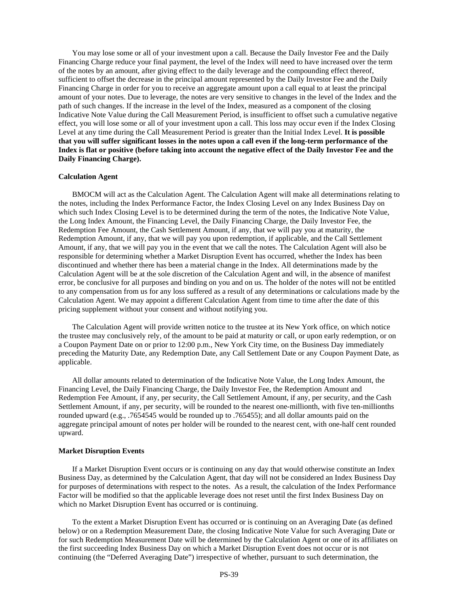You may lose some or all of your investment upon a call. Because the Daily Investor Fee and the Daily Financing Charge reduce your final payment, the level of the Index will need to have increased over the term of the notes by an amount, after giving effect to the daily leverage and the compounding effect thereof, sufficient to offset the decrease in the principal amount represented by the Daily Investor Fee and the Daily Financing Charge in order for you to receive an aggregate amount upon a call equal to at least the principal amount of your notes. Due to leverage, the notes are very sensitive to changes in the level of the Index and the path of such changes. If the increase in the level of the Index, measured as a component of the closing Indicative Note Value during the Call Measurement Period, is insufficient to offset such a cumulative negative effect, you will lose some or all of your investment upon a call. This loss may occur even if the Index Closing Level at any time during the Call Measurement Period is greater than the Initial Index Level. **It is possible that you will suffer significant losses in the notes upon a call even if the long-term performance of the Index is flat or positive (before taking into account the negative effect of the Daily Investor Fee and the Daily Financing Charge).**

# **Calculation Agent**

BMOCM will act as the Calculation Agent. The Calculation Agent will make all determinations relating to the notes, including the Index Performance Factor, the Index Closing Level on any Index Business Day on which such Index Closing Level is to be determined during the term of the notes, the Indicative Note Value, the Long Index Amount, the Financing Level, the Daily Financing Charge, the Daily Investor Fee, the Redemption Fee Amount, the Cash Settlement Amount, if any, that we will pay you at maturity, the Redemption Amount, if any, that we will pay you upon redemption, if applicable, and the Call Settlement Amount, if any, that we will pay you in the event that we call the notes. The Calculation Agent will also be responsible for determining whether a Market Disruption Event has occurred, whether the Index has been discontinued and whether there has been a material change in the Index. All determinations made by the Calculation Agent will be at the sole discretion of the Calculation Agent and will, in the absence of manifest error, be conclusive for all purposes and binding on you and on us. The holder of the notes will not be entitled to any compensation from us for any loss suffered as a result of any determinations or calculations made by the Calculation Agent. We may appoint a different Calculation Agent from time to time after the date of this pricing supplement without your consent and without notifying you.

The Calculation Agent will provide written notice to the trustee at its New York office, on which notice the trustee may conclusively rely, of the amount to be paid at maturity or call, or upon early redemption, or on a Coupon Payment Date on or prior to 12:00 p.m., New York City time, on the Business Day immediately preceding the Maturity Date, any Redemption Date, any Call Settlement Date or any Coupon Payment Date, as applicable.

All dollar amounts related to determination of the Indicative Note Value, the Long Index Amount, the Financing Level, the Daily Financing Charge, the Daily Investor Fee, the Redemption Amount and Redemption Fee Amount, if any, per security, the Call Settlement Amount, if any, per security, and the Cash Settlement Amount, if any, per security, will be rounded to the nearest one-millionth, with five ten-millionths rounded upward (e.g., .7654545 would be rounded up to .765455); and all dollar amounts paid on the aggregate principal amount of notes per holder will be rounded to the nearest cent, with one-half cent rounded upward.

# **Market Disruption Events**

If a Market Disruption Event occurs or is continuing on any day that would otherwise constitute an Index Business Day, as determined by the Calculation Agent, that day will not be considered an Index Business Day for purposes of determinations with respect to the notes. As a result, the calculation of the Index Performance Factor will be modified so that the applicable leverage does not reset until the first Index Business Day on which no Market Disruption Event has occurred or is continuing.

To the extent a Market Disruption Event has occurred or is continuing on an Averaging Date (as defined below) or on a Redemption Measurement Date, the closing Indicative Note Value for such Averaging Date or for such Redemption Measurement Date will be determined by the Calculation Agent or one of its affiliates on the first succeeding Index Business Day on which a Market Disruption Event does not occur or is not continuing (the "Deferred Averaging Date") irrespective of whether, pursuant to such determination, the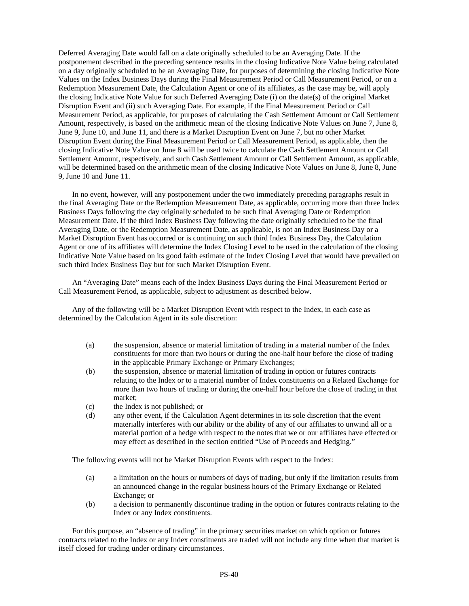Deferred Averaging Date would fall on a date originally scheduled to be an Averaging Date. If the postponement described in the preceding sentence results in the closing Indicative Note Value being calculated on a day originally scheduled to be an Averaging Date, for purposes of determining the closing Indicative Note Values on the Index Business Days during the Final Measurement Period or Call Measurement Period, or on a Redemption Measurement Date, the Calculation Agent or one of its affiliates, as the case may be, will apply the closing Indicative Note Value for such Deferred Averaging Date (i) on the date(s) of the original Market Disruption Event and (ii) such Averaging Date. For example, if the Final Measurement Period or Call Measurement Period, as applicable, for purposes of calculating the Cash Settlement Amount or Call Settlement Amount, respectively, is based on the arithmetic mean of the closing Indicative Note Values on June 7, June 8, June 9, June 10, and June 11, and there is a Market Disruption Event on June 7, but no other Market Disruption Event during the Final Measurement Period or Call Measurement Period, as applicable, then the closing Indicative Note Value on June 8 will be used twice to calculate the Cash Settlement Amount or Call Settlement Amount, respectively, and such Cash Settlement Amount or Call Settlement Amount, as applicable, will be determined based on the arithmetic mean of the closing Indicative Note Values on June 8, June 8, June 9, June 10 and June 11.

In no event, however, will any postponement under the two immediately preceding paragraphs result in the final Averaging Date or the Redemption Measurement Date, as applicable, occurring more than three Index Business Days following the day originally scheduled to be such final Averaging Date or Redemption Measurement Date. If the third Index Business Day following the date originally scheduled to be the final Averaging Date, or the Redemption Measurement Date, as applicable, is not an Index Business Day or a Market Disruption Event has occurred or is continuing on such third Index Business Day, the Calculation Agent or one of its affiliates will determine the Index Closing Level to be used in the calculation of the closing Indicative Note Value based on its good faith estimate of the Index Closing Level that would have prevailed on such third Index Business Day but for such Market Disruption Event.

An "Averaging Date" means each of the Index Business Days during the Final Measurement Period or Call Measurement Period, as applicable, subject to adjustment as described below.

Any of the following will be a Market Disruption Event with respect to the Index, in each case as determined by the Calculation Agent in its sole discretion:

- (a) the suspension, absence or material limitation of trading in a material number of the Index constituents for more than two hours or during the one-half hour before the close of trading in the applicable Primary Exchange or Primary Exchanges;
- (b) the suspension, absence or material limitation of trading in option or futures contracts relating to the Index or to a material number of Index constituents on a Related Exchange for more than two hours of trading or during the one-half hour before the close of trading in that market;
- (c) the Index is not published; or
- (d) any other event, if the Calculation Agent determines in its sole discretion that the event materially interferes with our ability or the ability of any of our affiliates to unwind all or a material portion of a hedge with respect to the notes that we or our affiliates have effected or may effect as described in the section entitled "Use of Proceeds and Hedging."

The following events will not be Market Disruption Events with respect to the Index:

- (a) a limitation on the hours or numbers of days of trading, but only if the limitation results from an announced change in the regular business hours of the Primary Exchange or Related Exchange; or
- (b) a decision to permanently discontinue trading in the option or futures contracts relating to the Index or any Index constituents.

For this purpose, an "absence of trading" in the primary securities market on which option or futures contracts related to the Index or any Index constituents are traded will not include any time when that market is itself closed for trading under ordinary circumstances.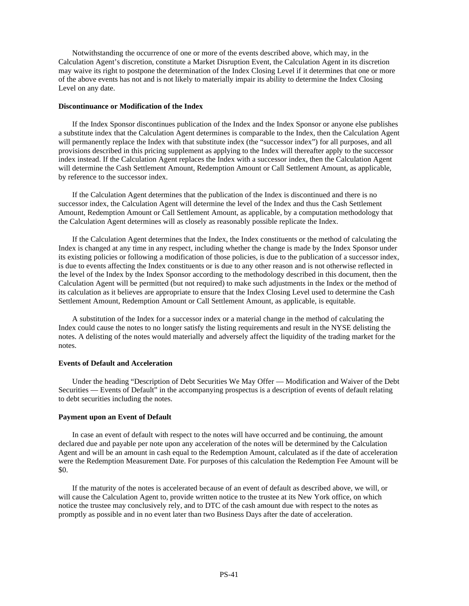Notwithstanding the occurrence of one or more of the events described above, which may, in the Calculation Agent's discretion, constitute a Market Disruption Event, the Calculation Agent in its discretion may waive its right to postpone the determination of the Index Closing Level if it determines that one or more of the above events has not and is not likely to materially impair its ability to determine the Index Closing Level on any date.

#### **Discontinuance or Modification of the Index**

If the Index Sponsor discontinues publication of the Index and the Index Sponsor or anyone else publishes a substitute index that the Calculation Agent determines is comparable to the Index, then the Calculation Agent will permanently replace the Index with that substitute index (the "successor index") for all purposes, and all provisions described in this pricing supplement as applying to the Index will thereafter apply to the successor index instead. If the Calculation Agent replaces the Index with a successor index, then the Calculation Agent will determine the Cash Settlement Amount, Redemption Amount or Call Settlement Amount, as applicable, by reference to the successor index.

If the Calculation Agent determines that the publication of the Index is discontinued and there is no successor index, the Calculation Agent will determine the level of the Index and thus the Cash Settlement Amount, Redemption Amount or Call Settlement Amount, as applicable, by a computation methodology that the Calculation Agent determines will as closely as reasonably possible replicate the Index.

If the Calculation Agent determines that the Index, the Index constituents or the method of calculating the Index is changed at any time in any respect, including whether the change is made by the Index Sponsor under its existing policies or following a modification of those policies, is due to the publication of a successor index, is due to events affecting the Index constituents or is due to any other reason and is not otherwise reflected in the level of the Index by the Index Sponsor according to the methodology described in this document, then the Calculation Agent will be permitted (but not required) to make such adjustments in the Index or the method of its calculation as it believes are appropriate to ensure that the Index Closing Level used to determine the Cash Settlement Amount, Redemption Amount or Call Settlement Amount, as applicable, is equitable.

A substitution of the Index for a successor index or a material change in the method of calculating the Index could cause the notes to no longer satisfy the listing requirements and result in the NYSE delisting the notes. A delisting of the notes would materially and adversely affect the liquidity of the trading market for the notes.

#### **Events of Default and Acceleration**

Under the heading "Description of Debt Securities We May Offer — Modification and Waiver of the Debt Securities — Events of Default" in the accompanying prospectus is a description of events of default relating to debt securities including the notes.

#### **Payment upon an Event of Default**

In case an event of default with respect to the notes will have occurred and be continuing, the amount declared due and payable per note upon any acceleration of the notes will be determined by the Calculation Agent and will be an amount in cash equal to the Redemption Amount, calculated as if the date of acceleration were the Redemption Measurement Date. For purposes of this calculation the Redemption Fee Amount will be \$0.

If the maturity of the notes is accelerated because of an event of default as described above, we will, or will cause the Calculation Agent to, provide written notice to the trustee at its New York office, on which notice the trustee may conclusively rely, and to DTC of the cash amount due with respect to the notes as promptly as possible and in no event later than two Business Days after the date of acceleration.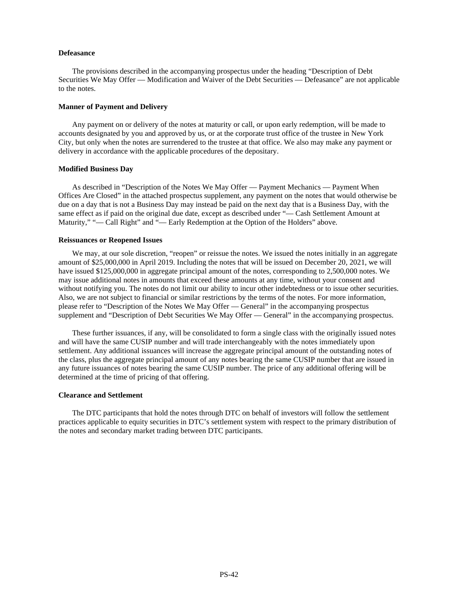#### **Defeasance**

The provisions described in the accompanying prospectus under the heading "Description of Debt Securities We May Offer — Modification and Waiver of the Debt Securities — Defeasance" are not applicable to the notes.

#### **Manner of Payment and Delivery**

Any payment on or delivery of the notes at maturity or call, or upon early redemption, will be made to accounts designated by you and approved by us, or at the corporate trust office of the trustee in New York City, but only when the notes are surrendered to the trustee at that office. We also may make any payment or delivery in accordance with the applicable procedures of the depositary.

#### **Modified Business Day**

As described in "Description of the Notes We May Offer — Payment Mechanics — Payment When Offices Are Closed" in the attached prospectus supplement, any payment on the notes that would otherwise be due on a day that is not a Business Day may instead be paid on the next day that is a Business Day, with the same effect as if paid on the original due date, except as described under "— Cash Settlement Amount at Maturity," "— Call Right" and "— Early Redemption at the Option of the Holders" above.

#### **Reissuances or Reopened Issues**

We may, at our sole discretion, "reopen" or reissue the notes. We issued the notes initially in an aggregate amount of \$25,000,000 in April 2019. Including the notes that will be issued on December 20, 2021, we will have issued \$125,000,000 in aggregate principal amount of the notes, corresponding to 2,500,000 notes. We may issue additional notes in amounts that exceed these amounts at any time, without your consent and without notifying you. The notes do not limit our ability to incur other indebtedness or to issue other securities. Also, we are not subject to financial or similar restrictions by the terms of the notes. For more information, please refer to "Description of the Notes We May Offer — General" in the accompanying prospectus supplement and "Description of Debt Securities We May Offer — General" in the accompanying prospectus.

These further issuances, if any, will be consolidated to form a single class with the originally issued notes and will have the same CUSIP number and will trade interchangeably with the notes immediately upon settlement. Any additional issuances will increase the aggregate principal amount of the outstanding notes of the class, plus the aggregate principal amount of any notes bearing the same CUSIP number that are issued in any future issuances of notes bearing the same CUSIP number. The price of any additional offering will be determined at the time of pricing of that offering.

#### **Clearance and Settlement**

The DTC participants that hold the notes through DTC on behalf of investors will follow the settlement practices applicable to equity securities in DTC's settlement system with respect to the primary distribution of the notes and secondary market trading between DTC participants.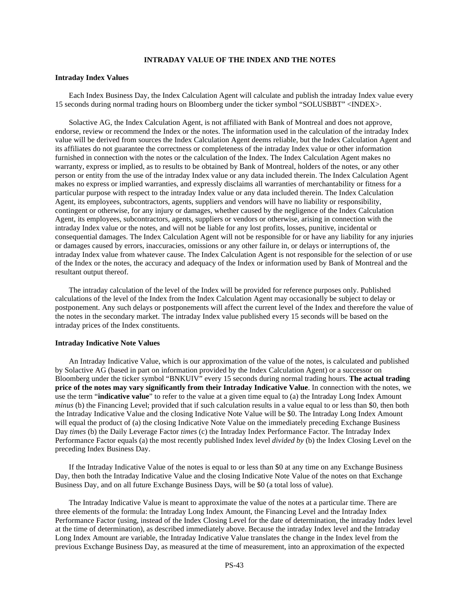# **INTRADAY VALUE OF THE INDEX AND THE NOTES**

#### **Intraday Index Values**

Each Index Business Day, the Index Calculation Agent will calculate and publish the intraday Index value every 15 seconds during normal trading hours on Bloomberg under the ticker symbol "SOLUSBBT" <INDEX>.

Solactive AG, the Index Calculation Agent, is not affiliated with Bank of Montreal and does not approve, endorse, review or recommend the Index or the notes. The information used in the calculation of the intraday Index value will be derived from sources the Index Calculation Agent deems reliable, but the Index Calculation Agent and its affiliates do not guarantee the correctness or completeness of the intraday Index value or other information furnished in connection with the notes or the calculation of the Index. The Index Calculation Agent makes no warranty, express or implied, as to results to be obtained by Bank of Montreal, holders of the notes, or any other person or entity from the use of the intraday Index value or any data included therein. The Index Calculation Agent makes no express or implied warranties, and expressly disclaims all warranties of merchantability or fitness for a particular purpose with respect to the intraday Index value or any data included therein. The Index Calculation Agent, its employees, subcontractors, agents, suppliers and vendors will have no liability or responsibility, contingent or otherwise, for any injury or damages, whether caused by the negligence of the Index Calculation Agent, its employees, subcontractors, agents, suppliers or vendors or otherwise, arising in connection with the intraday Index value or the notes, and will not be liable for any lost profits, losses, punitive, incidental or consequential damages. The Index Calculation Agent will not be responsible for or have any liability for any injuries or damages caused by errors, inaccuracies, omissions or any other failure in, or delays or interruptions of, the intraday Index value from whatever cause. The Index Calculation Agent is not responsible for the selection of or use of the Index or the notes, the accuracy and adequacy of the Index or information used by Bank of Montreal and the resultant output thereof.

The intraday calculation of the level of the Index will be provided for reference purposes only. Published calculations of the level of the Index from the Index Calculation Agent may occasionally be subject to delay or postponement. Any such delays or postponements will affect the current level of the Index and therefore the value of the notes in the secondary market. The intraday Index value published every 15 seconds will be based on the intraday prices of the Index constituents.

#### **Intraday Indicative Note Values**

An Intraday Indicative Value, which is our approximation of the value of the notes, is calculated and published by Solactive AG (based in part on information provided by the Index Calculation Agent) or a successor on Bloomberg under the ticker symbol "BNKUIV" every 15 seconds during normal trading hours. **The actual trading price of the notes may vary significantly from their Intraday Indicative Value**. In connection with the notes, we use the term "**indicative value**" to refer to the value at a given time equal to (a) the Intraday Long Index Amount *minus* (b) the Financing Level; provided that if such calculation results in a value equal to or less than \$0, then both the Intraday Indicative Value and the closing Indicative Note Value will be \$0. The Intraday Long Index Amount will equal the product of (a) the closing Indicative Note Value on the immediately preceding Exchange Business Day *times* (b) the Daily Leverage Factor *times* (c) the Intraday Index Performance Factor. The Intraday Index Performance Factor equals (a) the most recently published Index level *divided by* (b) the Index Closing Level on the preceding Index Business Day.

If the Intraday Indicative Value of the notes is equal to or less than \$0 at any time on any Exchange Business Day, then both the Intraday Indicative Value and the closing Indicative Note Value of the notes on that Exchange Business Day, and on all future Exchange Business Days, will be \$0 (a total loss of value).

The Intraday Indicative Value is meant to approximate the value of the notes at a particular time. There are three elements of the formula: the Intraday Long Index Amount, the Financing Level and the Intraday Index Performance Factor (using, instead of the Index Closing Level for the date of determination, the intraday Index level at the time of determination), as described immediately above. Because the intraday Index level and the Intraday Long Index Amount are variable, the Intraday Indicative Value translates the change in the Index level from the previous Exchange Business Day, as measured at the time of measurement, into an approximation of the expected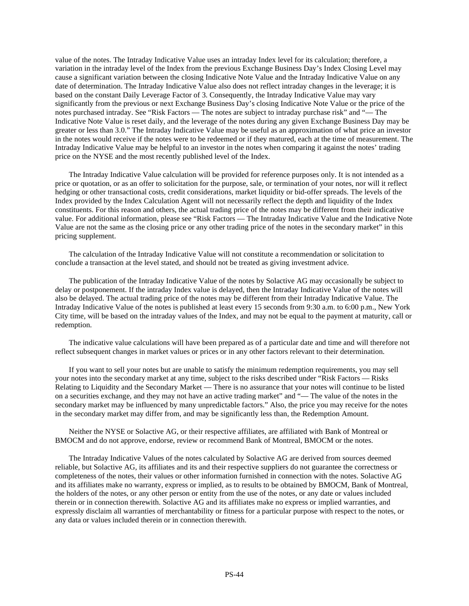value of the notes. The Intraday Indicative Value uses an intraday Index level for its calculation; therefore, a variation in the intraday level of the Index from the previous Exchange Business Day's Index Closing Level may cause a significant variation between the closing Indicative Note Value and the Intraday Indicative Value on any date of determination. The Intraday Indicative Value also does not reflect intraday changes in the leverage; it is based on the constant Daily Leverage Factor of 3. Consequently, the Intraday Indicative Value may vary significantly from the previous or next Exchange Business Day's closing Indicative Note Value or the price of the notes purchased intraday. See "Risk Factors — The notes are subject to intraday purchase risk" and "— The Indicative Note Value is reset daily, and the leverage of the notes during any given Exchange Business Day may be greater or less than 3.0." The Intraday Indicative Value may be useful as an approximation of what price an investor in the notes would receive if the notes were to be redeemed or if they matured, each at the time of measurement. The Intraday Indicative Value may be helpful to an investor in the notes when comparing it against the notes' trading price on the NYSE and the most recently published level of the Index.

The Intraday Indicative Value calculation will be provided for reference purposes only. It is not intended as a price or quotation, or as an offer to solicitation for the purpose, sale, or termination of your notes, nor will it reflect hedging or other transactional costs, credit considerations, market liquidity or bid-offer spreads. The levels of the Index provided by the Index Calculation Agent will not necessarily reflect the depth and liquidity of the Index constituents. For this reason and others, the actual trading price of the notes may be different from their indicative value. For additional information, please see "Risk Factors — The Intraday Indicative Value and the Indicative Note Value are not the same as the closing price or any other trading price of the notes in the secondary market" in this pricing supplement.

The calculation of the Intraday Indicative Value will not constitute a recommendation or solicitation to conclude a transaction at the level stated, and should not be treated as giving investment advice.

The publication of the Intraday Indicative Value of the notes by Solactive AG may occasionally be subject to delay or postponement. If the intraday Index value is delayed, then the Intraday Indicative Value of the notes will also be delayed. The actual trading price of the notes may be different from their Intraday Indicative Value. The Intraday Indicative Value of the notes is published at least every 15 seconds from 9:30 a.m. to 6:00 p.m., New York City time, will be based on the intraday values of the Index, and may not be equal to the payment at maturity, call or redemption.

The indicative value calculations will have been prepared as of a particular date and time and will therefore not reflect subsequent changes in market values or prices or in any other factors relevant to their determination.

If you want to sell your notes but are unable to satisfy the minimum redemption requirements, you may sell your notes into the secondary market at any time, subject to the risks described under "Risk Factors — Risks Relating to Liquidity and the Secondary Market — There is no assurance that your notes will continue to be listed on a securities exchange, and they may not have an active trading market" and "— The value of the notes in the secondary market may be influenced by many unpredictable factors." Also, the price you may receive for the notes in the secondary market may differ from, and may be significantly less than, the Redemption Amount.

Neither the NYSE or Solactive AG, or their respective affiliates, are affiliated with Bank of Montreal or BMOCM and do not approve, endorse, review or recommend Bank of Montreal, BMOCM or the notes.

The Intraday Indicative Values of the notes calculated by Solactive AG are derived from sources deemed reliable, but Solactive AG, its affiliates and its and their respective suppliers do not guarantee the correctness or completeness of the notes, their values or other information furnished in connection with the notes. Solactive AG and its affiliates make no warranty, express or implied, as to results to be obtained by BMOCM, Bank of Montreal, the holders of the notes, or any other person or entity from the use of the notes, or any date or values included therein or in connection therewith. Solactive AG and its affiliates make no express or implied warranties, and expressly disclaim all warranties of merchantability or fitness for a particular purpose with respect to the notes, or any data or values included therein or in connection therewith.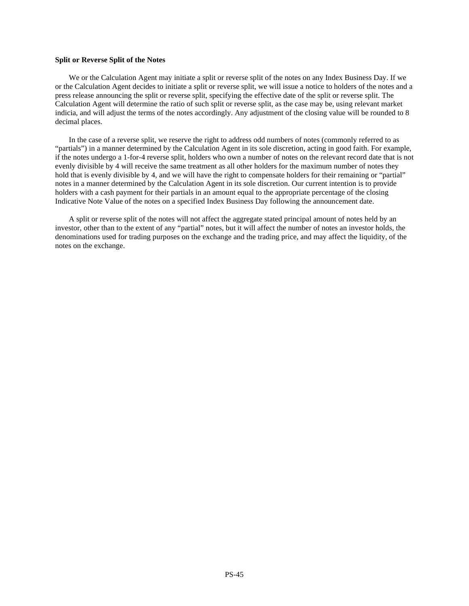# **Split or Reverse Split of the Notes**

We or the Calculation Agent may initiate a split or reverse split of the notes on any Index Business Day. If we or the Calculation Agent decides to initiate a split or reverse split, we will issue a notice to holders of the notes and a press release announcing the split or reverse split, specifying the effective date of the split or reverse split. The Calculation Agent will determine the ratio of such split or reverse split, as the case may be, using relevant market indicia, and will adjust the terms of the notes accordingly. Any adjustment of the closing value will be rounded to 8 decimal places.

In the case of a reverse split, we reserve the right to address odd numbers of notes (commonly referred to as "partials") in a manner determined by the Calculation Agent in its sole discretion, acting in good faith. For example, if the notes undergo a 1-for-4 reverse split, holders who own a number of notes on the relevant record date that is not evenly divisible by 4 will receive the same treatment as all other holders for the maximum number of notes they hold that is evenly divisible by 4, and we will have the right to compensate holders for their remaining or "partial" notes in a manner determined by the Calculation Agent in its sole discretion. Our current intention is to provide holders with a cash payment for their partials in an amount equal to the appropriate percentage of the closing Indicative Note Value of the notes on a specified Index Business Day following the announcement date.

A split or reverse split of the notes will not affect the aggregate stated principal amount of notes held by an investor, other than to the extent of any "partial" notes, but it will affect the number of notes an investor holds, the denominations used for trading purposes on the exchange and the trading price, and may affect the liquidity, of the notes on the exchange.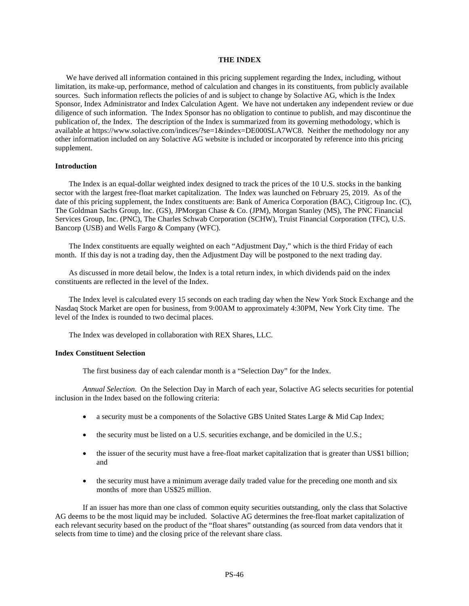# **THE INDEX**

We have derived all information contained in this pricing supplement regarding the Index, including, without limitation, its make-up, performance, method of calculation and changes in its constituents, from publicly available sources. Such information reflects the policies of and is subject to change by Solactive AG, which is the Index Sponsor, Index Administrator and Index Calculation Agent. We have not undertaken any independent review or due diligence of such information. The Index Sponsor has no obligation to continue to publish, and may discontinue the publication of, the Index. The description of the Index is summarized from its governing methodology, which is available at https://www.solactive.com/indices/?se=1&index=DE000SLA7WC8. Neither the methodology nor any other information included on any Solactive AG website is included or incorporated by reference into this pricing supplement.

# **Introduction**

The Index is an equal-dollar weighted index designed to track the prices of the 10 U.S. stocks in the banking sector with the largest free-float market capitalization. The Index was launched on February 25, 2019. As of the date of this pricing supplement, the Index constituents are: Bank of America Corporation (BAC), Citigroup Inc. (C), The Goldman Sachs Group, Inc. (GS), JPMorgan Chase & Co. (JPM), Morgan Stanley (MS), The PNC Financial Services Group, Inc. (PNC), The Charles Schwab Corporation (SCHW), Truist Financial Corporation (TFC), U.S. Bancorp (USB) and Wells Fargo & Company (WFC).

The Index constituents are equally weighted on each "Adjustment Day," which is the third Friday of each month. If this day is not a trading day, then the Adjustment Day will be postponed to the next trading day.

As discussed in more detail below, the Index is a total return index, in which dividends paid on the index constituents are reflected in the level of the Index.

The Index level is calculated every 15 seconds on each trading day when the New York Stock Exchange and the Nasdaq Stock Market are open for business, from 9:00AM to approximately 4:30PM, New York City time. The level of the Index is rounded to two decimal places.

The Index was developed in collaboration with REX Shares, LLC.

#### **Index Constituent Selection**

The first business day of each calendar month is a "Selection Day" for the Index.

*Annual Selection.* On the Selection Day in March of each year, Solactive AG selects securities for potential inclusion in the Index based on the following criteria:

- a security must be a components of the Solactive GBS United States Large & Mid Cap Index;
- the security must be listed on a U.S. securities exchange, and be domiciled in the U.S.;
- the issuer of the security must have a free-float market capitalization that is greater than US\$1 billion; and
- the security must have a minimum average daily traded value for the preceding one month and six months of more than US\$25 million.

If an issuer has more than one class of common equity securities outstanding, only the class that Solactive AG deems to be the most liquid may be included. Solactive AG determines the free-float market capitalization of each relevant security based on the product of the "float shares" outstanding (as sourced from data vendors that it selects from time to time) and the closing price of the relevant share class.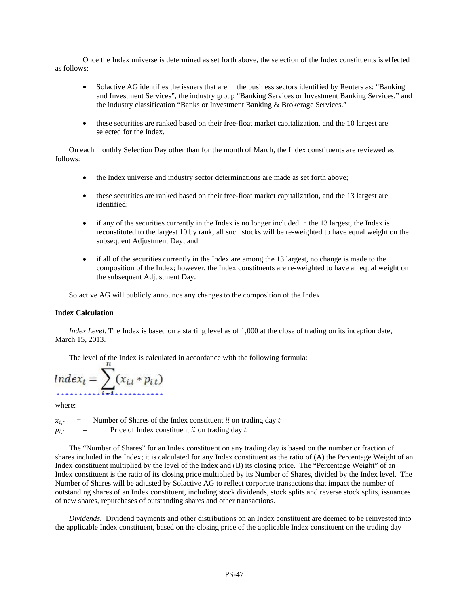Once the Index universe is determined as set forth above, the selection of the Index constituents is effected as follows:

- Solactive AG identifies the issuers that are in the business sectors identified by Reuters as: "Banking and Investment Services", the industry group "Banking Services or Investment Banking Services," and the industry classification "Banks or Investment Banking & Brokerage Services."
- these securities are ranked based on their free-float market capitalization, and the 10 largest are selected for the Index.

On each monthly Selection Day other than for the month of March, the Index constituents are reviewed as follows:

- the Index universe and industry sector determinations are made as set forth above;
- these securities are ranked based on their free-float market capitalization, and the 13 largest are identified;
- if any of the securities currently in the Index is no longer included in the 13 largest, the Index is reconstituted to the largest 10 by rank; all such stocks will be re-weighted to have equal weight on the subsequent Adjustment Day; and
- if all of the securities currently in the Index are among the 13 largest, no change is made to the composition of the Index; however, the Index constituents are re-weighted to have an equal weight on the subsequent Adjustment Day.

Solactive AG will publicly announce any changes to the composition of the Index.

# **Index Calculation**

*Index Level.* The Index is based on a starting level as of 1,000 at the close of trading on its inception date, March 15, 2013.

The level of the Index is calculated in accordance with the following formula:

$$
Index_t = \sum_{i=1}^n (x_{i,t} * p_{i,t})
$$

where:

 $x_{i,t}$  = Number of Shares of the Index constituent *ii* on trading day t  $p_{i,t}$  = Price of Index constituent *ii* on trading day t

The "Number of Shares" for an Index constituent on any trading day is based on the number or fraction of shares included in the Index; it is calculated for any Index constituent as the ratio of (A) the Percentage Weight of an Index constituent multiplied by the level of the Index and (B) its closing price. The "Percentage Weight" of an Index constituent is the ratio of its closing price multiplied by its Number of Shares, divided by the Index level. The Number of Shares will be adjusted by Solactive AG to reflect corporate transactions that impact the number of outstanding shares of an Index constituent, including stock dividends, stock splits and reverse stock splits, issuances of new shares, repurchases of outstanding shares and other transactions.

*Dividends.* Dividend payments and other distributions on an Index constituent are deemed to be reinvested into the applicable Index constituent, based on the closing price of the applicable Index constituent on the trading day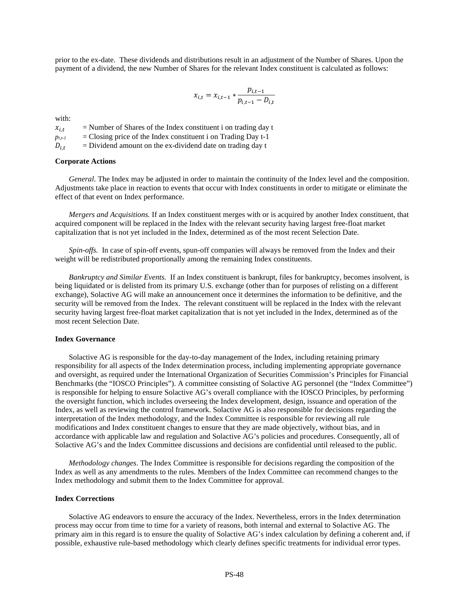prior to the ex-date. These dividends and distributions result in an adjustment of the Number of Shares. Upon the payment of a dividend, the new Number of Shares for the relevant Index constituent is calculated as follows:

$$
x_{i,t} = x_{i,t-1} * \frac{p_{i,t-1}}{p_{i,t-1} - D_{i,t}}
$$

with:

 $x_{i,t}$  = Number of Shares of the Index constituent i on trading day t<br>  $p_{i,t}$  = Closing price of the Index constituent i on Trading Day t-1 *pi,t-1* = Closing price of the Index constituent i on Trading Day t-1  $D_{i,t}$  = Dividend amount on the ex-dividend date on trading day t

#### **Corporate Actions**

*General*. The Index may be adjusted in order to maintain the continuity of the Index level and the composition. Adjustments take place in reaction to events that occur with Index constituents in order to mitigate or eliminate the effect of that event on Index performance.

*Mergers and Acquisitions.* If an Index constituent merges with or is acquired by another Index constituent, that acquired component will be replaced in the Index with the relevant security having largest free-float market capitalization that is not yet included in the Index, determined as of the most recent Selection Date.

*Spin-offs.* In case of spin-off events, spun-off companies will always be removed from the Index and their weight will be redistributed proportionally among the remaining Index constituents.

*Bankruptcy and Similar Events.* If an Index constituent is bankrupt, files for bankruptcy, becomes insolvent, is being liquidated or is delisted from its primary U.S. exchange (other than for purposes of relisting on a different exchange), Solactive AG will make an announcement once it determines the information to be definitive, and the security will be removed from the Index. The relevant constituent will be replaced in the Index with the relevant security having largest free-float market capitalization that is not yet included in the Index, determined as of the most recent Selection Date.

#### **Index Governance**

Solactive AG is responsible for the day-to-day management of the Index, including retaining primary responsibility for all aspects of the Index determination process, including implementing appropriate governance and oversight, as required under the International Organization of Securities Commission's Principles for Financial Benchmarks (the "IOSCO Principles"). A committee consisting of Solactive AG personnel (the "Index Committee") is responsible for helping to ensure Solactive AG's overall compliance with the IOSCO Principles, by performing the oversight function, which includes overseeing the Index development, design, issuance and operation of the Index, as well as reviewing the control framework. Solactive AG is also responsible for decisions regarding the interpretation of the Index methodology, and the Index Committee is responsible for reviewing all rule modifications and Index constituent changes to ensure that they are made objectively, without bias, and in accordance with applicable law and regulation and Solactive AG's policies and procedures. Consequently, all of Solactive AG's and the Index Committee discussions and decisions are confidential until released to the public.

*Methodology changes*. The Index Committee is responsible for decisions regarding the composition of the Index as well as any amendments to the rules. Members of the Index Committee can recommend changes to the Index methodology and submit them to the Index Committee for approval.

#### **Index Corrections**

Solactive AG endeavors to ensure the accuracy of the Index. Nevertheless, errors in the Index determination process may occur from time to time for a variety of reasons, both internal and external to Solactive AG. The primary aim in this regard is to ensure the quality of Solactive AG's index calculation by defining a coherent and, if possible, exhaustive rule-based methodology which clearly defines specific treatments for individual error types.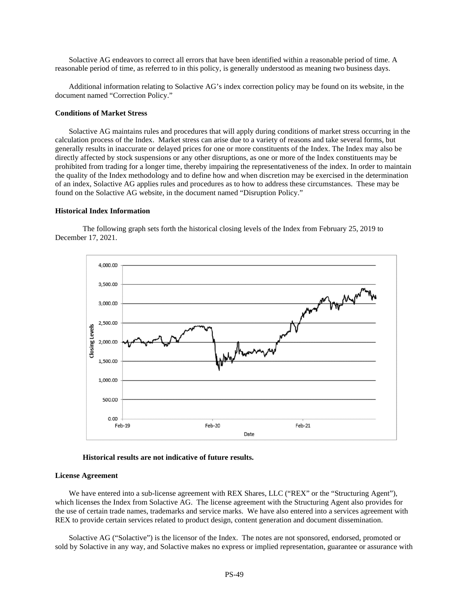Solactive AG endeavors to correct all errors that have been identified within a reasonable period of time. A reasonable period of time, as referred to in this policy, is generally understood as meaning two business days.

Additional information relating to Solactive AG's index correction policy may be found on its website, in the document named "Correction Policy."

# **Conditions of Market Stress**

Solactive AG maintains rules and procedures that will apply during conditions of market stress occurring in the calculation process of the Index. Market stress can arise due to a variety of reasons and take several forms, but generally results in inaccurate or delayed prices for one or more constituents of the Index. The Index may also be directly affected by stock suspensions or any other disruptions, as one or more of the Index constituents may be prohibited from trading for a longer time, thereby impairing the representativeness of the index. In order to maintain the quality of the Index methodology and to define how and when discretion may be exercised in the determination of an index, Solactive AG applies rules and procedures as to how to address these circumstances. These may be found on the Solactive AG website, in the document named "Disruption Policy."

#### **Historical Index Information**

The following graph sets forth the historical closing levels of the Index from February 25, 2019 to December 17, 2021.



# **Historical results are not indicative of future results.**

#### **License Agreement**

We have entered into a sub-license agreement with REX Shares, LLC ("REX" or the "Structuring Agent"), which licenses the Index from Solactive AG. The license agreement with the Structuring Agent also provides for the use of certain trade names, trademarks and service marks. We have also entered into a services agreement with REX to provide certain services related to product design, content generation and document dissemination.

Solactive AG ("Solactive") is the licensor of the Index. The notes are not sponsored, endorsed, promoted or sold by Solactive in any way, and Solactive makes no express or implied representation, guarantee or assurance with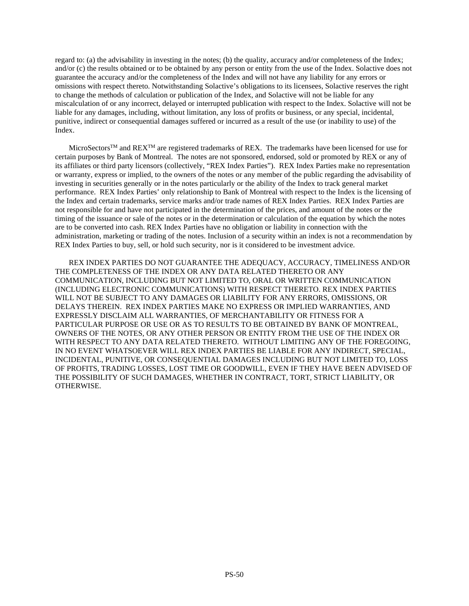regard to: (a) the advisability in investing in the notes; (b) the quality, accuracy and/or completeness of the Index; and/or (c) the results obtained or to be obtained by any person or entity from the use of the Index. Solactive does not guarantee the accuracy and/or the completeness of the Index and will not have any liability for any errors or omissions with respect thereto. Notwithstanding Solactive's obligations to its licensees, Solactive reserves the right to change the methods of calculation or publication of the Index, and Solactive will not be liable for any miscalculation of or any incorrect, delayed or interrupted publication with respect to the Index. Solactive will not be liable for any damages, including, without limitation, any loss of profits or business, or any special, incidental, punitive, indirect or consequential damages suffered or incurred as a result of the use (or inability to use) of the Index.

MicroSectors<sup>TM</sup> and REX<sup>TM</sup> are registered trademarks of REX. The trademarks have been licensed for use for certain purposes by Bank of Montreal. The notes are not sponsored, endorsed, sold or promoted by REX or any of its affiliates or third party licensors (collectively, "REX Index Parties"). REX Index Parties make no representation or warranty, express or implied, to the owners of the notes or any member of the public regarding the advisability of investing in securities generally or in the notes particularly or the ability of the Index to track general market performance. REX Index Parties' only relationship to Bank of Montreal with respect to the Index is the licensing of the Index and certain trademarks, service marks and/or trade names of REX Index Parties. REX Index Parties are not responsible for and have not participated in the determination of the prices, and amount of the notes or the timing of the issuance or sale of the notes or in the determination or calculation of the equation by which the notes are to be converted into cash. REX Index Parties have no obligation or liability in connection with the administration, marketing or trading of the notes. Inclusion of a security within an index is not a recommendation by REX Index Parties to buy, sell, or hold such security, nor is it considered to be investment advice.

REX INDEX PARTIES DO NOT GUARANTEE THE ADEQUACY, ACCURACY, TIMELINESS AND/OR THE COMPLETENESS OF THE INDEX OR ANY DATA RELATED THERETO OR ANY COMMUNICATION, INCLUDING BUT NOT LIMITED TO, ORAL OR WRITTEN COMMUNICATION (INCLUDING ELECTRONIC COMMUNICATIONS) WITH RESPECT THERETO. REX INDEX PARTIES WILL NOT BE SUBJECT TO ANY DAMAGES OR LIABILITY FOR ANY ERRORS, OMISSIONS, OR DELAYS THEREIN. REX INDEX PARTIES MAKE NO EXPRESS OR IMPLIED WARRANTIES, AND EXPRESSLY DISCLAIM ALL WARRANTIES, OF MERCHANTABILITY OR FITNESS FOR A PARTICULAR PURPOSE OR USE OR AS TO RESULTS TO BE OBTAINED BY BANK OF MONTREAL, OWNERS OF THE NOTES, OR ANY OTHER PERSON OR ENTITY FROM THE USE OF THE INDEX OR WITH RESPECT TO ANY DATA RELATED THERETO. WITHOUT LIMITING ANY OF THE FOREGOING, IN NO EVENT WHATSOEVER WILL REX INDEX PARTIES BE LIABLE FOR ANY INDIRECT, SPECIAL, INCIDENTAL, PUNITIVE, OR CONSEQUENTIAL DAMAGES INCLUDING BUT NOT LIMITED TO, LOSS OF PROFITS, TRADING LOSSES, LOST TIME OR GOODWILL, EVEN IF THEY HAVE BEEN ADVISED OF THE POSSIBILITY OF SUCH DAMAGES, WHETHER IN CONTRACT, TORT, STRICT LIABILITY, OR OTHERWISE.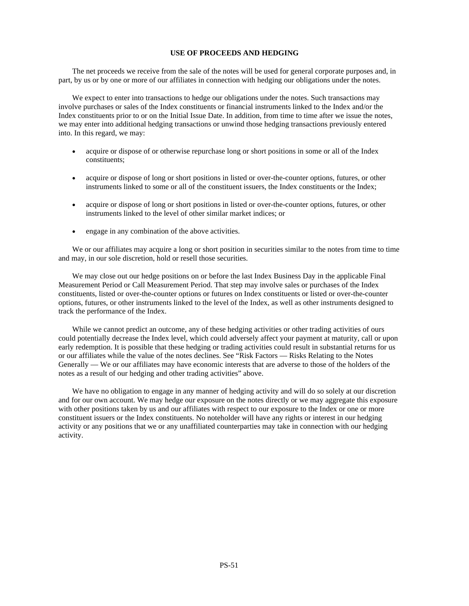# **USE OF PROCEEDS AND HEDGING**

The net proceeds we receive from the sale of the notes will be used for general corporate purposes and, in part, by us or by one or more of our affiliates in connection with hedging our obligations under the notes.

We expect to enter into transactions to hedge our obligations under the notes. Such transactions may involve purchases or sales of the Index constituents or financial instruments linked to the Index and/or the Index constituents prior to or on the Initial Issue Date. In addition, from time to time after we issue the notes, we may enter into additional hedging transactions or unwind those hedging transactions previously entered into. In this regard, we may:

- acquire or dispose of or otherwise repurchase long or short positions in some or all of the Index constituents;
- acquire or dispose of long or short positions in listed or over-the-counter options, futures, or other instruments linked to some or all of the constituent issuers, the Index constituents or the Index;
- acquire or dispose of long or short positions in listed or over-the-counter options, futures, or other instruments linked to the level of other similar market indices; or
- engage in any combination of the above activities.

We or our affiliates may acquire a long or short position in securities similar to the notes from time to time and may, in our sole discretion, hold or resell those securities.

We may close out our hedge positions on or before the last Index Business Day in the applicable Final Measurement Period or Call Measurement Period. That step may involve sales or purchases of the Index constituents, listed or over-the-counter options or futures on Index constituents or listed or over-the-counter options, futures, or other instruments linked to the level of the Index, as well as other instruments designed to track the performance of the Index.

While we cannot predict an outcome, any of these hedging activities or other trading activities of ours could potentially decrease the Index level, which could adversely affect your payment at maturity, call or upon early redemption. It is possible that these hedging or trading activities could result in substantial returns for us or our affiliates while the value of the notes declines. See "Risk Factors — Risks Relating to the Notes Generally — We or our affiliates may have economic interests that are adverse to those of the holders of the notes as a result of our hedging and other trading activities" above.

We have no obligation to engage in any manner of hedging activity and will do so solely at our discretion and for our own account. We may hedge our exposure on the notes directly or we may aggregate this exposure with other positions taken by us and our affiliates with respect to our exposure to the Index or one or more constituent issuers or the Index constituents. No noteholder will have any rights or interest in our hedging activity or any positions that we or any unaffiliated counterparties may take in connection with our hedging activity.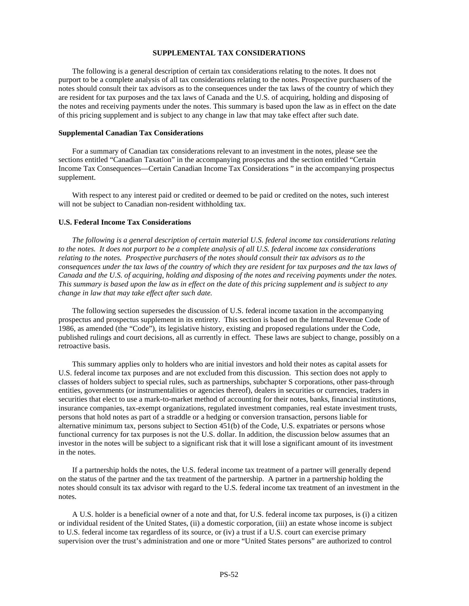## **SUPPLEMENTAL TAX CONSIDERATIONS**

The following is a general description of certain tax considerations relating to the notes. It does not purport to be a complete analysis of all tax considerations relating to the notes. Prospective purchasers of the notes should consult their tax advisors as to the consequences under the tax laws of the country of which they are resident for tax purposes and the tax laws of Canada and the U.S. of acquiring, holding and disposing of the notes and receiving payments under the notes. This summary is based upon the law as in effect on the date of this pricing supplement and is subject to any change in law that may take effect after such date.

#### **Supplemental Canadian Tax Considerations**

For a summary of Canadian tax considerations relevant to an investment in the notes, please see the sections entitled "Canadian Taxation" in the accompanying prospectus and the section entitled "Certain Income Tax Consequences—Certain Canadian Income Tax Considerations " in the accompanying prospectus supplement.

With respect to any interest paid or credited or deemed to be paid or credited on the notes, such interest will not be subject to Canadian non-resident withholding tax.

## **U.S. Federal Income Tax Considerations**

*The following is a general description of certain material U.S. federal income tax considerations relating to the notes. It does not purport to be a complete analysis of all U.S. federal income tax considerations relating to the notes. Prospective purchasers of the notes should consult their tax advisors as to the consequences under the tax laws of the country of which they are resident for tax purposes and the tax laws of Canada and the U.S. of acquiring, holding and disposing of the notes and receiving payments under the notes. This summary is based upon the law as in effect on the date of this pricing supplement and is subject to any change in law that may take effect after such date.*

The following section supersedes the discussion of U.S. federal income taxation in the accompanying prospectus and prospectus supplement in its entirety. This section is based on the Internal Revenue Code of 1986, as amended (the "Code"), its legislative history, existing and proposed regulations under the Code, published rulings and court decisions, all as currently in effect. These laws are subject to change, possibly on a retroactive basis.

This summary applies only to holders who are initial investors and hold their notes as capital assets for U.S. federal income tax purposes and are not excluded from this discussion. This section does not apply to classes of holders subject to special rules, such as partnerships, subchapter S corporations, other pass-through entities, governments (or instrumentalities or agencies thereof), dealers in securities or currencies, traders in securities that elect to use a mark-to-market method of accounting for their notes, banks, financial institutions, insurance companies, tax-exempt organizations, regulated investment companies, real estate investment trusts, persons that hold notes as part of a straddle or a hedging or conversion transaction, persons liable for alternative minimum tax, persons subject to Section 451(b) of the Code, U.S. expatriates or persons whose functional currency for tax purposes is not the U.S. dollar. In addition, the discussion below assumes that an investor in the notes will be subject to a significant risk that it will lose a significant amount of its investment in the notes.

If a partnership holds the notes, the U.S. federal income tax treatment of a partner will generally depend on the status of the partner and the tax treatment of the partnership. A partner in a partnership holding the notes should consult its tax advisor with regard to the U.S. federal income tax treatment of an investment in the notes.

A U.S. holder is a beneficial owner of a note and that, for U.S. federal income tax purposes, is (i) a citizen or individual resident of the United States, (ii) a domestic corporation, (iii) an estate whose income is subject to U.S. federal income tax regardless of its source, or (iv) a trust if a U.S. court can exercise primary supervision over the trust's administration and one or more "United States persons" are authorized to control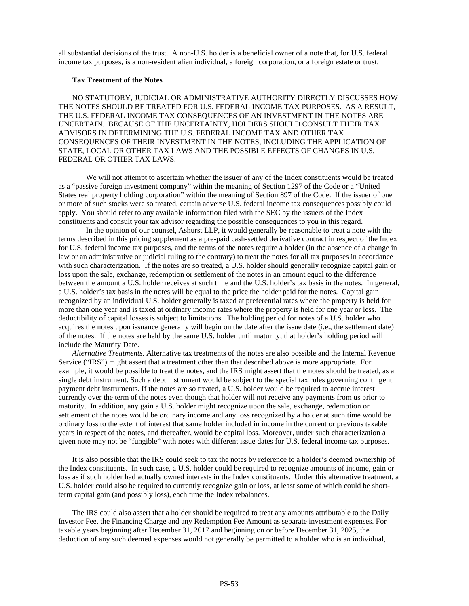all substantial decisions of the trust. A non-U.S. holder is a beneficial owner of a note that, for U.S. federal income tax purposes, is a non-resident alien individual, a foreign corporation, or a foreign estate or trust.

# **Tax Treatment of the Notes**

NO STATUTORY, JUDICIAL OR ADMINISTRATIVE AUTHORITY DIRECTLY DISCUSSES HOW THE NOTES SHOULD BE TREATED FOR U.S. FEDERAL INCOME TAX PURPOSES. AS A RESULT, THE U.S. FEDERAL INCOME TAX CONSEQUENCES OF AN INVESTMENT IN THE NOTES ARE UNCERTAIN. BECAUSE OF THE UNCERTAINTY, HOLDERS SHOULD CONSULT THEIR TAX ADVISORS IN DETERMINING THE U.S. FEDERAL INCOME TAX AND OTHER TAX CONSEQUENCES OF THEIR INVESTMENT IN THE NOTES, INCLUDING THE APPLICATION OF STATE, LOCAL OR OTHER TAX LAWS AND THE POSSIBLE EFFECTS OF CHANGES IN U.S. FEDERAL OR OTHER TAX LAWS.

We will not attempt to ascertain whether the issuer of any of the Index constituents would be treated as a "passive foreign investment company" within the meaning of Section 1297 of the Code or a "United States real property holding corporation" within the meaning of Section 897 of the Code. If the issuer of one or more of such stocks were so treated, certain adverse U.S. federal income tax consequences possibly could apply. You should refer to any available information filed with the SEC by the issuers of the Index constituents and consult your tax advisor regarding the possible consequences to you in this regard.

In the opinion of our counsel, Ashurst LLP, it would generally be reasonable to treat a note with the terms described in this pricing supplement as a pre-paid cash-settled derivative contract in respect of the Index for U.S. federal income tax purposes, and the terms of the notes require a holder (in the absence of a change in law or an administrative or judicial ruling to the contrary) to treat the notes for all tax purposes in accordance with such characterization. If the notes are so treated, a U.S. holder should generally recognize capital gain or loss upon the sale, exchange, redemption or settlement of the notes in an amount equal to the difference between the amount a U.S. holder receives at such time and the U.S. holder's tax basis in the notes. In general, a U.S. holder's tax basis in the notes will be equal to the price the holder paid for the notes. Capital gain recognized by an individual U.S. holder generally is taxed at preferential rates where the property is held for more than one year and is taxed at ordinary income rates where the property is held for one year or less. The deductibility of capital losses is subject to limitations. The holding period for notes of a U.S. holder who acquires the notes upon issuance generally will begin on the date after the issue date (i.e., the settlement date) of the notes. If the notes are held by the same U.S. holder until maturity, that holder's holding period will include the Maturity Date.

*Alternative Treatments*. Alternative tax treatments of the notes are also possible and the Internal Revenue Service ("IRS") might assert that a treatment other than that described above is more appropriate. For example, it would be possible to treat the notes, and the IRS might assert that the notes should be treated, as a single debt instrument. Such a debt instrument would be subject to the special tax rules governing contingent payment debt instruments. If the notes are so treated, a U.S. holder would be required to accrue interest currently over the term of the notes even though that holder will not receive any payments from us prior to maturity. In addition, any gain a U.S. holder might recognize upon the sale, exchange, redemption or settlement of the notes would be ordinary income and any loss recognized by a holder at such time would be ordinary loss to the extent of interest that same holder included in income in the current or previous taxable years in respect of the notes, and thereafter, would be capital loss. Moreover, under such characterization a given note may not be "fungible" with notes with different issue dates for U.S. federal income tax purposes.

It is also possible that the IRS could seek to tax the notes by reference to a holder's deemed ownership of the Index constituents. In such case, a U.S. holder could be required to recognize amounts of income, gain or loss as if such holder had actually owned interests in the Index constituents. Under this alternative treatment, a U.S. holder could also be required to currently recognize gain or loss, at least some of which could be shortterm capital gain (and possibly loss), each time the Index rebalances.

The IRS could also assert that a holder should be required to treat any amounts attributable to the Daily Investor Fee, the Financing Charge and any Redemption Fee Amount as separate investment expenses. For taxable years beginning after December 31, 2017 and beginning on or before December 31, 2025, the deduction of any such deemed expenses would not generally be permitted to a holder who is an individual,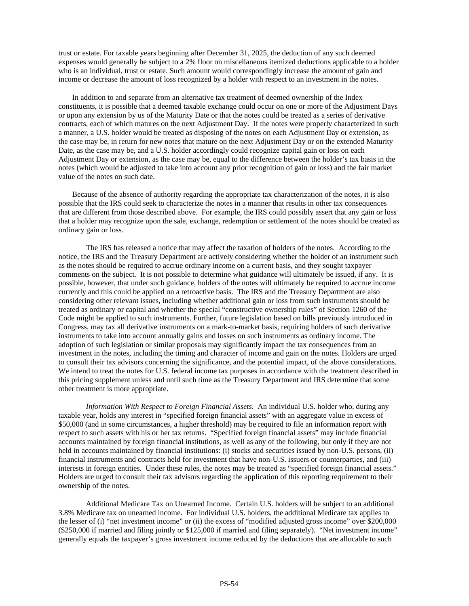trust or estate. For taxable years beginning after December 31, 2025, the deduction of any such deemed expenses would generally be subject to a 2% floor on miscellaneous itemized deductions applicable to a holder who is an individual, trust or estate. Such amount would correspondingly increase the amount of gain and income or decrease the amount of loss recognized by a holder with respect to an investment in the notes.

In addition to and separate from an alternative tax treatment of deemed ownership of the Index constituents, it is possible that a deemed taxable exchange could occur on one or more of the Adjustment Days or upon any extension by us of the Maturity Date or that the notes could be treated as a series of derivative contracts, each of which matures on the next Adjustment Day. If the notes were properly characterized in such a manner, a U.S. holder would be treated as disposing of the notes on each Adjustment Day or extension, as the case may be, in return for new notes that mature on the next Adjustment Day or on the extended Maturity Date, as the case may be, and a U.S. holder accordingly could recognize capital gain or loss on each Adjustment Day or extension, as the case may be, equal to the difference between the holder's tax basis in the notes (which would be adjusted to take into account any prior recognition of gain or loss) and the fair market value of the notes on such date.

Because of the absence of authority regarding the appropriate tax characterization of the notes, it is also possible that the IRS could seek to characterize the notes in a manner that results in other tax consequences that are different from those described above. For example, the IRS could possibly assert that any gain or loss that a holder may recognize upon the sale, exchange, redemption or settlement of the notes should be treated as ordinary gain or loss.

The IRS has released a notice that may affect the taxation of holders of the notes. According to the notice, the IRS and the Treasury Department are actively considering whether the holder of an instrument such as the notes should be required to accrue ordinary income on a current basis, and they sought taxpayer comments on the subject. It is not possible to determine what guidance will ultimately be issued, if any. It is possible, however, that under such guidance, holders of the notes will ultimately be required to accrue income currently and this could be applied on a retroactive basis. The IRS and the Treasury Department are also considering other relevant issues, including whether additional gain or loss from such instruments should be treated as ordinary or capital and whether the special "constructive ownership rules" of Section 1260 of the Code might be applied to such instruments. Further, future legislation based on bills previously introduced in Congress, may tax all derivative instruments on a mark-to-market basis, requiring holders of such derivative instruments to take into account annually gains and losses on such instruments as ordinary income. The adoption of such legislation or similar proposals may significantly impact the tax consequences from an investment in the notes, including the timing and character of income and gain on the notes. Holders are urged to consult their tax advisors concerning the significance, and the potential impact, of the above considerations. We intend to treat the notes for U.S. federal income tax purposes in accordance with the treatment described in this pricing supplement unless and until such time as the Treasury Department and IRS determine that some other treatment is more appropriate.

*Information With Respect to Foreign Financial Assets*. An individual U.S. holder who, during any taxable year, holds any interest in "specified foreign financial assets" with an aggregate value in excess of \$50,000 (and in some circumstances, a higher threshold) may be required to file an information report with respect to such assets with his or her tax returns. "Specified foreign financial assets" may include financial accounts maintained by foreign financial institutions, as well as any of the following, but only if they are not held in accounts maintained by financial institutions: (i) stocks and securities issued by non-U.S. persons, (ii) financial instruments and contracts held for investment that have non-U.S. issuers or counterparties, and (iii) interests in foreign entities. Under these rules, the notes may be treated as "specified foreign financial assets." Holders are urged to consult their tax advisors regarding the application of this reporting requirement to their ownership of the notes.

Additional Medicare Tax on Unearned Income. Certain U.S. holders will be subject to an additional 3.8% Medicare tax on unearned income. For individual U.S. holders, the additional Medicare tax applies to the lesser of (i) "net investment income" or (ii) the excess of "modified adjusted gross income" over \$200,000 (\$250,000 if married and filing jointly or \$125,000 if married and filing separately). "Net investment income" generally equals the taxpayer's gross investment income reduced by the deductions that are allocable to such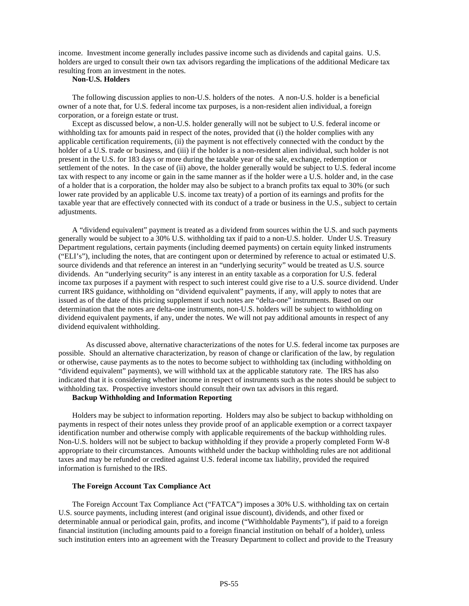income. Investment income generally includes passive income such as dividends and capital gains. U.S. holders are urged to consult their own tax advisors regarding the implications of the additional Medicare tax resulting from an investment in the notes.

# **Non-U.S. Holders**

The following discussion applies to non-U.S. holders of the notes. A non-U.S. holder is a beneficial owner of a note that, for U.S. federal income tax purposes, is a non-resident alien individual, a foreign corporation, or a foreign estate or trust.

Except as discussed below, a non-U.S. holder generally will not be subject to U.S. federal income or withholding tax for amounts paid in respect of the notes, provided that (i) the holder complies with any applicable certification requirements, (ii) the payment is not effectively connected with the conduct by the holder of a U.S. trade or business, and (iii) if the holder is a non-resident alien individual, such holder is not present in the U.S. for 183 days or more during the taxable year of the sale, exchange, redemption or settlement of the notes. In the case of (ii) above, the holder generally would be subject to U.S. federal income tax with respect to any income or gain in the same manner as if the holder were a U.S. holder and, in the case of a holder that is a corporation, the holder may also be subject to a branch profits tax equal to 30% (or such lower rate provided by an applicable U.S. income tax treaty) of a portion of its earnings and profits for the taxable year that are effectively connected with its conduct of a trade or business in the U.S., subject to certain adjustments.

A "dividend equivalent" payment is treated as a dividend from sources within the U.S. and such payments generally would be subject to a 30% U.S. withholding tax if paid to a non-U.S. holder. Under U.S. Treasury Department regulations, certain payments (including deemed payments) on certain equity linked instruments ("ELI's"), including the notes, that are contingent upon or determined by reference to actual or estimated U.S. source dividends and that reference an interest in an "underlying security" would be treated as U.S. source dividends. An "underlying security" is any interest in an entity taxable as a corporation for U.S. federal income tax purposes if a payment with respect to such interest could give rise to a U.S. source dividend. Under current IRS guidance, withholding on "dividend equivalent" payments, if any, will apply to notes that are issued as of the date of this pricing supplement if such notes are "delta-one" instruments. Based on our determination that the notes are delta-one instruments, non-U.S. holders will be subject to withholding on dividend equivalent payments, if any, under the notes. We will not pay additional amounts in respect of any dividend equivalent withholding.

As discussed above, alternative characterizations of the notes for U.S. federal income tax purposes are possible. Should an alternative characterization, by reason of change or clarification of the law, by regulation or otherwise, cause payments as to the notes to become subject to withholding tax (including withholding on "dividend equivalent" payments), we will withhold tax at the applicable statutory rate. The IRS has also indicated that it is considering whether income in respect of instruments such as the notes should be subject to withholding tax. Prospective investors should consult their own tax advisors in this regard.

## **Backup Withholding and Information Reporting**

Holders may be subject to information reporting. Holders may also be subject to backup withholding on payments in respect of their notes unless they provide proof of an applicable exemption or a correct taxpayer identification number and otherwise comply with applicable requirements of the backup withholding rules. Non-U.S. holders will not be subject to backup withholding if they provide a properly completed Form W-8 appropriate to their circumstances. Amounts withheld under the backup withholding rules are not additional taxes and may be refunded or credited against U.S. federal income tax liability, provided the required information is furnished to the IRS.

# **The Foreign Account Tax Compliance Act**

The Foreign Account Tax Compliance Act ("FATCA") imposes a 30% U.S. withholding tax on certain U.S. source payments, including interest (and original issue discount), dividends, and other fixed or determinable annual or periodical gain, profits, and income ("Withholdable Payments"), if paid to a foreign financial institution (including amounts paid to a foreign financial institution on behalf of a holder), unless such institution enters into an agreement with the Treasury Department to collect and provide to the Treasury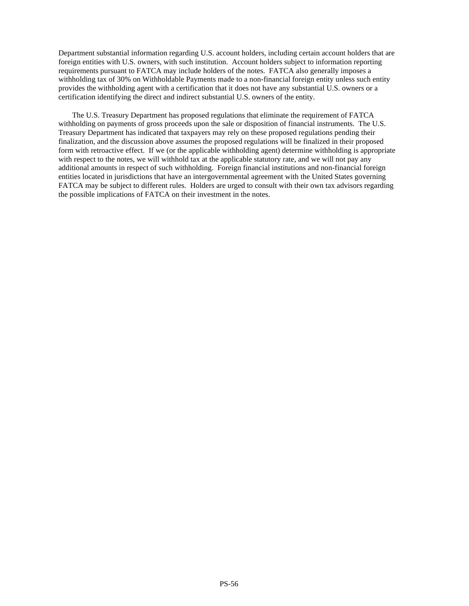Department substantial information regarding U.S. account holders, including certain account holders that are foreign entities with U.S. owners, with such institution. Account holders subject to information reporting requirements pursuant to FATCA may include holders of the notes. FATCA also generally imposes a withholding tax of 30% on Withholdable Payments made to a non-financial foreign entity unless such entity provides the withholding agent with a certification that it does not have any substantial U.S. owners or a certification identifying the direct and indirect substantial U.S. owners of the entity.

The U.S. Treasury Department has proposed regulations that eliminate the requirement of FATCA withholding on payments of gross proceeds upon the sale or disposition of financial instruments. The U.S. Treasury Department has indicated that taxpayers may rely on these proposed regulations pending their finalization, and the discussion above assumes the proposed regulations will be finalized in their proposed form with retroactive effect. If we (or the applicable withholding agent) determine withholding is appropriate with respect to the notes, we will withhold tax at the applicable statutory rate, and we will not pay any additional amounts in respect of such withholding. Foreign financial institutions and non-financial foreign entities located in jurisdictions that have an intergovernmental agreement with the United States governing FATCA may be subject to different rules. Holders are urged to consult with their own tax advisors regarding the possible implications of FATCA on their investment in the notes.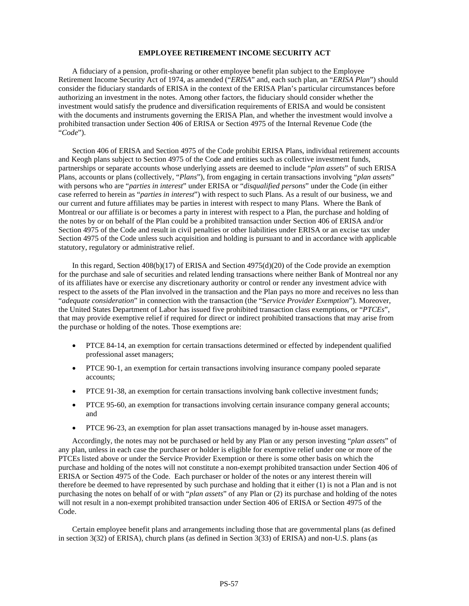#### **EMPLOYEE RETIREMENT INCOME SECURITY ACT**

A fiduciary of a pension, profit-sharing or other employee benefit plan subject to the Employee Retirement Income Security Act of 1974, as amended ("*ERISA*" and, each such plan, an "*ERISA Plan*") should consider the fiduciary standards of ERISA in the context of the ERISA Plan's particular circumstances before authorizing an investment in the notes. Among other factors, the fiduciary should consider whether the investment would satisfy the prudence and diversification requirements of ERISA and would be consistent with the documents and instruments governing the ERISA Plan, and whether the investment would involve a prohibited transaction under Section 406 of ERISA or Section 4975 of the Internal Revenue Code (the "*Code*").

Section 406 of ERISA and Section 4975 of the Code prohibit ERISA Plans, individual retirement accounts and Keogh plans subject to Section 4975 of the Code and entities such as collective investment funds, partnerships or separate accounts whose underlying assets are deemed to include "*plan assets*" of such ERISA Plans, accounts or plans (collectively, "*Plans*"), from engaging in certain transactions involving "*plan assets*" with persons who are "*parties in interest*" under ERISA or "*disqualified persons*" under the Code (in either case referred to herein as "*parties in interest*") with respect to such Plans. As a result of our business, we and our current and future affiliates may be parties in interest with respect to many Plans. Where the Bank of Montreal or our affiliate is or becomes a party in interest with respect to a Plan, the purchase and holding of the notes by or on behalf of the Plan could be a prohibited transaction under Section 406 of ERISA and/or Section 4975 of the Code and result in civil penalties or other liabilities under ERISA or an excise tax under Section 4975 of the Code unless such acquisition and holding is pursuant to and in accordance with applicable statutory, regulatory or administrative relief.

In this regard, Section 408(b)(17) of ERISA and Section 4975(d)(20) of the Code provide an exemption for the purchase and sale of securities and related lending transactions where neither Bank of Montreal nor any of its affiliates have or exercise any discretionary authority or control or render any investment advice with respect to the assets of the Plan involved in the transaction and the Plan pays no more and receives no less than "*adequate consideration*" in connection with the transaction (the "S*ervice Provider Exemption*"). Moreover, the United States Department of Labor has issued five prohibited transaction class exemptions, or "*PTCEs*", that may provide exemptive relief if required for direct or indirect prohibited transactions that may arise from the purchase or holding of the notes. Those exemptions are:

- PTCE 84-14, an exemption for certain transactions determined or effected by independent qualified professional asset managers;
- PTCE 90-1, an exemption for certain transactions involving insurance company pooled separate accounts;
- PTCE 91-38, an exemption for certain transactions involving bank collective investment funds;
- PTCE 95-60, an exemption for transactions involving certain insurance company general accounts; and
- PTCE 96-23, an exemption for plan asset transactions managed by in-house asset managers.

Accordingly, the notes may not be purchased or held by any Plan or any person investing "*plan assets*" of any plan, unless in each case the purchaser or holder is eligible for exemptive relief under one or more of the PTCEs listed above or under the Service Provider Exemption or there is some other basis on which the purchase and holding of the notes will not constitute a non-exempt prohibited transaction under Section 406 of ERISA or Section 4975 of the Code. Each purchaser or holder of the notes or any interest therein will therefore be deemed to have represented by such purchase and holding that it either (1) is not a Plan and is not purchasing the notes on behalf of or with "*plan assets*" of any Plan or (2) its purchase and holding of the notes will not result in a non-exempt prohibited transaction under Section 406 of ERISA or Section 4975 of the Code.

Certain employee benefit plans and arrangements including those that are governmental plans (as defined in section 3(32) of ERISA), church plans (as defined in Section 3(33) of ERISA) and non-U.S. plans (as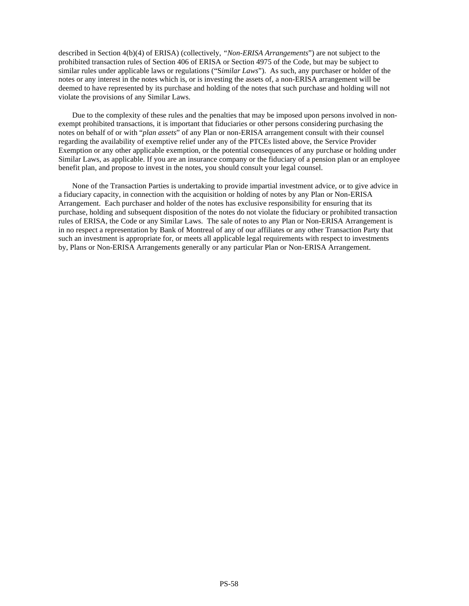described in Section 4(b)(4) of ERISA) (collectively, *"Non-ERISA Arrangements*") are not subject to the prohibited transaction rules of Section 406 of ERISA or Section 4975 of the Code, but may be subject to similar rules under applicable laws or regulations ("S*imilar Laws*"). As such, any purchaser or holder of the notes or any interest in the notes which is, or is investing the assets of, a non-ERISA arrangement will be deemed to have represented by its purchase and holding of the notes that such purchase and holding will not violate the provisions of any Similar Laws.

Due to the complexity of these rules and the penalties that may be imposed upon persons involved in nonexempt prohibited transactions, it is important that fiduciaries or other persons considering purchasing the notes on behalf of or with "*plan assets*" of any Plan or non-ERISA arrangement consult with their counsel regarding the availability of exemptive relief under any of the PTCEs listed above, the Service Provider Exemption or any other applicable exemption, or the potential consequences of any purchase or holding under Similar Laws, as applicable. If you are an insurance company or the fiduciary of a pension plan or an employee benefit plan, and propose to invest in the notes, you should consult your legal counsel.

None of the Transaction Parties is undertaking to provide impartial investment advice, or to give advice in a fiduciary capacity, in connection with the acquisition or holding of notes by any Plan or Non-ERISA Arrangement. Each purchaser and holder of the notes has exclusive responsibility for ensuring that its purchase, holding and subsequent disposition of the notes do not violate the fiduciary or prohibited transaction rules of ERISA, the Code or any Similar Laws. The sale of notes to any Plan or Non-ERISA Arrangement is in no respect a representation by Bank of Montreal of any of our affiliates or any other Transaction Party that such an investment is appropriate for, or meets all applicable legal requirements with respect to investments by, Plans or Non-ERISA Arrangements generally or any particular Plan or Non-ERISA Arrangement.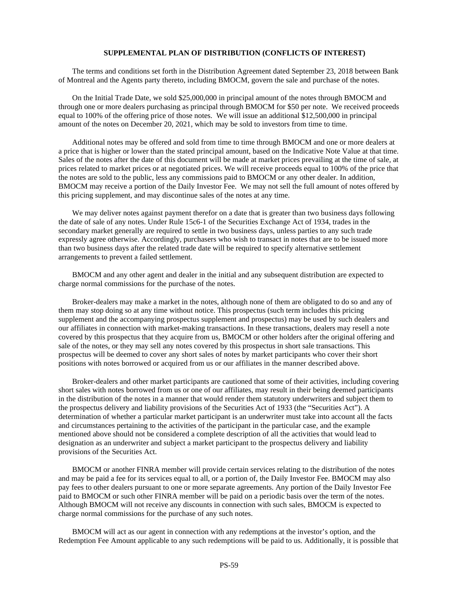#### **SUPPLEMENTAL PLAN OF DISTRIBUTION (CONFLICTS OF INTEREST)**

The terms and conditions set forth in the Distribution Agreement dated September 23, 2018 between Bank of Montreal and the Agents party thereto, including BMOCM, govern the sale and purchase of the notes.

On the Initial Trade Date, we sold \$25,000,000 in principal amount of the notes through BMOCM and through one or more dealers purchasing as principal through BMOCM for \$50 per note. We received proceeds equal to 100% of the offering price of those notes. We will issue an additional \$12,500,000 in principal amount of the notes on December 20, 2021, which may be sold to investors from time to time.

Additional notes may be offered and sold from time to time through BMOCM and one or more dealers at a price that is higher or lower than the stated principal amount, based on the Indicative Note Value at that time. Sales of the notes after the date of this document will be made at market prices prevailing at the time of sale, at prices related to market prices or at negotiated prices. We will receive proceeds equal to 100% of the price that the notes are sold to the public, less any commissions paid to BMOCM or any other dealer. In addition, BMOCM may receive a portion of the Daily Investor Fee. We may not sell the full amount of notes offered by this pricing supplement, and may discontinue sales of the notes at any time.

We may deliver notes against payment therefor on a date that is greater than two business days following the date of sale of any notes. Under Rule 15c6-1 of the Securities Exchange Act of 1934, trades in the secondary market generally are required to settle in two business days, unless parties to any such trade expressly agree otherwise. Accordingly, purchasers who wish to transact in notes that are to be issued more than two business days after the related trade date will be required to specify alternative settlement arrangements to prevent a failed settlement.

BMOCM and any other agent and dealer in the initial and any subsequent distribution are expected to charge normal commissions for the purchase of the notes.

Broker-dealers may make a market in the notes, although none of them are obligated to do so and any of them may stop doing so at any time without notice. This prospectus (such term includes this pricing supplement and the accompanying prospectus supplement and prospectus) may be used by such dealers and our affiliates in connection with market-making transactions. In these transactions, dealers may resell a note covered by this prospectus that they acquire from us, BMOCM or other holders after the original offering and sale of the notes, or they may sell any notes covered by this prospectus in short sale transactions. This prospectus will be deemed to cover any short sales of notes by market participants who cover their short positions with notes borrowed or acquired from us or our affiliates in the manner described above.

Broker-dealers and other market participants are cautioned that some of their activities, including covering short sales with notes borrowed from us or one of our affiliates, may result in their being deemed participants in the distribution of the notes in a manner that would render them statutory underwriters and subject them to the prospectus delivery and liability provisions of the Securities Act of 1933 (the "Securities Act"). A determination of whether a particular market participant is an underwriter must take into account all the facts and circumstances pertaining to the activities of the participant in the particular case, and the example mentioned above should not be considered a complete description of all the activities that would lead to designation as an underwriter and subject a market participant to the prospectus delivery and liability provisions of the Securities Act.

BMOCM or another FINRA member will provide certain services relating to the distribution of the notes and may be paid a fee for its services equal to all, or a portion of, the Daily Investor Fee. BMOCM may also pay fees to other dealers pursuant to one or more separate agreements. Any portion of the Daily Investor Fee paid to BMOCM or such other FINRA member will be paid on a periodic basis over the term of the notes. Although BMOCM will not receive any discounts in connection with such sales, BMOCM is expected to charge normal commissions for the purchase of any such notes.

BMOCM will act as our agent in connection with any redemptions at the investor's option, and the Redemption Fee Amount applicable to any such redemptions will be paid to us. Additionally, it is possible that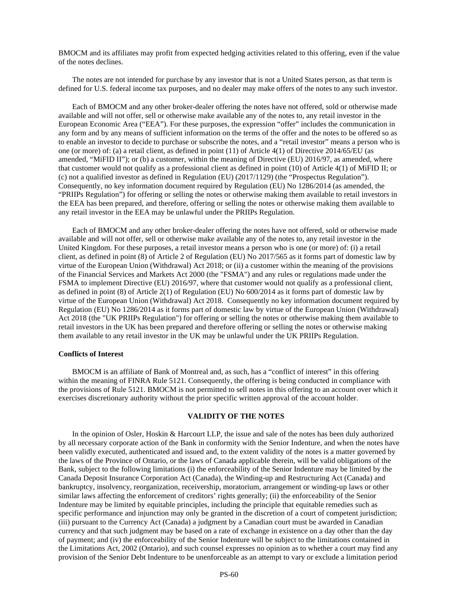BMOCM and its affiliates may profit from expected hedging activities related to this offering, even if the value of the notes declines.

The notes are not intended for purchase by any investor that is not a United States person, as that term is defined for U.S. federal income tax purposes, and no dealer may make offers of the notes to any such investor.

Each of BMOCM and any other broker-dealer offering the notes have not offered, sold or otherwise made available and will not offer, sell or otherwise make available any of the notes to, any retail investor in the European Economic Area ("EEA"). For these purposes, the expression "offer" includes the communication in any form and by any means of sufficient information on the terms of the offer and the notes to be offered so as to enable an investor to decide to purchase or subscribe the notes, and a "retail investor" means a person who is one (or more) of: (a) a retail client, as defined in point (11) of Article 4(1) of Directive 2014/65/EU (as amended, "MiFID II"); or (b) a customer, within the meaning of Directive (EU) 2016/97, as amended, where that customer would not qualify as a professional client as defined in point (10) of Article 4(1) of MiFID II; or (c) not a qualified investor as defined in Regulation (EU) (2017/1129) (the "Prospectus Regulation"). Consequently, no key information document required by Regulation (EU) No 1286/2014 (as amended, the "PRIIPs Regulation") for offering or selling the notes or otherwise making them available to retail investors in the EEA has been prepared, and therefore, offering or selling the notes or otherwise making them available to any retail investor in the EEA may be unlawful under the PRIIPs Regulation.

Each of BMOCM and any other broker-dealer offering the notes have not offered, sold or otherwise made available and will not offer, sell or otherwise make available any of the notes to, any retail investor in the United Kingdom. For these purposes, a retail investor means a person who is one (or more) of: (i) a retail client, as defined in point (8) of Article 2 of Regulation (EU) No 2017/565 as it forms part of domestic law by virtue of the European Union (Withdrawal) Act 2018; or (ii) a customer within the meaning of the provisions of the Financial Services and Markets Act 2000 (the "FSMA") and any rules or regulations made under the FSMA to implement Directive (EU) 2016/97, where that customer would not qualify as a professional client, as defined in point (8) of Article 2(1) of Regulation (EU) No 600/2014 as it forms part of domestic law by virtue of the European Union (Withdrawal) Act 2018. Consequently no key information document required by Regulation (EU) No 1286/2014 as it forms part of domestic law by virtue of the European Union (Withdrawal) Act 2018 (the "UK PRIIPs Regulation") for offering or selling the notes or otherwise making them available to retail investors in the UK has been prepared and therefore offering or selling the notes or otherwise making them available to any retail investor in the UK may be unlawful under the UK PRIIPs Regulation.

#### **Conflicts of Interest**

BMOCM is an affiliate of Bank of Montreal and, as such, has a "conflict of interest" in this offering within the meaning of FINRA Rule 5121. Consequently, the offering is being conducted in compliance with the provisions of Rule 5121. BMOCM is not permitted to sell notes in this offering to an account over which it exercises discretionary authority without the prior specific written approval of the account holder.

# **VALIDITY OF THE NOTES**

In the opinion of Osler, Hoskin & Harcourt LLP, the issue and sale of the notes has been duly authorized by all necessary corporate action of the Bank in conformity with the Senior Indenture, and when the notes have been validly executed, authenticated and issued and, to the extent validity of the notes is a matter governed by the laws of the Province of Ontario, or the laws of Canada applicable therein, will be valid obligations of the Bank, subject to the following limitations (i) the enforceability of the Senior Indenture may be limited by the Canada Deposit Insurance Corporation Act (Canada), the Winding-up and Restructuring Act (Canada) and bankruptcy, insolvency, reorganization, receivership, moratorium, arrangement or winding-up laws or other similar laws affecting the enforcement of creditors' rights generally; (ii) the enforceability of the Senior Indenture may be limited by equitable principles, including the principle that equitable remedies such as specific performance and injunction may only be granted in the discretion of a court of competent jurisdiction; (iii) pursuant to the Currency Act (Canada) a judgment by a Canadian court must be awarded in Canadian currency and that such judgment may be based on a rate of exchange in existence on a day other than the day of payment; and (iv) the enforceability of the Senior Indenture will be subject to the limitations contained in the Limitations Act, 2002 (Ontario), and such counsel expresses no opinion as to whether a court may find any provision of the Senior Debt Indenture to be unenforceable as an attempt to vary or exclude a limitation period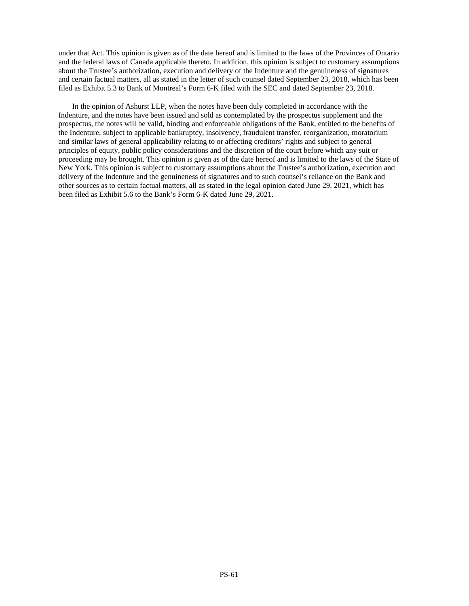under that Act. This opinion is given as of the date hereof and is limited to the laws of the Provinces of Ontario and the federal laws of Canada applicable thereto. In addition, this opinion is subject to customary assumptions about the Trustee's authorization, execution and delivery of the Indenture and the genuineness of signatures and certain factual matters, all as stated in the letter of such counsel dated September 23, 2018, which has been filed as Exhibit 5.3 to Bank of Montreal's Form 6-K filed with the SEC and dated September 23, 2018.

In the opinion of Ashurst LLP, when the notes have been duly completed in accordance with the Indenture, and the notes have been issued and sold as contemplated by the prospectus supplement and the prospectus, the notes will be valid, binding and enforceable obligations of the Bank, entitled to the benefits of the Indenture, subject to applicable bankruptcy, insolvency, fraudulent transfer, reorganization, moratorium and similar laws of general applicability relating to or affecting creditors' rights and subject to general principles of equity, public policy considerations and the discretion of the court before which any suit or proceeding may be brought. This opinion is given as of the date hereof and is limited to the laws of the State of New York. This opinion is subject to customary assumptions about the Trustee's authorization, execution and delivery of the Indenture and the genuineness of signatures and to such counsel's reliance on the Bank and other sources as to certain factual matters, all as stated in the legal opinion dated June 29, 2021, which has been filed as Exhibit 5.6 to the Bank's Form 6-K dated June 29, 2021.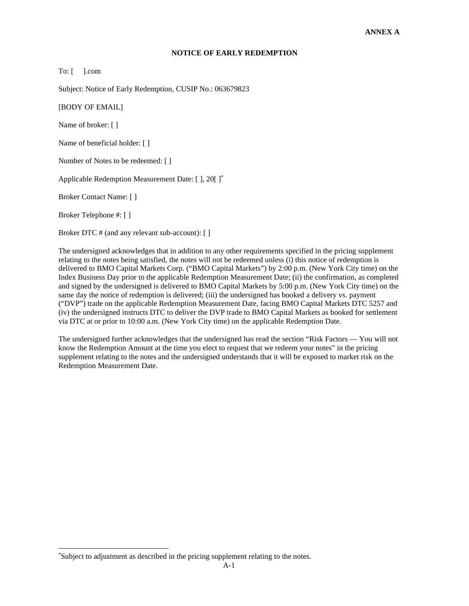# **NOTICE OF EARLY REDEMPTION**

To: [ ].com

Subject: Notice of Early Redemption, CUSIP No.: 063679823

[BODY OF EMAIL]

Name of broker: [ ]

Name of beneficial holder: [ ]

Number of Notes to be redeemed: [ ]

Applicable Redemption Measurement Date: [ ], 20[ ][\\*](#page-68-0)

Broker Contact Name: [ ]

Broker Telephone #: [ ]

Broker DTC # (and any relevant sub-account): [ ]

The undersigned acknowledges that in addition to any other requirements specified in the pricing supplement relating to the notes being satisfied, the notes will not be redeemed unless (i) this notice of redemption is delivered to BMO Capital Markets Corp. ("BMO Capital Markets") by 2:00 p.m. (New York City time) on the Index Business Day prior to the applicable Redemption Measurement Date; (ii) the confirmation, as completed and signed by the undersigned is delivered to BMO Capital Markets by 5:00 p.m. (New York City time) on the same day the notice of redemption is delivered; (iii) the undersigned has booked a delivery vs. payment ("DVP") trade on the applicable Redemption Measurement Date, facing BMO Capital Markets DTC 5257 and (iv) the undersigned instructs DTC to deliver the DVP trade to BMO Capital Markets as booked for settlement via DTC at or prior to 10:00 a.m. (New York City time) on the applicable Redemption Date.

The undersigned further acknowledges that the undersigned has read the section "Risk Factors — You will not know the Redemption Amount at the time you elect to request that we redeem your notes" in the pricing supplement relating to the notes and the undersigned understands that it will be exposed to market risk on the Redemption Measurement Date.

<span id="page-68-0"></span><sup>\*</sup>Subject to adjustment as described in the pricing supplement relating to the notes.